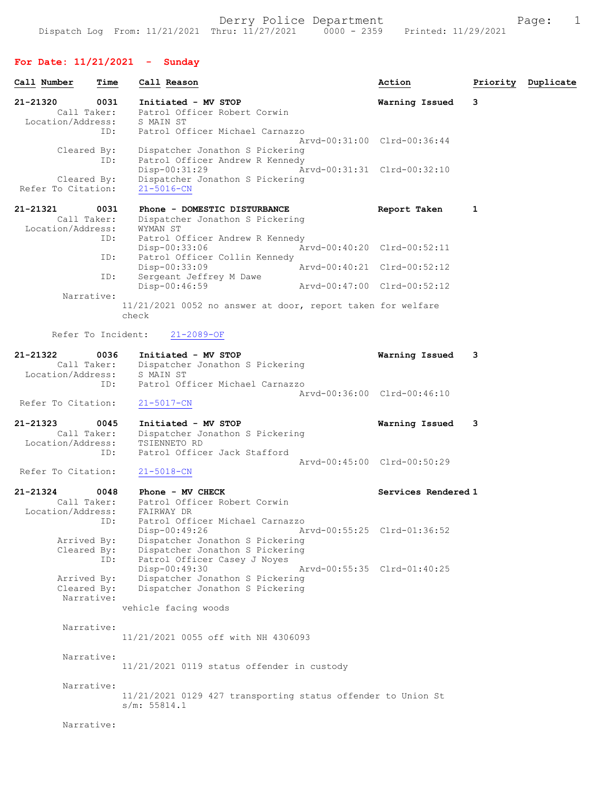## For Date: 11/21/2021 - Sunday

| Call Number                                  | Time        | Call Reason                                                                                                         | Action                      | Priority | Duplicate |
|----------------------------------------------|-------------|---------------------------------------------------------------------------------------------------------------------|-----------------------------|----------|-----------|
| 21-21320<br>Call Taker:<br>Location/Address: | 0031        | Initiated - MV STOP<br>Patrol Officer Robert Corwin<br>S MAIN ST                                                    | Warning Issued              | 3        |           |
|                                              | ID:         | Patrol Officer Michael Carnazzo                                                                                     | Aryd-00:31:00 Clrd-00:36:44 |          |           |
| Cleared By:                                  | ID:         | Dispatcher Jonathon S Pickering<br>Patrol Officer Andrew R Kennedy<br>$Disp-00:31:29$                               | Arvd-00:31:31 Clrd-00:32:10 |          |           |
| Cleared By:<br>Refer To Citation:            |             | Dispatcher Jonathon S Pickering<br>$21 - 5016 - CN$                                                                 |                             |          |           |
| 21-21321<br>Call Taker:<br>Location/Address: | 0031        | Phone - DOMESTIC DISTURBANCE<br>Dispatcher Jonathon S Pickering<br>WYMAN ST                                         | Report Taken                | 1        |           |
|                                              | ID:<br>ID:  | Patrol Officer Andrew R Kennedy<br>Disp-00:33:06<br>Patrol Officer Collin Kennedy                                   | Arvd-00:40:20 Clrd-00:52:11 |          |           |
|                                              | ID:         | Disp-00:33:09<br>Sergeant Jeffrey M Dawe                                                                            | Arvd-00:40:21 Clrd-00:52:12 |          |           |
| Narrative:                                   |             | Disp-00:46:59                                                                                                       | Arvd-00:47:00 Clrd-00:52:12 |          |           |
|                                              |             | 11/21/2021 0052 no answer at door, report taken for welfare<br>check                                                |                             |          |           |
| Refer To Incident:                           |             | $21 - 2089 - OF$                                                                                                    |                             |          |           |
| 21-21322<br>Call Taker:<br>Location/Address: | 0036        | Initiated - MV STOP<br>Dispatcher Jonathon S Pickering<br>S MAIN ST                                                 | Warning Issued              | 3        |           |
| Refer To Citation:                           | ID:         | Patrol Officer Michael Carnazzo<br>$21 - 5017 - CN$                                                                 | Arvd-00:36:00 Clrd-00:46:10 |          |           |
| 21-21323<br>Call Taker:<br>Location/Address: | 0045<br>ID: | Initiated - MV STOP<br>Dispatcher Jonathon S Pickering<br>TSIENNETO RD<br>Patrol Officer Jack Stafford              | Warning Issued              | 3        |           |
| Refer To Citation:                           |             | $21 - 5018 - CN$                                                                                                    | Arvd-00:45:00 Clrd-00:50:29 |          |           |
| 21-21324<br>Call Taker:<br>Location/Address: | 0048<br>ID: | Phone - MV CHECK<br>Patrol Officer Robert Corwin<br>FAIRWAY DR<br>Patrol Officer Michael Carnazzo                   | Services Rendered 1         |          |           |
| Arrived By:<br>Cleared By:                   | ID:         | Disp-00:49:26<br>Dispatcher Jonathon S Pickering<br>Dispatcher Jonathon S Pickering<br>Patrol Officer Casey J Noyes | Arvd-00:55:25 Clrd-01:36:52 |          |           |
| Arrived By:<br>Cleared By:<br>Narrative:     |             | Disp-00:49:30<br>Dispatcher Jonathon S Pickering<br>Dispatcher Jonathon S Pickering                                 | Arvd-00:55:35 Clrd-01:40:25 |          |           |
|                                              |             | vehicle facing woods                                                                                                |                             |          |           |
| Narrative:                                   |             | 11/21/2021 0055 off with NH 4306093                                                                                 |                             |          |           |
| Narrative:                                   |             | 11/21/2021 0119 status offender in custody                                                                          |                             |          |           |
| Narrative:                                   |             | 11/21/2021 0129 427 transporting status offender to Union St<br>s/m: 55814.1                                        |                             |          |           |
| Narrative:                                   |             |                                                                                                                     |                             |          |           |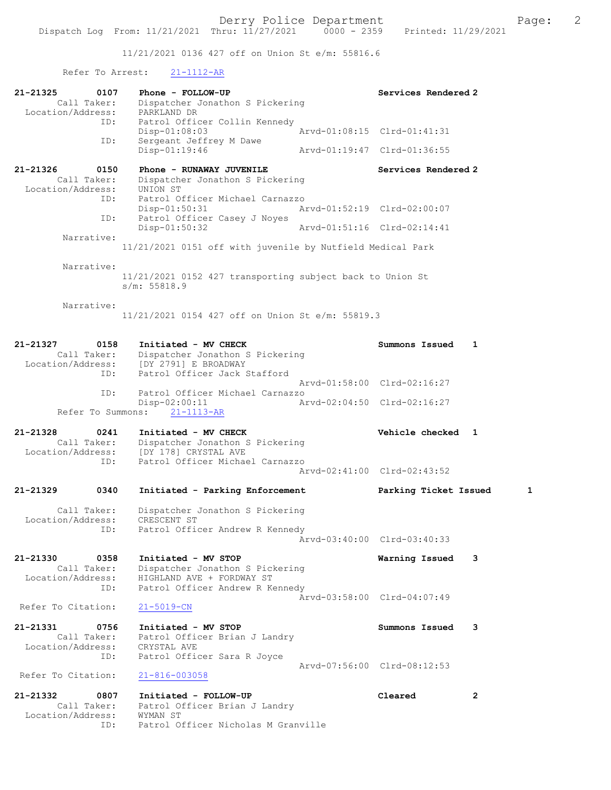11/21/2021 0136 427 off on Union St e/m: 55816.6

## Refer To Arrest: 21-1112-AR

| 21-21325<br>0107<br>Call Taker:<br>Location/Address:        | Phone - FOLLOW-UP<br>Dispatcher Jonathon S Pickering<br>PARKLAND DR                                                    | Services Rendered 2         |                |
|-------------------------------------------------------------|------------------------------------------------------------------------------------------------------------------------|-----------------------------|----------------|
| ID:                                                         | Patrol Officer Collin Kennedy<br>Disp-01:08:03                                                                         | Arvd-01:08:15 Clrd-01:41:31 |                |
| ID:                                                         | Sergeant Jeffrey M Dawe<br>Disp-01:19:46                                                                               | Aryd-01:19:47 Clrd-01:36:55 |                |
| 21-21326<br>0150<br>Call Taker:<br>Location/Address:        | Phone - RUNAWAY JUVENILE<br>Dispatcher Jonathon S Pickering<br>UNION ST                                                | Services Rendered 2         |                |
| ID:                                                         | Patrol Officer Michael Carnazzo<br>Disp-01:50:31                                                                       | Arvd-01:52:19 Clrd-02:00:07 |                |
| ID:<br>Narrative:                                           | Patrol Officer Casey J Noyes<br>$Disp-01:50:32$                                                                        | Arvd-01:51:16 Clrd-02:14:41 |                |
|                                                             | 11/21/2021 0151 off with juvenile by Nutfield Medical Park                                                             |                             |                |
| Narrative:                                                  | 11/21/2021 0152 427 transporting subject back to Union St<br>s/m: 55818.9                                              |                             |                |
| Narrative:                                                  | 11/21/2021 0154 427 off on Union St e/m: 55819.3                                                                       |                             |                |
| 21-21327<br>0158<br>Call Taker:<br>Location/Address:        | Initiated - MV CHECK<br>Dispatcher Jonathon S Pickering<br>[DY 2791] E BROADWAY                                        | Summons Issued              | 1              |
| ID:                                                         | Patrol Officer Jack Stafford                                                                                           | Arvd-01:58:00 Clrd-02:16:27 |                |
| ID:<br>Refer To Summons:                                    | Patrol Officer Michael Carnazzo<br>$Disp-02:00:11$<br>$21 - 1113 - AR$                                                 | Arvd-02:04:50 Clrd-02:16:27 |                |
| 21-21328<br>0241                                            | Initiated - MV CHECK                                                                                                   | Vehicle checked 1           |                |
| Call Taker:<br>Location/Address:<br>ID:                     | Dispatcher Jonathon S Pickering<br>[DY 178] CRYSTAL AVE<br>Patrol Officer Michael Carnazzo                             |                             |                |
|                                                             |                                                                                                                        | Arvd-02:41:00 Clrd-02:43:52 |                |
| 21-21329<br>0340                                            | Initiated - Parking Enforcement                                                                                        | Parking Ticket Issued       | 1              |
| Call Taker:<br>Location/Address:<br>ID:                     | Dispatcher Jonathon S Pickering<br>CRESCENT ST<br>Patrol Officer Andrew R Kennedy                                      |                             |                |
|                                                             |                                                                                                                        | Arvd-03:40:00 Clrd-03:40:33 |                |
| 21-21330<br>0358<br>Call Taker:<br>Location/Address:<br>ID: | Initiated - MV STOP<br>Dispatcher Jonathon S Pickering<br>HIGHLAND AVE + FORDWAY ST<br>Patrol Officer Andrew R Kennedy | Warning Issued              | 3              |
| Refer To Citation:                                          | $21 - 5019 - CN$                                                                                                       | Arvd-03:58:00 Clrd-04:07:49 |                |
| 21-21331<br>0756<br>Call Taker:<br>Location/Address:<br>ID: | Initiated - MV STOP<br>Patrol Officer Brian J Landry<br>CRYSTAL AVE<br>Patrol Officer Sara R Joyce                     | Summons Issued              | 3              |
| Refer To Citation:                                          | $21 - 816 - 003058$                                                                                                    | Arvd-07:56:00 Clrd-08:12:53 |                |
| 21-21332<br>0807<br>Call Taker:<br>Location/Address:<br>ID: | Initiated - FOLLOW-UP<br>Patrol Officer Brian J Landry<br>WYMAN ST<br>Patrol Officer Nicholas M Granville              | Cleared                     | $\overline{2}$ |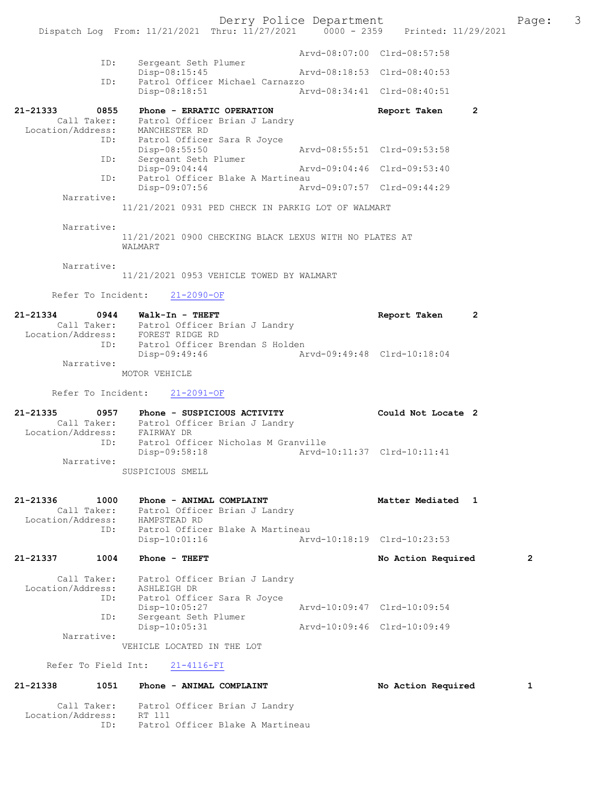|                               |                     |                                          |                                                                           | Derry Police Department | Dispatch Log From: 11/21/2021 Thru: $11/27/2021$ 0000 - 2359 Printed: 11/29/2021 |   | Page: | 3 |
|-------------------------------|---------------------|------------------------------------------|---------------------------------------------------------------------------|-------------------------|----------------------------------------------------------------------------------|---|-------|---|
|                               |                     |                                          |                                                                           |                         |                                                                                  |   |       |   |
|                               | ID:                 | Sergeant Seth Plumer                     |                                                                           |                         | Arvd-08:07:00 Clrd-08:57:58                                                      |   |       |   |
|                               | ID:                 | Disp-08:15:45                            | Patrol Officer Michael Carnazzo                                           |                         | Arvd-08:18:53 Clrd-08:40:53                                                      |   |       |   |
|                               |                     | Disp-08:18:51                            |                                                                           |                         | Arvd-08:34:41 Clrd-08:40:51                                                      |   |       |   |
| 21-21333                      | 0855                |                                          | Phone - ERRATIC OPERATION<br>Call Taker: Patrol Officer Brian J Landry    |                         | Report Taken                                                                     | 2 |       |   |
|                               |                     | Disp-08:55:50                            | Location/Address: MANCHESTER RD<br>ID: Patrol Officer Sara R Joyce        |                         | Arvd-08:55:51 Clrd-09:53:58                                                      |   |       |   |
|                               | ID:                 | Sergeant Seth Plumer<br>$Disp-09:04:44$  |                                                                           |                         | Arvd-09:04:46 Clrd-09:53:40                                                      |   |       |   |
|                               | ID:                 |                                          | Patrol Officer Blake A Martineau                                          |                         |                                                                                  |   |       |   |
|                               | Narrative:          | Disp-09:07:56                            | 11/21/2021 0931 PED CHECK IN PARKIG LOT OF WALMART                        |                         | Arvd-09:07:57 Clrd-09:44:29                                                      |   |       |   |
|                               | Narrative:          | WALMART                                  | 11/21/2021 0900 CHECKING BLACK LEXUS WITH NO PLATES AT                    |                         |                                                                                  |   |       |   |
|                               | Narrative:          |                                          |                                                                           |                         |                                                                                  |   |       |   |
|                               |                     |                                          | 11/21/2021 0953 VEHICLE TOWED BY WALMART                                  |                         |                                                                                  |   |       |   |
|                               |                     | Refer To Incident: 21-2090-OF            |                                                                           |                         |                                                                                  |   |       |   |
| 21-21334                      |                     | 0944 Walk-In - THEFT                     |                                                                           |                         | Report Taken                                                                     | 2 |       |   |
|                               |                     | Location/Address: FOREST RIDGE RD        | Call Taker: Patrol Officer Brian J Landry                                 |                         |                                                                                  |   |       |   |
|                               | ID:                 | Disp-09:49:46                            | Patrol Officer Brendan S Holden                                           |                         | Arvd-09:49:48 Clrd-10:18:04                                                      |   |       |   |
|                               | Narrative:          | MOTOR VEHICLE                            |                                                                           |                         |                                                                                  |   |       |   |
|                               |                     | Refer To Incident: 21-2091-OF            |                                                                           |                         |                                                                                  |   |       |   |
| 21-21335                      | 0957                |                                          | Phone - SUSPICIOUS ACTIVITY                                               |                         | Could Not Locate 2                                                               |   |       |   |
|                               |                     |                                          | Call Taker: Patrol Officer Brian J Landry<br>Location/Address: FAIRWAY DR |                         |                                                                                  |   |       |   |
|                               | ID:                 | Disp-09:58:18                            | Patrol Officer Nicholas M Granville                                       |                         | Arvd-10:11:37 Clrd-10:11:41                                                      |   |       |   |
|                               | Narrative:          |                                          |                                                                           |                         |                                                                                  |   |       |   |
|                               |                     | SUSPICIOUS SMELL                         |                                                                           |                         |                                                                                  |   |       |   |
| 21-21336<br>Location/Address: | 1000<br>Call Taker: | Phone - ANIMAL COMPLAINT<br>HAMPSTEAD RD | Patrol Officer Brian J Landry                                             |                         | Matter Mediated 1                                                                |   |       |   |
|                               | ID:                 | Disp-10:01:16                            | Patrol Officer Blake A Martineau                                          |                         | Arvd-10:18:19 Clrd-10:23:53                                                      |   |       |   |
| 21-21337                      | 1004                | Phone - THEFT                            |                                                                           |                         | No Action Required                                                               |   | 2     |   |
|                               | Call Taker:         |                                          | Patrol Officer Brian J Landry                                             |                         |                                                                                  |   |       |   |
| Location/Address:             | ID:                 | ASHLEIGH DR                              | Patrol Officer Sara R Joyce                                               |                         |                                                                                  |   |       |   |
|                               | ID:                 | Disp-10:05:27<br>Sergeant Seth Plumer    |                                                                           |                         | Arvd-10:09:47 Clrd-10:09:54                                                      |   |       |   |
|                               | Narrative:          | Disp-10:05:31                            |                                                                           |                         | Arvd-10:09:46 Clrd-10:09:49                                                      |   |       |   |
|                               |                     | VEHICLE LOCATED IN THE LOT               |                                                                           |                         |                                                                                  |   |       |   |
| Refer To Field Int:           |                     | $21 - 4116 - FI$                         |                                                                           |                         |                                                                                  |   |       |   |
| 21-21338                      | 1051                | Phone - ANIMAL COMPLAINT                 |                                                                           |                         | No Action Required                                                               |   | 1     |   |

 Call Taker: Patrol Officer Brian J Landry Location/Address: RT 111 ID: Patrol Officer Blake A Martineau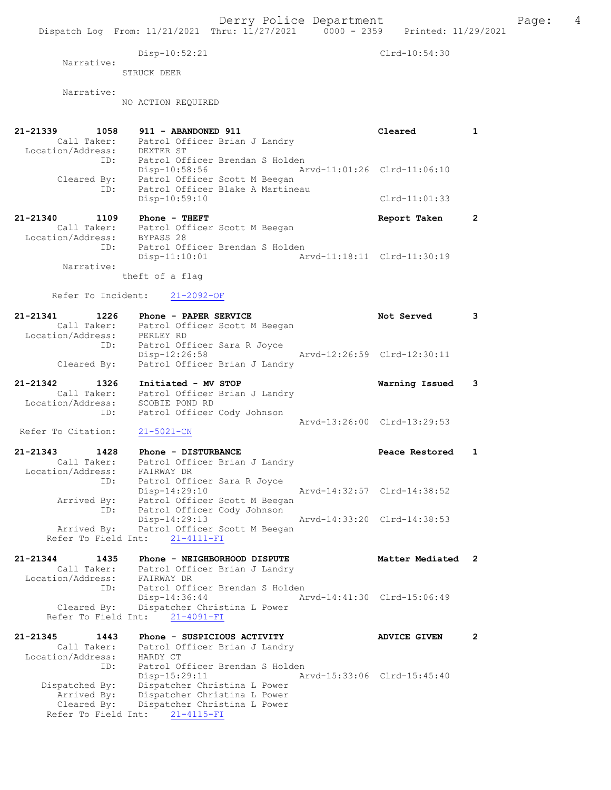Dispatch Log From: 11/21/2021 Thru: 11/27/2021 0000 - 2359 Printed: 11/29/2021 Disp-10:52:21 Clrd-10:54:30 Narrative: STRUCK DEER Narrative: NO ACTION REQUIRED 21-21339 1058 911 - ABANDONED 911 Cleared 1 Call Taker: Patrol Officer Brian J Landry Location/Address: DEXTER ST ID: Patrol Officer Brendan S Holden Disp-10:58:56 Arvd-11:01:26 Clrd-11:06:10 Cleared By: Patrol Officer Scott M Beegan ID: Patrol Officer Blake A Martineau Disp-10:59:10 Clrd-11:01:33 21-21340 1109 Phone - THEFT Report Taken 2 Call Taker: Patrol Officer Scott M Beegan Location/Address: BYPASS 28 ID: Patrol Officer Brendan S Holden Disp-11:10:01 Arvd-11:18:11 Clrd-11:30:19 Narrative: theft of a flag Refer To Incident: 21-2092-OF 21-21341 1226 Phone - PAPER SERVICE Not Served 3 Call Taker: Patrol Officer Scott M Beegan Location/Address: PERLEY RD ID: Patrol Officer Sara R Joyce Disp-12:26:58 Arvd-12:26:59 Clrd-12:30:11 Cleared By: Patrol Officer Brian J Landry 21-21342 1326 Initiated - MV STOP Warning Issued 3 Call Taker: Patrol Officer Brian J Landry Location/Address: SCOBIE POND RD ID: Patrol Officer Cody Johnson Arvd-13:26:00 Clrd-13:29:53<br>21-5021-CN Refer To Citation: 21-21343 1428 Phone - DISTURBANCE Peace Restored 1 Call Taker: Patrol Officer Brian J Landry Location/Address: FAIRWAY DR ID: Patrol Officer Sara R Joyce Disp-14:29:10 Arvd-14:32:57 Clrd-14:38:52 Arrived By: Patrol Officer Scott M Beegan ID: Patrol Officer Cody Johnson Disp-14:29:13 Arvd-14:33:20 Clrd-14:38:53 Arrived By: Patrol Officer Scott M Beegan Refer To Field Int: 21-4111-FI 21-21344 1435 Phone - NEIGHBORHOOD DISPUTE 121344 Matter Mediated 2 Call Taker: Patrol Officer Brian J Landry Location/Address: FAIRWAY DR ID: Patrol Officer Brendan S Holden Disp-14:36:44 Arvd-14:41:30 Clrd-15:06:49 Cleared By: Dispatcher Christina L Power Refer To Field Int: 21-4091-FI 21-21345 1443 Phone - SUSPICIOUS ACTIVITY ADVICE GIVEN 2 Call Taker: Patrol Officer Brian J Landry Location/Address: HARDY CT ID: Patrol Officer Brendan S Holden Disp-15:29:11 Arvd-15:33:06 Clrd-15:45:40 Dispatched By: Dispatcher Christina L Power Arrived By: Dispatcher Christina L Power Cleared By: Dispatcher Christina L Power Refer To Field Int: 21-4115-FI

Derry Police Department Fage: 4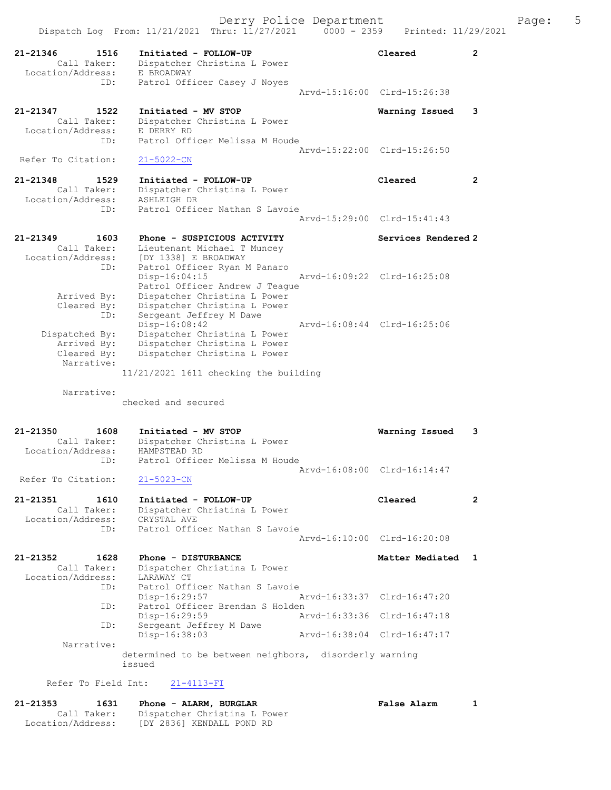Derry Police Department Page: 5 Dispatch Log From:  $11/21/2021$  Thru:  $11/27/2021$  0000 - 2359 21-21346 1516 Initiated - FOLLOW-UP Cleared 2 Call Taker: Dispatcher Christina L Power -21346<br>Call Taker: Dispatence<br>Location/Address: E BROADWAY<br>ID: Patrol Off: Patrol Officer Casey J Noyes Arvd-15:16:00 Clrd-15:26:38 21-21347 1522 Initiated - MV STOP **Warning Issued 3**<br>Call Taker: Dispatcher Christina L Power Call Taker: Dispatcher Christina L Power Location/Address: E DERRY RD ID: Patrol Officer Melissa M Houde Arvd-15:22:00 Clrd-15:26:50<br>21-5022-CN Refer To Citation: 21-21348 1529 Initiated - FOLLOW-UP Cleared 2 Call Taker: Dispatcher Christina L Power Location/Address: ASHLEIGH DR ID: Patrol Officer Nathan S Lavoie Arvd-15:29:00 Clrd-15:41:43 21-21349 1603 Phone - SUSPICIOUS ACTIVITY Services Rendered 2 Call Taker: Lieutenant Michael T Muncey Location/Address: [DY 1338] E BROADWAY ID: Patrol Officer Ryan M Panaro Disp-16:04:15 Arvd-16:09:22 Clrd-16:25:08 Patrol Officer Andrew J Teague Arrived By: Dispatcher Christina L Power Cleared By: Dispatcher Christina L Power ID: Sergeant Jeffrey M Dawe Disp-16:08:42 Arvd-16:08:44 Clrd-16:25:06 Dispatched By: Dispatcher Christina L Power Arrived By: Dispatcher Christina L Power<br>Cleared By: Dispatcher Christina L Power Dispatcher Christina L Power Narrative: 11/21/2021 1611 checking the building Narrative: checked and secured 21-21350 1608 Initiated - MV STOP Warning Issued 3 Call Taker: Dispatcher Christina L Power Location/Address: HAMPSTEAD RD ID: Patrol Officer Melissa M Houde Arvd-16:08:00 Clrd-16:14:47 Refer To Citation: 21-5023-CN 21-21351 1610 Initiated - FOLLOW-UP Cleared 2 Call Taker: Dispatcher Christina L Power Location/Address: CRYSTAL AVE ID: Patrol Officer Nathan S Lavoie Arvd-16:10:00 Clrd-16:20:08 21-21352 1628 Phone - DISTURBANCE 1 1 Matter Mediated 1 Call Taker: Dispatcher Christina L Power Call Taker: Dispatcher<br>Location/Address: LARAWAY CT<br>ID: Patrol Offi Patrol Officer Nathan S Lavoie<br>Disp-16:29:57 Disp-16:29:57 Arvd-16:33:37 Clrd-16:47:20<br>ID: Patrol Officer Brendan S Holden Patrol Officer Brendan S Holden<br>Disp-16:29:59 Ar Disp-16:29:59 Arvd-16:33:36 Clrd-16:47:18 ID: Sergeant Jeffrey M Dawe<br>Disp-16:38:03 Disp-16:38:03 Arvd-16:38:04 Clrd-16:47:17 Narrative: determined to be between neighbors, disorderly warning issued Refer To Field Int: 21-4113-FI

### 21-21353 1631 Phone - ALARM, BURGLAR False Alarm 1 Call Taker: Dispatcher Christina L Power Location/Address: [DY 2836] KENDALL POND RD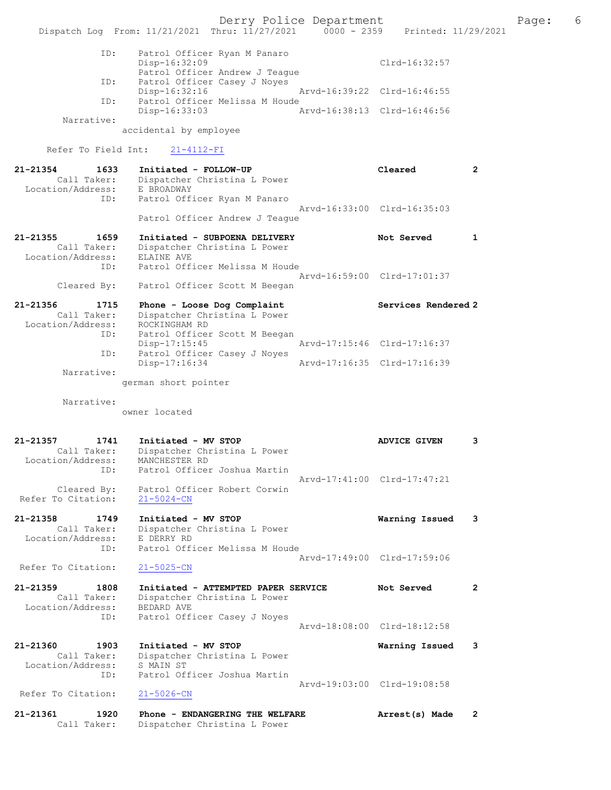Derry Police Department The Page: 6 Dispatch Log From: 11/21/2021 Thru: 11/27/2021 0000 - 2359 Printed: 11/29/2021 ID: Patrol Officer Ryan M Panaro Disp-16:32:09 Clrd-16:32:57 Patrol Officer Andrew J Teague ID: Patrol Officer Casey J Noyes Disp-16:32:16 Arvd-16:39:22 Clrd-16:46:55 ID: Patrol Officer Melissa M Houde Disp-16:33:03 Arvd-16:38:13 Clrd-16:46:56 Narrative: accidental by employee Refer To Field Int: 21-4112-FI 21-21354 1633 Initiated - FOLLOW-UP Cleared 2 Call Taker: Dispatcher Christina L Power Location/Address: E BROADWAY ID: Patrol Officer Ryan M Panaro Arvd-16:33:00 Clrd-16:35:03 Patrol Officer Andrew J Teague 21-21355 1659 Initiated - SUBPOENA DELIVERY 1 Not Served 1 Call Taker: Dispatcher Christina L Power Location/Address: ELAINE AVE ID: Patrol Officer Melissa M Houde Arvd-16:59:00 Clrd-17:01:37 Cleared By: Patrol Officer Scott M Beegan 21-21356 1715 Phone - Loose Dog Complaint Services Rendered 2 Call Taker: Dispatcher Christina L Power Location/Address: ROCKINGHAM RD ID: Patrol Officer Scott M Beegan Disp-17:15:45 Arvd-17:15:46 Clrd-17:16:37 ID: Patrol Officer Casey J Noyes Disp-17:16:34 Arvd-17:16:35 Clrd-17:16:39 Narrative: german short pointer Narrative: owner located 21-21357 1741 Initiated - MV STOP ADVICE GIVEN 3 Call Taker: Dispatcher Christina L Power Location/Address: MANCHESTER RD ID: Patrol Officer Joshua Martin Arvd-17:41:00 Clrd-17:47:21 Cleared By: Patrol Officer Robert Corwin Refer To Citation: 21-5024-CN 21-21358 1749 Initiated - MV STOP Warning Issued 3 Call Taker: Dispatcher Christina L Power Location/Address: E DERRY RD ID: Patrol Officer Melissa M Houde Arvd-17:49:00 Clrd-17:59:06<br>21-5025-CN Refer To Citation: 21-21359 1808 Initiated - ATTEMPTED PAPER SERVICE Not Served 2 Call Taker: Dispatcher Christina L Power Location/Address: BEDARD AVE ID: Patrol Officer Casey J Noyes Arvd-18:08:00 Clrd-18:12:58 21-21360 1903 Initiated - MV STOP Warning Issued 3 Call Taker: Dispatcher Christina L Power Location/Address: S MAIN ST ID: Patrol Officer Joshua Martin Arvd-19:03:00 Clrd-19:08:58<br>21-5026-CN Refer To Citation: 21-21361 1920 Phone - ENDANGERING THE WELFARE Arrest(s) Made 2 Call Taker: Dispatcher Christina L Power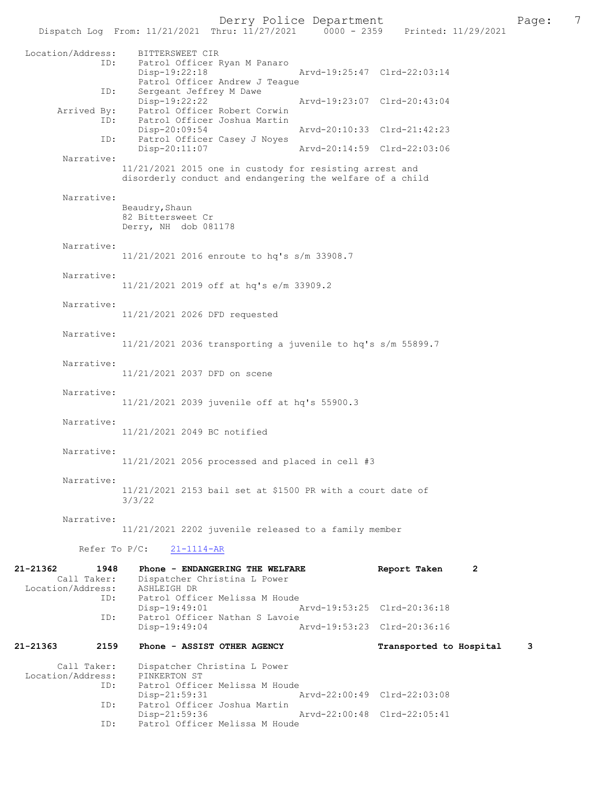|                                  | Dispatch Log From: 11/21/2021 Thru: 11/27/2021 0000 - 2359 Printed: 11/29/2021 | Derry Police Department                                                                                              |                             |                         | 7<br>Page: |  |
|----------------------------------|--------------------------------------------------------------------------------|----------------------------------------------------------------------------------------------------------------------|-----------------------------|-------------------------|------------|--|
| Location/Address:                | BITTERSWEET CIR<br>ID:<br>$Disp-19:22:18$                                      | Patrol Officer Ryan M Panaro<br>Patrol Officer Andrew J Teague                                                       | Arvd-19:25:47 Clrd-22:03:14 |                         |            |  |
|                                  | Sergeant Jeffrey M Dawe<br>ID:<br>Disp-19:22:22                                |                                                                                                                      | Arvd-19:23:07 Clrd-20:43:04 |                         |            |  |
| Arrived By:                      | ID:<br>Disp-20:09:54                                                           | Patrol Officer Robert Corwin<br>Patrol Officer Joshua Martin                                                         | Arvd-20:10:33 Clrd-21:42:23 |                         |            |  |
|                                  | ID:<br>Disp-20:11:07                                                           | Patrol Officer Casey J Noyes                                                                                         | Arvd-20:14:59 Clrd-22:03:06 |                         |            |  |
| Narrative:                       |                                                                                | 11/21/2021 2015 one in custody for resisting arrest and<br>disorderly conduct and endangering the welfare of a child |                             |                         |            |  |
| Narrative:                       |                                                                                |                                                                                                                      |                             |                         |            |  |
|                                  | Beaudry, Shaun<br>82 Bittersweet Cr<br>Derry, NH dob 081178                    |                                                                                                                      |                             |                         |            |  |
| Narrative:                       |                                                                                | 11/21/2021 2016 enroute to hq's s/m 33908.7                                                                          |                             |                         |            |  |
| Narrative:                       |                                                                                | 11/21/2021 2019 off at hq's e/m 33909.2                                                                              |                             |                         |            |  |
| Narrative:                       | 11/21/2021 2026 DFD requested                                                  |                                                                                                                      |                             |                         |            |  |
| Narrative:                       |                                                                                | $11/21/2021$ 2036 transporting a juvenile to hq's s/m 55899.7                                                        |                             |                         |            |  |
| Narrative:                       | 11/21/2021 2037 DFD on scene                                                   |                                                                                                                      |                             |                         |            |  |
| Narrative:                       |                                                                                | 11/21/2021 2039 juvenile off at hq's 55900.3                                                                         |                             |                         |            |  |
| Narrative:                       | 11/21/2021 2049 BC notified                                                    |                                                                                                                      |                             |                         |            |  |
| Narrative:                       |                                                                                | $11/21/2021$ 2056 processed and placed in cell #3                                                                    |                             |                         |            |  |
| Narrative:                       | 3/3/22                                                                         | $11/21/2021$ 2153 bail set at \$1500 PR with a court date of                                                         |                             |                         |            |  |
| Narrative:                       |                                                                                | 11/21/2021 2202 juvenile released to a family member                                                                 |                             |                         |            |  |
|                                  | Refer To $P/C$ :<br>$21 - 1114 - AR$                                           |                                                                                                                      |                             |                         |            |  |
| 21-21362                         | 1948                                                                           | Phone - ENDANGERING THE WELFARE                                                                                      |                             | Report Taken<br>2       |            |  |
| Call Taker:<br>Location/Address: | ASHLEIGH DR                                                                    | Dispatcher Christina L Power                                                                                         |                             |                         |            |  |
|                                  | ID:<br>$Disp-19:49:01$<br>ID:                                                  | Patrol Officer Melissa M Houde<br>Patrol Officer Nathan S Lavoie                                                     | Arvd-19:53:25 Clrd-20:36:18 |                         |            |  |
|                                  | Disp-19:49:04                                                                  |                                                                                                                      | Arvd-19:53:23 Clrd-20:36:16 |                         |            |  |
| 21-21363                         | 2159                                                                           | Phone - ASSIST OTHER AGENCY                                                                                          |                             | Transported to Hospital | 3          |  |
| Call Taker:                      |                                                                                | Dispatcher Christina L Power                                                                                         |                             |                         |            |  |
| Location/Address:                | PINKERTON ST<br>ID:                                                            | Patrol Officer Melissa M Houde                                                                                       |                             |                         |            |  |
|                                  | $Disp-21:59:31$<br>ID:                                                         | Patrol Officer Joshua Martin                                                                                         | Arvd-22:00:49 Clrd-22:03:08 |                         |            |  |
|                                  | Disp-21:59:36<br>ID:                                                           | Patrol Officer Melissa M Houde                                                                                       | Arvd-22:00:48 Clrd-22:05:41 |                         |            |  |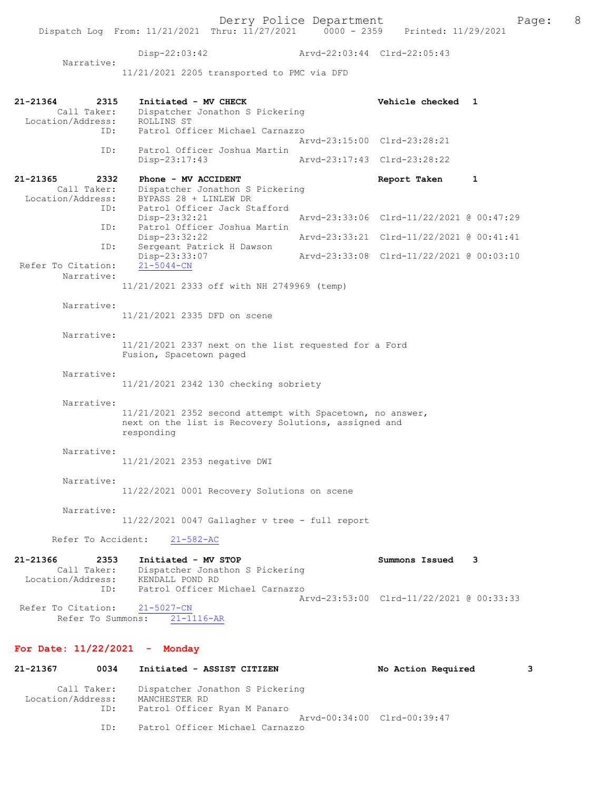Derry Police Department<br>
Page: 8<br>
Printed: 11/29/2021<br>
Printed: 11/29/2021 Disp-22:03:42 Arvd-22:03:44 Clrd-22:05:43 11/21/2021 2205 transported to PMC via DFD 21-21364 2315 Initiated - MV CHECK Vehicle checked 1 Call Taker: Dispatcher Jonathon S Pickering Dispatcher Jonathon S Pickering ROLLINS ST<br>Patrol Officer Michael Carnazzo Arvd-23:15:00 Clrd-23:28:21<br>ID: Patrol Officer Joshua Martin Patrol Officer Joshua Martin<br>Disp-23:17:43 Arvd-23:17:43 Clrd-23:28:22 21-21365 2332 Phone - MV ACCIDENT Report Taken 1<br>Call Taker: Dispatcher Jonathon S Pickering Call Taker: Dispatcher Jonathon S Pickering<br>Location/Address: BYPASS 28 + LINLEW DR ess: BYPASS 28 + LINLEW DR<br>ID: Patrol Officer Jack St Patrol Officer Jack Stafford<br>Disp-23:32:21 Disp-23:32:21 Arvd-23:33:06 Clrd-11/22/2021 @ 00:47:29 ID: Patrol Officer Joshua Martin Disp-23:32:22 Arvd-23:33:21 Clrd-11/22/2021 @ 00:41:41<br>TD: Sergeant Patrick H Dawson Sergeant Patrick H Dawson<br>Disp-23:33:07 Disp-23:33:07 Arvd-23:33:08 Clrd-11/22/2021 @ 00:03:10

11/21/2021 2333 off with NH 2749969 (temp)

Narrative:

Narrative:

Refer To Citation:

Narrative:

Location/Address:<br>ID:

11/21/2021 2335 DFD on scene

Narrative:

11/21/2021 2337 next on the list requested for a Ford Fusion, Spacetown paged

Narrative:

11/21/2021 2342 130 checking sobriety

Narrative:

11/21/2021 2352 second attempt with Spacetown, no answer, next on the list is Recovery Solutions, assigned and responding

Narrative:

11/21/2021 2353 negative DWI

Narrative:

11/22/2021 0001 Recovery Solutions on scene

Narrative:

11/22/2021 0047 Gallagher v tree - full report

Refer To Accident: 21-582-AC

| 21-21366          | 2353        | Initiated - MV STOP                      | Summons Issued 3 |  |
|-------------------|-------------|------------------------------------------|------------------|--|
|                   | Call Taker: | Dispatcher Jonathon S Pickering          |                  |  |
| Location/Address: |             | KENDALL POND RD                          |                  |  |
|                   | ID:         | Patrol Officer Michael Carnazzo          |                  |  |
|                   |             | Arvd-23:53:00 Clrd-11/22/2021 @ 00:33:33 |                  |  |
|                   |             | Refer To Citation: 21-5027-CN            |                  |  |
|                   |             | Refer To Summons: 21-1116-AR             |                  |  |

### For Date: 11/22/2021 - Monday

| 21-21367          | 0034        | Initiated - ASSIST CITIZEN                       | No Action Required          | 3 |
|-------------------|-------------|--------------------------------------------------|-----------------------------|---|
| Location/Address: | Call Taker: | Dispatcher Jonathon S Pickering<br>MANCHESTER RD |                             |   |
|                   | ID:         | Patrol Officer Ryan M Panaro                     |                             |   |
|                   |             |                                                  | Arvd-00:34:00 Clrd-00:39:47 |   |
|                   | ID:         | Patrol Officer Michael Carnazzo                  |                             |   |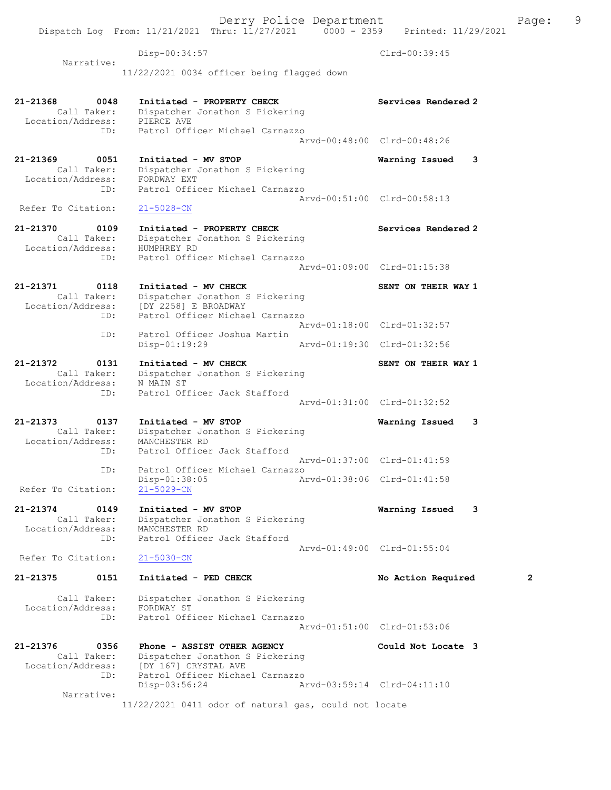Dispatch Log From: 11/21/2021 Thru: 11/27/2021 0000 - 2359 Printed: 11/29/2021 Disp-00:34:57 Clrd-00:39:45 Narrative: 11/22/2021 0034 officer being flagged down 21-21368 0048 Initiated - PROPERTY CHECK Services Rendered 2 Call Taker: Dispatcher Jonathon S Pickering Location/Address: PIERCE AVE ID: Patrol Officer Michael Carnazzo Arvd-00:48:00 Clrd-00:48:26 21-21369 0051 Initiated - MV STOP Warning Issued 3 Call Taker: Dispatcher Jonathon S Pickering Location/Address: FORDWAY EXT ID: Patrol Officer Michael Carnazzo Arvd-00:51:00 Clrd-00:58:13<br>21-5028-CN Refer To Citation: 21-21370 0109 Initiated - PROPERTY CHECK Services Rendered 2 Call Taker: Dispatcher Jonathon S Pickering Location/Address: HUMPHREY RD ID: Patrol Officer Michael Carnazzo Arvd-01:09:00 Clrd-01:15:38 21-21371 0118 Initiated - MV CHECK SENT ON THEIR WAY 1 Call Taker: Dispatcher Jonathon S Pickering Location/Address: [DY 2258] E BROADWAY ID: Patrol Officer Michael Carnazzo Arvd-01:18:00 Clrd-01:32:57 ID: Patrol Officer Joshua Martin Arvd-01:19:30 Clrd-01:32:56 21-21372 0131 Initiated - MV CHECK SENT ON THEIR WAY 1 Call Taker: Dispatcher Jonathon S Pickering Location/Address: N MAIN ST ID: Patrol Officer Jack Stafford Arvd-01:31:00 Clrd-01:32:52 21-21373 0137 Initiated - MV STOP Warning Issued 3 Call Taker: Dispatcher Jonathon S Pickering Location/Address: MANCHESTER RD ID: Patrol Officer Jack Stafford Arvd-01:37:00 Clrd-01:41:59 ID: Patrol Officer Michael Carnazzo Disp-01:38:05 Arvd-01:38:06 Clrd-01:41:58 Refer To Citation: 21-5029-CN 21-21374 0149 Initiated - MV STOP Warning Issued 3 Call Taker: Dispatcher Jonathon S Pickering Location/Address: MANCHESTER RD ID: Patrol Officer Jack Stafford Arvd-01:49:00 Clrd-01:55:04<br>21-5030-CN Refer To Citation: 21-21375 0151 Initiated - PED CHECK No Action Required 2 Call Taker: Dispatcher Jonathon S Pickering Location/Address: FORDWAY ST ID: Patrol Officer Michael Carnazzo Arvd-01:51:00 Clrd-01:53:06 21-21376 0356 Phone - ASSIST OTHER AGENCY Could Not Locate 3 Call Taker: Dispatcher Jonathon S Pickering Location/Address: [DY 167] CRYSTAL AVE ID: Patrol Officer Michael Carnazzo Disp-03:56:24 Arvd-03:59:14 Clrd-04:11:10 Narrative: 11/22/2021 0411 odor of natural gas, could not locate

Derry Police Department Fage: 9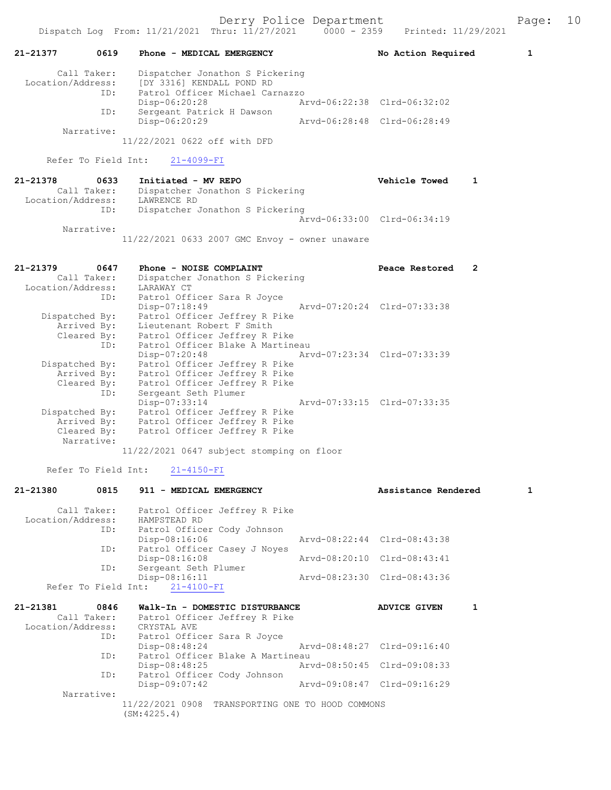Derry Police Department Fage: 10

|                                                                                                                                            | No Action Required<br>1     |  |
|--------------------------------------------------------------------------------------------------------------------------------------------|-----------------------------|--|
| 0619<br>21-21377<br><b>Phone - MEDICAL EMERGENCY</b>                                                                                       |                             |  |
| Dispatcher Jonathon S Pickering<br>Call Taker:<br>Location/Address:<br>[DY 3316] KENDALL POND RD<br>Patrol Officer Michael Carnazzo<br>ID: |                             |  |
| $Disp-06:20:28$<br>Sergeant Patrick H Dawson<br>ID:                                                                                        | Arvd-06:22:38 Clrd-06:32:02 |  |
| Disp-06:20:29<br>Narrative:<br>11/22/2021 0622 off with DFD                                                                                | Arvd-06:28:48 Clrd-06:28:49 |  |
| Refer To Field Int: 21-4099-FI                                                                                                             |                             |  |
| 21-21378<br>0633<br>Initiated - MV REPO<br>Dispatcher Jonathon S Pickering<br>Call Taker:<br>Location/Address:<br>LAWRENCE RD              | <b>Vehicle Towed</b><br>1   |  |
| Dispatcher Jonathon S Pickering<br>ID:<br>Narrative:                                                                                       | Arvd-06:33:00 Clrd-06:34:19 |  |

11/22/2021 0633 2007 GMC Envoy - owner unaware

| 0647<br>21-21379<br>Call Taker:<br>Location/Address: LARAWAY CT | Phone - NOISE COMPLAINT<br>Dispatcher Jonathon S Pickering                      | Peace Restored | 2 |
|-----------------------------------------------------------------|---------------------------------------------------------------------------------|----------------|---|
|                                                                 | ID: Patrol Officer Sara R Joyce<br>Arvd-07:20:24 Clrd-07:33:38<br>Disp-07:18:49 |                |   |
| Dispatched By:                                                  | Patrol Officer Jeffrey R Pike                                                   |                |   |
|                                                                 | Arrived By: Lieutenant Robert F Smith                                           |                |   |
|                                                                 | Cleared By: Patrol Officer Jeffrey R Pike                                       |                |   |
|                                                                 | ID: Patrol Officer Blake A Martineau                                            |                |   |
|                                                                 | Disp-07:20:48 Arvd-07:23:34 Clrd-07:33:39                                       |                |   |
| Dispatched By:                                                  | Patrol Officer Jeffrey R Pike                                                   |                |   |
|                                                                 | Arrived By: Patrol Officer Jeffrey R Pike                                       |                |   |
|                                                                 | Cleared By: Patrol Officer Jeffrey R Pike                                       |                |   |
| ID:                                                             | Sergeant Seth Plumer                                                            |                |   |
|                                                                 | Disp-07:33:14                                                                   |                |   |
| Dispatched By:                                                  | Patrol Officer Jeffrey R Pike                                                   |                |   |
|                                                                 | Arrived By: Patrol Officer Jeffrey R Pike                                       |                |   |
| Narrative:                                                      | Cleared By: Patrol Officer Jeffrey R Pike                                       |                |   |
|                                                                 | 11/22/2021 0647 subject stomping on floor                                       |                |   |

Refer To Field Int: 21-4150-FI

| 21-21380          | 0815        | 911 - MEDICAL EMERGENCY                          | Assistance Rendered         | 1 |
|-------------------|-------------|--------------------------------------------------|-----------------------------|---|
|                   |             | Call Taker: Patrol Officer Jeffrey R Pike        |                             |   |
| Location/Address: |             | HAMPSTEAD RD                                     |                             |   |
|                   | ID:         | Patrol Officer Cody Johnson                      |                             |   |
|                   |             | Disp-08:16:06                                    | Arvd-08:22:44 Clrd-08:43:38 |   |
|                   | ID:         | Patrol Officer Casey J Noyes                     |                             |   |
|                   |             | Disp-08:16:08                                    | Arvd-08:20:10 Clrd-08:43:41 |   |
|                   | ID:         | Sergeant Seth Plumer                             |                             |   |
|                   |             | Disp-08:16:11                                    | Arvd-08:23:30 Clrd-08:43:36 |   |
|                   |             | Refer To Field Int: 21-4100-FI                   |                             |   |
| 21-21381          | 0846        | Walk-In - DOMESTIC DISTURBANCE                   | 1<br><b>ADVICE GIVEN</b>    |   |
|                   |             |                                                  |                             |   |
|                   | Call Taker: | Patrol Officer Jeffrey R Pike                    |                             |   |
|                   |             | Location/Address: CRYSTAL AVE                    |                             |   |
|                   | ID:         | Patrol Officer Sara R Joyce                      |                             |   |
|                   |             | Disp-08:48:24                                    | Arvd-08:48:27 Clrd-09:16:40 |   |
|                   | ID:         | Patrol Officer Blake A Martineau                 |                             |   |
|                   |             | $Disp-08:48:25$                                  | Arvd-08:50:45 Clrd-09:08:33 |   |
|                   | ID:         | Patrol Officer Cody Johnson                      |                             |   |
|                   |             | $Disp-09:07:42$                                  | Arvd-09:08:47 Clrd-09:16:29 |   |
|                   | Narrative:  |                                                  |                             |   |
|                   |             | 11/22/2021 0908 TRANSPORTING ONE TO HOOD COMMONS |                             |   |
|                   |             | (SM: 4225.4)                                     |                             |   |
|                   |             |                                                  |                             |   |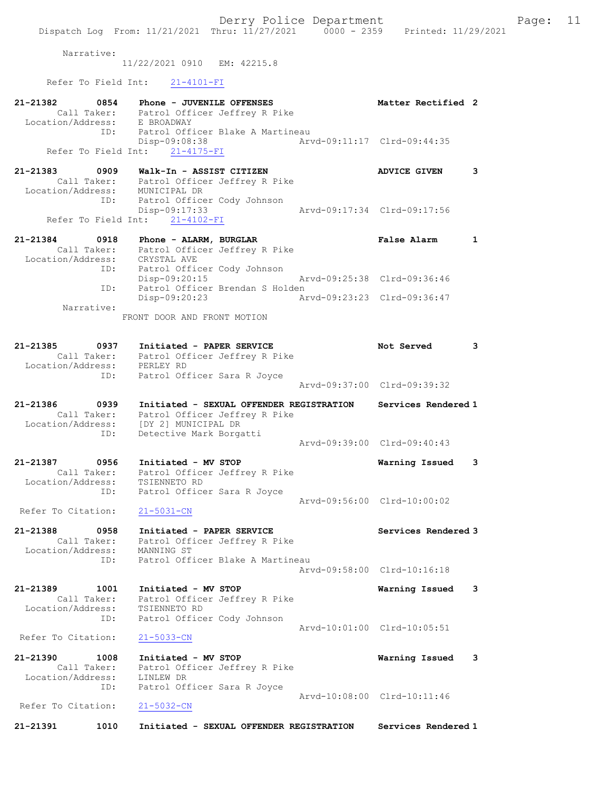

Arvd-10:08:00 Clrd-10:11:46<br>21-5032-CN Refer To Citation:

21-21391 1010 Initiated - SEXUAL OFFENDER REGISTRATION Services Rendered 1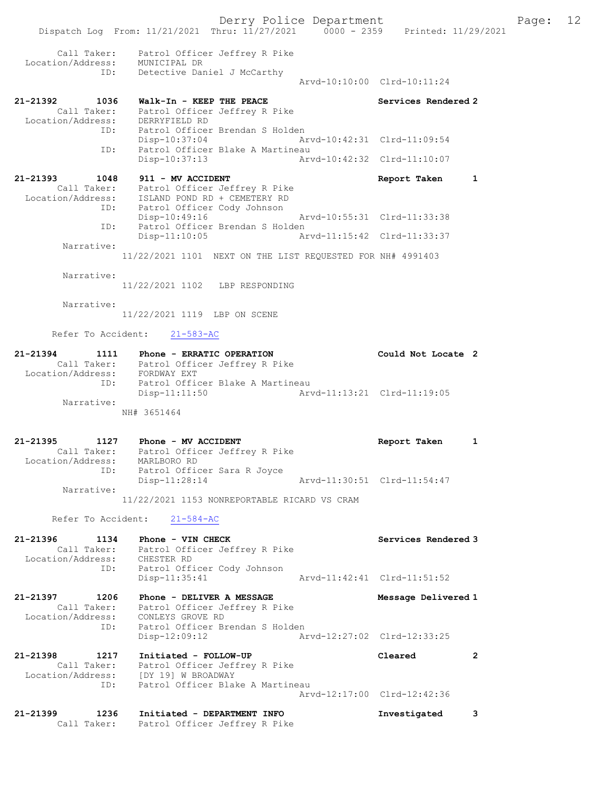Derry Police Department Fage: 12 Dispatch Log From: 11/21/2021 Thru: 11/27/2021 0000 - 2359 Printed: 11/29/2021 Call Taker: Patrol Officer Jeffrey R Pike Location/Address: MUNICIPAL DR ID: Detective Daniel J McCarthy Arvd-10:10:00 Clrd-10:11:24 21-21392 1036 Walk-In - KEEP THE PEACE Next Services Rendered 2 Call Taker: Patrol Officer Jeffrey R Pike Location/Address: DERRYFIELD RD ID: Patrol Officer Brendan S Holden Disp-10:37:04 Arvd-10:42:31 Clrd-11:09:54 ID: Patrol Officer Blake A Martineau<br>Disp-10:37:13 hrvd-10:42:32 Clrd-11:10:07 Disp-10:37:13 21-21393 1048 911 - MV ACCIDENT Report Taken 1 Call Taker: Patrol Officer Jeffrey R Pike Location/Address: ISLAND POND RD + CEMETERY RD ID: Patrol Officer Cody Johnson Disp-10:49:16 Arvd-10:55:31 Clrd-11:33:38 ID: Patrol Officer Brendan S Holden Disp-11:10:05 Arvd-11:15:42 Clrd-11:33:37 Narrative: 11/22/2021 1101 NEXT ON THE LIST REQUESTED FOR NH# 4991403 Narrative: 11/22/2021 1102 LBP RESPONDING Narrative: 11/22/2021 1119 LBP ON SCENE Refer To Accident: 21-583-AC 21-21394 1111 Phone - ERRATIC OPERATION Could Not Locate 2 Call Taker: Patrol Officer Jeffrey R Pike Location/Address: FORDWAY EXT ID: Patrol Officer Blake A Martineau Disp-11:11:50 Arvd-11:13:21 Clrd-11:19:05 Narrative: NH# 3651464 21-21395 1127 Phone - MV ACCIDENT Report Taken 1 Call Taker: Patrol Officer Jeffrey R Pike Location/Address: MARLBORO RD ID: Patrol Officer Sara R Joyce Disp-11:28:14 Arvd-11:30:51 Clrd-11:54:47 Narrative: 11/22/2021 1153 NONREPORTABLE RICARD VS CRAM Refer To Accident: 21-584-AC 21-21396 1134 Phone - VIN CHECK Services Rendered 3 Call Taker: Patrol Officer Jeffrey R Pike Location/Address: CHESTER RD ID: Patrol Officer Cody Johnson CHESTER RD<br>Patrol Officer Cody Johnson<br>Arvd-11:42:41 Clrd-11:51:52 21-21397 1206 Phone - DELIVER A MESSAGE Nessage Delivered 1 Call Taker: Patrol Officer Jeffrey R Pike Location/Address: CONLEYS GROVE RD ID: Patrol Officer Brendan S Holden Disp-12:09:12 Arvd-12:27:02 Clrd-12:33:25 21-21398 1217 Initiated - FOLLOW-UP Cleared 2 Call Taker: Patrol Officer Jeffrey R Pike Location/Address: [DY 19] W BROADWAY ID: Patrol Officer Blake A Martineau Arvd-12:17:00 Clrd-12:42:36 21-21399 1236 Initiated - DEPARTMENT INFO Investigated 3 Call Taker: Patrol Officer Jeffrey R Pike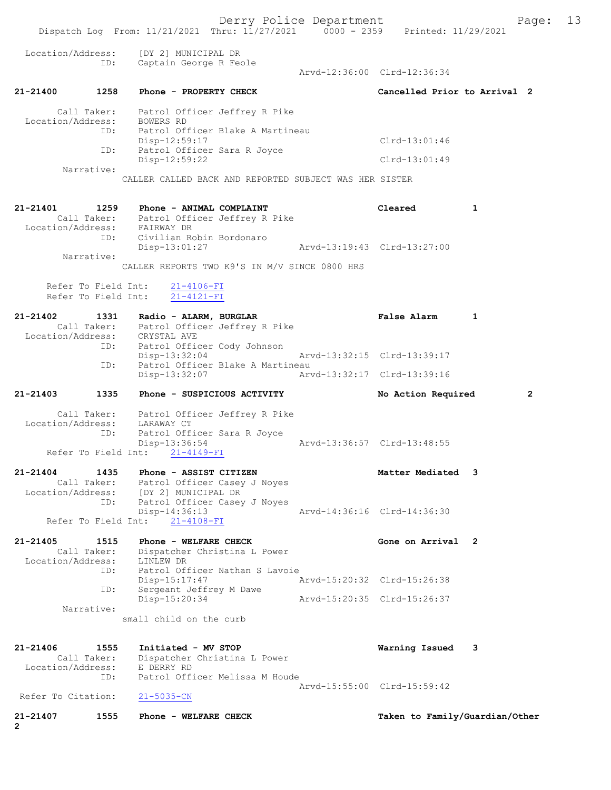Derry Police Department Fage: 13 Dispatch Log From: 11/21/2021 Thru: 11/27/2021 0000 - 2359 Printed: 11/29/2021 Location/Address: [DY 2] MUNICIPAL DR ID: Captain George R Feole Arvd-12:36:00 Clrd-12:36:34 21-21400 1258 Phone - PROPERTY CHECK Cancelled Prior to Arrival 2 Call Taker: Patrol Officer Jeffrey R Pike Location/Address: BOWERS RD ID: Patrol Officer Blake A Martineau Disp-12:59:17 Clrd-13:01:46 ID: Patrol Officer Sara R Joyce Disp-12:59:22 Clrd-13:01:49 Narrative: CALLER CALLED BACK AND REPORTED SUBJECT WAS HER SISTER 21-21401 1259 Phone - ANIMAL COMPLAINT Cleared 1 Call Taker: Patrol Officer Jeffrey R Pike Location/Address: FAIRWAY DR ID: Civilian Robin Bordonaro Disp-13:01:27 Arvd-13:19:43 Clrd-13:27:00 Narrative: CALLER REPORTS TWO K9'S IN M/V SINCE 0800 HRS Refer To Field Int: 21-4106-FI Refer To Field Int: 21-4121-FI 21-21402 1331 Radio - ALARM, BURGLAR False Alarm 1 Call Taker: Patrol Officer Jeffrey R Pike Location/Address: CRYSTAL AVE ID: Patrol Officer Cody Johnson Disp-13:32:04 Arvd-13:32:15 Clrd-13:39:17 ID: Patrol Officer Blake A Martineau Disp-13:32:07 Arvd-13:32:17 Clrd-13:39:16 21-21403 1335 Phone - SUSPICIOUS ACTIVITY No Action Required 2 Call Taker: Patrol Officer Jeffrey R Pike Location/Address: LARAWAY CT ID: Patrol Officer Sara R Joyce Disp-13:36:54 Arvd-13:36:57 Clrd-13:48:55 Refer To Field Int: 21-4149-FI 21-21404 1435 Phone - ASSIST CITIZEN 121 Matter Mediated 3 Call Taker: Patrol Officer Casey J Noyes Location/Address: [DY 2] MUNICIPAL DR ID: Patrol Officer Casey J Noyes Disp-14:36:13 Arvd-14:36:16 Clrd-14:36:30 Refer To Field Int: 21-4108-FI 21-21405 1515 Phone - WELFARE CHECK Gone on Arrival 2 Call Taker: Dispatcher Christina L Power Location/Address: LINLEW DR ID: Patrol Officer Nathan S Lavoie Disp-15:17:47 Arvd-15:20:32 Clrd-15:26:38 ID: Sergeant Jeffrey M Dawe Disp-15:20:34 Arvd-15:20:35 Clrd-15:26:37 Narrative: small child on the curb 21-21406 1555 Initiated - MV STOP Warning Issued 3 Call Taker: Dispatcher Christina L Power Location/Address: E DERRY RD ID: Patrol Officer Melissa M Houde Arvd-15:55:00 Clrd-15:59:42 Refer To Citation: 21-5035-CN 21-21407 1555 Phone - WELFARE CHECK Taken to Family/Guardian/Other 2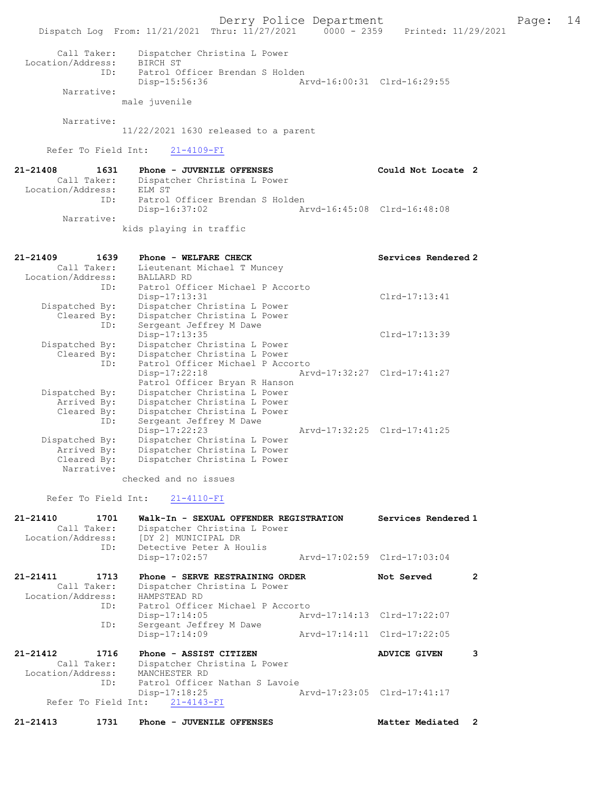Derry Police Department Form Page: 14 Dispatch Log From: 11/21/2021 Thru: 11/27/2021 0000 - 2359 Printed: 11/29/2021 Call Taker: Dispatcher Christina L Power Location/Address: BIRCH ST ID: Patrol Officer Brendan S Holden Disp-15:56:36 Arvd-16:00:31 Clrd-16:29:55 Narrative: male juvenile Narrative: 11/22/2021 1630 released to a parent Refer To Field Int: 21-4109-FI 21-21408 1631 Phone - JUVENILE OFFENSES Could Not Locate 2 Call Taker: Dispatcher Christina L Power Location/Address: ELM ST ID: Patrol Officer Brendan S Holden Disp-16:37:02 Arvd-16:45:08 Clrd-16:48:08 Narrative: kids playing in traffic 21-21409 1639 Phone - WELFARE CHECK Services Rendered 2 Call Taker: Lieutenant Michael T Muncey Location/Address: BALLARD RD ID: Patrol Officer Michael P Accorto Disp-17:13:31 Clrd-17:13:41 Dispatched By: Dispatcher Christina L Power Cleared By: Dispatcher Christina L Power ID: Sergeant Jeffrey M Dawe Disp-17:13:35 Clrd-17:13:39 Dispatched By: Dispatcher Christina L Power Cleared By: Dispatcher Christina L Power ID: Patrol Officer Michael P Accorto Disp-17:22:18 Arvd-17:32:27 Clrd-17:41:27 Patrol Officer Bryan R Hanson Dispatched By: Dispatcher Christina L Power Arrived By: Dispatcher Christina L Power Cleared By: Dispatcher Christina L Power ID: Sergeant Jeffrey M Dawe Disp-17:22:23 Arvd-17:32:25 Clrd-17:41:25 Dispatched By: Dispatcher Christina L Power<br>Arrived By: Dispatcher Christina L Power Dispatcher Christina L Power Cleared By: Dispatcher Christina L Power Narrative: checked and no issues Refer To Field Int: 21-4110-FI 21-21410 1701 Walk-In - SEXUAL OFFENDER REGISTRATION Services Rendered 1 Call Taker: Dispatcher Christina L Power<br>Location/Address: [DY 2] MUNICIPAL DR ess: [DY<sup>^</sup>2] MUNICIPAL DR<br>ID: Detective Peter A Ho Detective Peter A Houlis<br>Disp-17:02:57 Disp-17:02:57 Arvd-17:02:59 Clrd-17:03:04 21-21411 1713 Phone - SERVE RESTRAINING ORDER Not Served 2 Call Taker: Dispatcher Christina L Power Location/Address: HAMPSTEAD RD ID: Patrol Officer Michael P Accorto Disp-17:14:05 Arvd-17:14:13 Clrd-17:22:07 ID: Sergeant Jeffrey M Dawe<br>Disp-17:14:09 Arvd-17:14:11 Clrd-17:22:05 21-21412 1716 Phone - ASSIST CITIZEN ADVICE GIVEN 3<br>Call Taker: Dispatcher Christina L Power Dispatcher Christina L Power<br>MANCHESTER RD Location/Address:<br>ID: Patrol Officer Nathan S Lavoie<br>Disp-17:18:25 Disp-17:18:25 Arvd-17:23:05 Clrd-17:41:17

Refer To Field Int: 21-4143-FI

21-21413 1731 Phone - JUVENILE OFFENSES Matter Mediated 2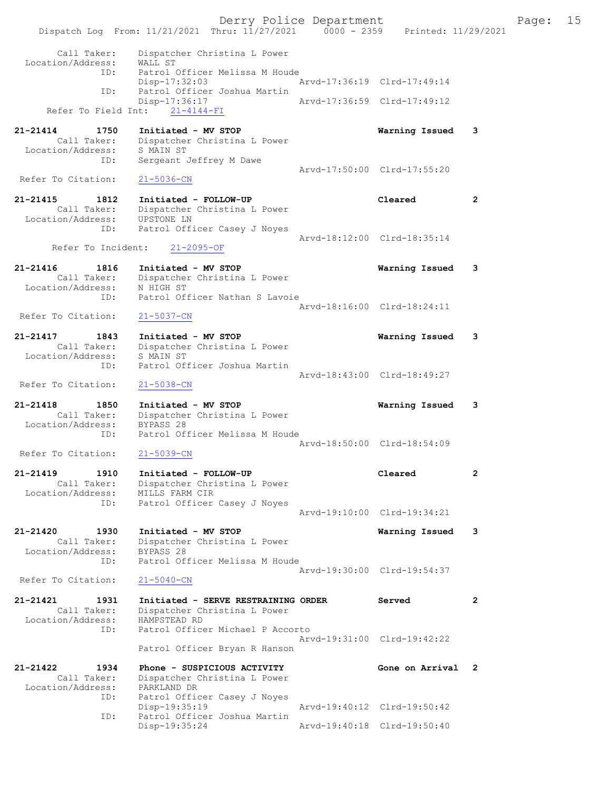Derry Police Department Fage: 15 Dispatch Log From: 11/21/2021 Thru: 11/27/2021 0000 - 2359 Printed: 11/29/2021 Call Taker: Dispatcher Christina L Power Location/Address: WALL ST ID: Patrol Officer Melissa M Houde Disp-17:32:03 Arvd-17:36:19 Clrd-17:49:14 ID: Patrol Officer Joshua Martin Disp-17:36:17 Arvd-17:36:59 Clrd-17:49:12 Refer To Field Int: 21-4144-FI 21-21414 1750 Initiated - MV STOP Warning Issued 3 Call Taker: Dispatcher Christina L Power Location/Address: S MAIN ST ID: Sergeant Jeffrey M Dawe Arvd-17:50:00 Clrd-17:55:20<br>21-5036-CN Refer To Citation: 21-21415 1812 Initiated - FOLLOW-UP Cleared 2 Call Taker: Dispatcher Christina L Power Location/Address: UPSTONE LN ID: Patrol Officer Casey J Noyes Arvd-18:12:00 Clrd-18:35:14 Refer To Incident: 21-2095-OF 21-21416 1816 Initiated - MV STOP Warning Issued 3 Call Taker: Dispatcher Christina L Power Location/Address: N HIGH ST ID: Patrol Officer Nathan S Lavoie Arvd-18:16:00 Clrd-18:24:11<br>21-5037-CN Refer To Citation: 21-21417 1843 Initiated - MV STOP Warning Issued 3 Call Taker: Dispatcher Christina L Power Location/Address: S MAIN ST ID: Patrol Officer Joshua Martin Arvd-18:43:00 Clrd-18:49:27 Refer To Citation: 21-5038-CN 21-21418 1850 Initiated - MV STOP Warning Issued 3 Call Taker: Dispatcher Christina L Power Location/Address: BYPASS 28 ID: Patrol Officer Melissa M Houde Arvd-18:50:00 Clrd-18:54:09 Refer To Citation: 21-5039-CN 21-21419 1910 Initiated - FOLLOW-UP Cleared 2 Call Taker: Dispatcher Christina L Power Location/Address: MILLS FARM CIR ID: Patrol Officer Casey J Noyes Arvd-19:10:00 Clrd-19:34:21 21-21420 1930 Initiated - MV STOP Warning Issued 3 Call Taker: Dispatcher Christina L Power Location/Address: BYPASS 28 ID: Patrol Officer Melissa M Houde Arvd-19:30:00 Clrd-19:54:37<br>21-5040-CN Refer To Citation: 21-21421 1931 Initiated - SERVE RESTRAINING ORDER Served 2 Call Taker: Dispatcher Christina L Power Location/Address: HAMPSTEAD RD ID: Patrol Officer Michael P Accorto Arvd-19:31:00 Clrd-19:42:22 Patrol Officer Bryan R Hanson 21-21422 1934 Phone - SUSPICIOUS ACTIVITY Gone on Arrival 2 Call Taker: Dispatcher Christina L Power Location/Address: PARKLAND DR ID: Patrol Officer Casey J Noyes<br>Disp-19:35:19 Disp-19:35:19 <br>
Disp-19:35:19 Arvd-19:40:12 Clrd-19:50:42<br>
Displays at the Martin Patrol Officer Joshua Martin Disp-19:35:24 Arvd-19:40:18 Clrd-19:50:40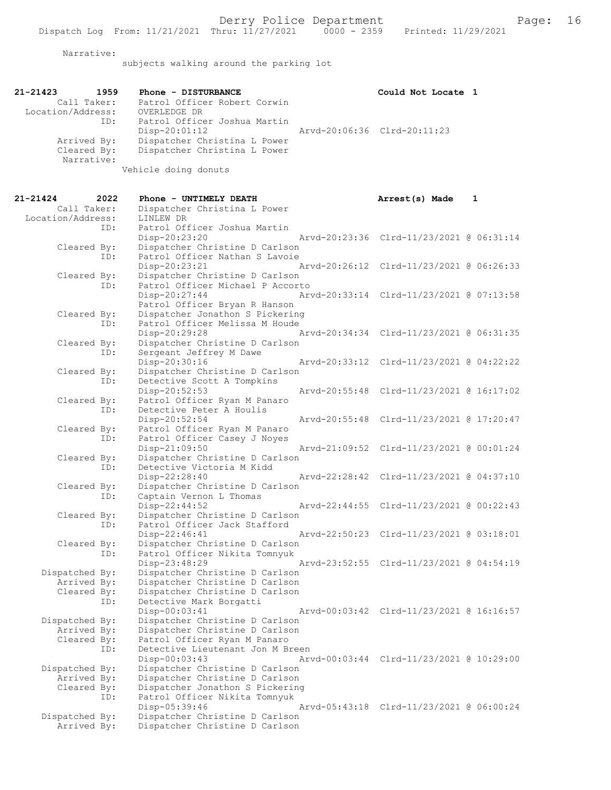Narrative:

subjects walking around the parking lot

| 21-21423          | 1959        | Phone - DISTURBANCE          | Could Not Locate 1          |  |
|-------------------|-------------|------------------------------|-----------------------------|--|
|                   | Call Taker: | Patrol Officer Robert Corwin |                             |  |
| Location/Address: |             | OVERLEDGE DR                 |                             |  |
|                   | ID:         | Patrol Officer Joshua Martin |                             |  |
|                   |             | $Disp-20:01:12$              | Arvd-20:06:36 Clrd-20:11:23 |  |
|                   | Arrived By: | Dispatcher Christina L Power |                             |  |
|                   | Cleared By: | Dispatcher Christina L Power |                             |  |
|                   | Narrative:  |                              |                             |  |
|                   |             | .                            |                             |  |

Vehicle doing donuts

| 21-21424                      | 2022 | Phone - UNTIMELY DEATH                                           | Arrest(s) Made                           | 1 |
|-------------------------------|------|------------------------------------------------------------------|------------------------------------------|---|
| Call Taker:                   |      | Dispatcher Christina L Power                                     |                                          |   |
| Location/Address:             |      | LINLEW DR                                                        |                                          |   |
|                               | ID:  | Patrol Officer Joshua Martin                                     |                                          |   |
|                               |      | Disp-20:23:20                                                    | Arvd-20:23:36 Clrd-11/23/2021 @ 06:31:14 |   |
| Cleared By:                   |      | Dispatcher Christine D Carlson                                   |                                          |   |
|                               | ID:  | Patrol Officer Nathan S Lavoie                                   |                                          |   |
|                               |      | Disp-20:23:21<br>Arvd-20:26:12                                   | Clrd-11/23/2021 @ 06:26:33               |   |
| Cleared By:                   |      | Dispatcher Christine D Carlson                                   |                                          |   |
|                               | ID:  | Patrol Officer Michael P Accorto                                 |                                          |   |
|                               |      | Disp-20:27:44                                                    | Arvd-20:33:14 Clrd-11/23/2021 @ 07:13:58 |   |
|                               |      | Patrol Officer Bryan R Hanson                                    |                                          |   |
| Cleared By:                   |      | Dispatcher Jonathon S Pickering                                  |                                          |   |
|                               | ID:  | Patrol Officer Melissa M Houde                                   |                                          |   |
|                               |      | Disp-20:29:28                                                    | Arvd-20:34:34 Clrd-11/23/2021 @ 06:31:35 |   |
| Cleared By:                   |      | Dispatcher Christine D Carlson                                   |                                          |   |
|                               | ID:  | Sergeant Jeffrey M Dawe                                          |                                          |   |
|                               |      | Disp-20:30:16<br>Arvd-20:33:12                                   | Clrd-11/23/2021 @ 04:22:22               |   |
| Cleared By:                   | ID:  | Dispatcher Christine D Carlson                                   |                                          |   |
|                               |      | Detective Scott A Tompkins<br>Disp-20:52:53<br>Arvd-20:55:48     | Clrd-11/23/2021 @ 16:17:02               |   |
| Cleared By:                   |      | Patrol Officer Ryan M Panaro                                     |                                          |   |
|                               | ID:  | Detective Peter A Houlis                                         |                                          |   |
|                               |      | Disp-20:52:54                                                    | Arvd-20:55:48 Clrd-11/23/2021 @ 17:20:47 |   |
| Cleared By:                   |      | Patrol Officer Ryan M Panaro                                     |                                          |   |
|                               | ID:  | Patrol Officer Casey J Noyes                                     |                                          |   |
|                               |      | Disp-21:09:50                                                    | Arvd-21:09:52 Clrd-11/23/2021 @ 00:01:24 |   |
| Cleared By:                   |      | Dispatcher Christine D Carlson                                   |                                          |   |
|                               | ID:  | Detective Victoria M Kidd                                        |                                          |   |
|                               |      | Disp-22:28:40                                                    | Arvd-22:28:42 Clrd-11/23/2021 @ 04:37:10 |   |
| Cleared By:                   |      | Dispatcher Christine D Carlson                                   |                                          |   |
|                               | ID:  | Captain Vernon L Thomas                                          |                                          |   |
|                               |      | Disp-22:44:52<br>Arvd-22:44:55                                   | Clrd-11/23/2021 @ 00:22:43               |   |
| Cleared By:                   |      | Dispatcher Christine D Carlson                                   |                                          |   |
|                               | ID:  | Patrol Officer Jack Stafford                                     |                                          |   |
|                               |      | Disp-22:46:41                                                    | Arvd-22:50:23 Clrd-11/23/2021 @ 03:18:01 |   |
| Cleared By:                   |      | Dispatcher Christine D Carlson                                   |                                          |   |
|                               | ID:  | Patrol Officer Nikita Tomnyuk                                    |                                          |   |
|                               |      | Disp-23:48:29                                                    | Arvd-23:52:55 Clrd-11/23/2021 @ 04:54:19 |   |
| Dispatched By:<br>Arrived By: |      | Dispatcher Christine D Carlson<br>Dispatcher Christine D Carlson |                                          |   |
| Cleared By:                   |      | Dispatcher Christine D Carlson                                   |                                          |   |
|                               | ID:  | Detective Mark Borgatti                                          |                                          |   |
|                               |      | Disp-00:03:41                                                    | Arvd-00:03:42 Clrd-11/23/2021 @ 16:16:57 |   |
| Dispatched By:                |      | Dispatcher Christine D Carlson                                   |                                          |   |
| Arrived By:                   |      | Dispatcher Christine D Carlson                                   |                                          |   |
| Cleared By:                   |      | Patrol Officer Ryan M Panaro                                     |                                          |   |
|                               | ID:  | Detective Lieutenant Jon M Breen                                 |                                          |   |
|                               |      | Disp-00:03:43                                                    | Arvd-00:03:44 Clrd-11/23/2021 @ 10:29:00 |   |
| Dispatched By:                |      | Dispatcher Christine D Carlson                                   |                                          |   |
| Arrived By:                   |      | Dispatcher Christine D Carlson                                   |                                          |   |
| Cleared By:                   |      | Dispatcher Jonathon S Pickering                                  |                                          |   |
|                               | ID:  | Patrol Officer Nikita Tomnyuk                                    |                                          |   |
|                               |      | Disp-05:39:46                                                    | Arvd-05:43:18 Clrd-11/23/2021 @ 06:00:24 |   |
| Dispatched By:                |      | Dispatcher Christine D Carlson                                   |                                          |   |
| Arrived By:                   |      | Dispatcher Christine D Carlson                                   |                                          |   |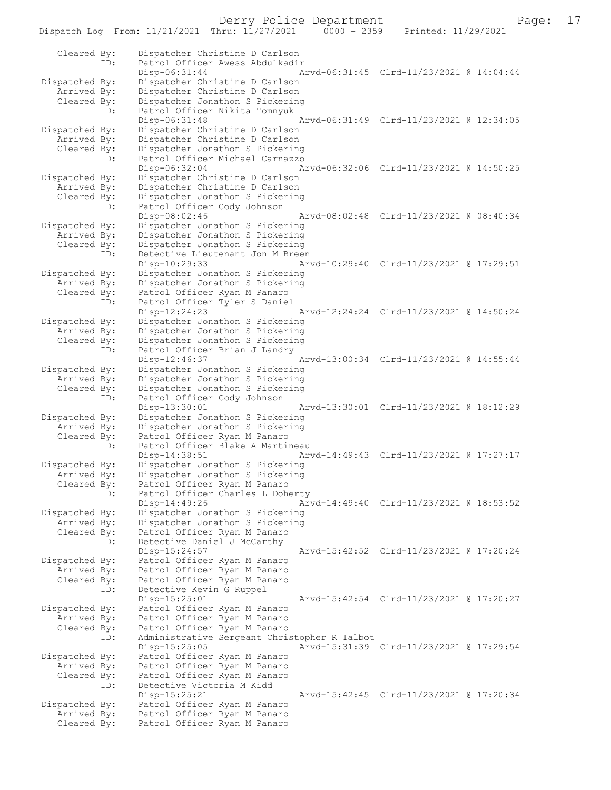Derry Police Department<br>hru:  $11/27/2021$  0000 - 2359 Printed:  $11/29/2021$  Page: 17

Dispatch Log From: 11/21/2021 Thru: 11/27/2021 Cleared By: Dispatcher Christine D Carlson ID: Patrol Officer Awess Abdulkadir Disp-06:31:44 Arvd-06:31:45 Clrd-11/23/2021 @ 14:04:44<br>Dispatched By: Dispatcher Christine D Carlson patched By: Dispatcher Christine D Carlson<br>Arrived By: Dispatcher Christine D Carlson Arrived By: Dispatcher Christine D Carlson<br>Cleared By: Dispatcher Jonathon S Pickerine Dispatcher Jonathon S Pickering ID: Patrol Officer Nikita Tomnyuk Disp-06:31:48 Arvd-06:31:49 Clrd-11/23/2021 @ 12:34:05<br>Dispatched By: Dispatcher Christine D Carlson patched By: Dispatcher Christine D Carlson<br>Arrived By: Dispatcher Christine D Carlson Dispatcher Christine D Carlson Cleared By: Dispatcher Jonathon S Pickering ID: Patrol Officer Michael Carnazzo Disp-06:32:04 Arvd-06:32:06 Clrd-11/23/2021 @ 14:50:25 Dispatched By: Dispatcher Christine D Carlson Arrived By: Dispatcher Christine D Carlson<br>Cleared By: Dispatcher Jonathon S Pickerine Dispatcher Jonathon S Pickering ID: Patrol Officer Cody Johnson<br>Disp-08:02:46 Disp-08:02:46 Arvd-08:02:48 Clrd-11/23/2021 @ 08:40:34 Dispatched By: Dispatcher Jonathon S Pickering<br>Arrived By: Dispatcher Jonathon S Pickering Arrived By: Dispatcher Jonathon S Pickering<br>Cleared By: Dispatcher Jonathon S Pickering Dispatcher Jonathon S Pickering ID: Detective Lieutenant Jon M Breen<br>Disp-10:29:33 Ar Disp-10:29:33 Arvd-10:29:40 Clrd-11/23/2021 @ 17:29:51<br>Dispatched By: Dispatcher Jonathon S Pickering Dispatcher Jonathon S Pickering Arrived By: Dispatcher Jonathon S Pickering<br>Cleared By: Patrol Officer Ryan M Panaro Patrol Officer Ryan M Panaro ID: Patrol Officer Tyler S Daniel Disp-12:24:23 Arvd-12:24:24 Clrd-11/23/2021 @ 14:50:24 Dispatched By: Dispatcher Jonathon S Pickering Arrived By: Dispatcher Jonathon S Pickering<br>Cleared By: Dispatcher Jonathon S Pickering Dispatcher Jonathon S Pickering ID: Patrol Officer Brian J Landry Disp-12:46:37 Arvd-13:00:34 Clrd-11/23/2021 @ 14:55:44<br>Dispatched By: Dispatcher Jonathon S Pickering patched By: Dispatcher Jonathon S Pickering<br>Arrived By: Dispatcher Jonathon S Pickering Arrived By: Dispatcher Jonathon S Pickering<br>Cleared By: Dispatcher Jonathon S Pickering Dispatcher Jonathon S Pickering ID: Patrol Officer Cody Johnson Disp-13:30:01 Arvd-13:30:01 Clrd-11/23/2021 @ 18:12:29<br>Dispatched By: Dispatcher Jonathon S Pickering patched By: Dispatcher Jonathon S Pickering<br>Arrived By: Dispatcher Jonathon S Pickering Dispatcher Jonathon S Pickering Cleared By: Patrol Officer Ryan M Panaro ID: Patrol Officer Blake A Martineau<br>Disp-14:38:51 Ar Disp-14:38:51 Arvd-14:49:43 Clrd-11/23/2021 @ 17:27:17<br>Dispatched By: Dispatcher Jonathon S Pickering patched By: Dispatcher Jonathon S Pickering<br>Arrived By: Dispatcher Jonathon S Pickering Arrived By: Dispatcher Jonathon S Pickering<br>Cleared By: Patrol Officer Ryan M Panaro Patrol Officer Ryan M Panaro ID: Patrol Officer Charles L Doherty<br>Disp-14:49:26 Ar Disp-14:49:26 Arvd-14:49:40 Clrd-11/23/2021 @ 18:53:52 Dispatched By: Dispatcher Jonathon S Pickering<br>Arrived By: Dispatcher Jonathon S Pickering Arrived By: Dispatcher Jonathon S Pickering<br>Cleared By: Patrol Officer Ryan M Panaro Patrol Officer Ryan M Panaro ID: Detective Daniel J McCarthy<br>Disp-15:24:57 Disp-15:24:57 Arvd-15:42:52 Clrd-11/23/2021 @ 17:20:24<br>Dispatched By: Patrol Officer Ryan M Panaro Patrol Officer Ryan M Panaro Arrived By: Patrol Officer Ryan M Panaro<br>Cleared By: Patrol Officer Ryan M Panaro Patrol Officer Ryan M Panaro ID: Detective Kevin G Ruppel<br>Disp-15:25:01 Disp-15:25:01 <br>Dispatched By: Patrol Officer Ryan M Panaro<br>
Dispatched By: Patrol Officer Ryan M Panaro patched By: Patrol Officer Ryan M Panaro<br>Arrived By: Patrol Officer Ryan M Panaro Arrived By: Patrol Officer Ryan M Panaro<br>Cleared By: Patrol Officer Ryan M Panaro Patrol Officer Ryan M Panaro ID: Administrative Sergeant Christopher R Talbot Disp-15:25:05 Arvd-15:31:39 Clrd-11/23/2021 @ 17:29:54<br>Dispatched By: Patrol Officer Ryan M Panaro Patrol Officer Ryan M Panaro Arrived By: Patrol Officer Ryan M Panaro Cleared By: Patrol Officer Ryan M Panaro ID: Detective Victoria M Kidd Disp-15:25:21 Arvd-15:42:45 Clrd-11/23/2021 @ 17:20:34<br>Dispatched By: Patrol Officer Ryan M Panaro patched By: Patrol Officer Ryan M Panaro<br>Arrived By: Patrol Officer Ryan M Panaro Arrived By: Patrol Officer Ryan M Panaro<br>Cleared By: Patrol Officer Ryan M Panaro Patrol Officer Ryan M Panaro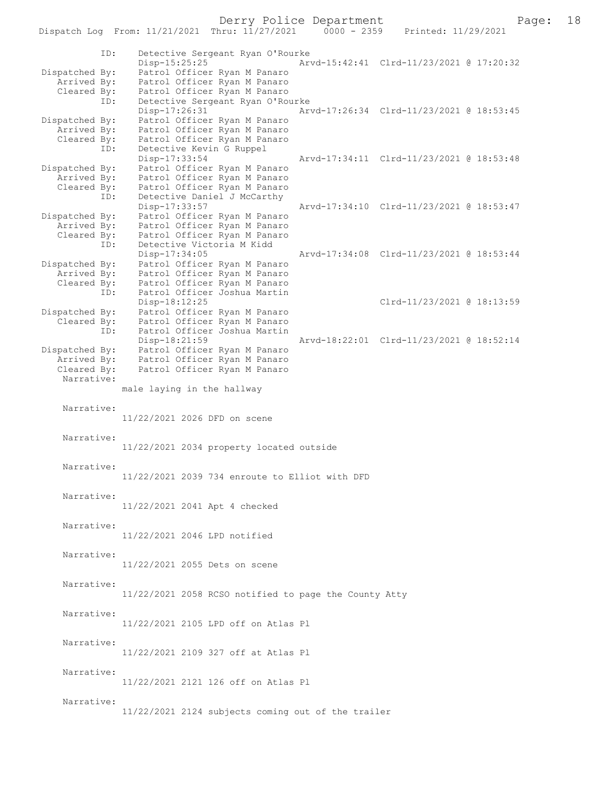Dispatch Log From: 11/21/2021 Thru: 11/27/2021 ID: Detective Sergeant Ryan O'Rourke Disp-15:25:25 Arvd-15:42:41 Clrd-11/23/2021 @ 17:20:32<br>Dispatched By: Patrol Officer Ryan M Panaro patched By: Patrol Officer Ryan M Panaro<br>Arrived By: Patrol Officer Ryan M Panaro Arrived By: Patrol Officer Ryan M Panaro<br>Cleared By: Patrol Officer Ryan M Panaro Patrol Officer Ryan M Panaro ID: Detective Sergeant Ryan O'Rourke<br>Disp-17:26:31 Ar Disp-17:26:31 Arvd-17:26:34 Clrd-11/23/2021 @ 18:53:45<br>Dispatched By: Patrol Officer Ryan M Panaro Patrol Officer Ryan M Panaro Arrived By: Patrol Officer Ryan M Panaro Cleared By: Patrol Officer Ryan M Panaro ID: Detective Kevin G Ruppel<br>Disp-17:33:54 Disp-17:33:54 Arvd-17:34:11 Clrd-11/23/2021 @ 18:53:48 Dispatched By: Patrol Officer Ryan M Panaro<br>Arrived By: Patrol Officer Ryan M Panaro Patrol Officer Ryan M Panaro Cleared By: Patrol Officer Ryan M Panaro<br>ID: Detective Daniel J McCarthy Detective Daniel J McCarthy<br>Disp-17:33:57 Disp-17:33:57 Arvd-17:34:10 Clrd-11/23/2021 @ 18:53:47<br>Dispatched By: Patrol Officer Ryan M Panaro Patrol Officer Ryan M Panaro Arrived By: Patrol Officer Ryan M Panaro Cleared By: Patrol Officer Ryan M Panaro<br>ID: Detective Victoria M Kidd Detective Victoria M Kidd Disp-17:34:05 Arvd-17:34:08 Clrd-11/23/2021 @ 18:53:44<br>Dispatched By: Patrol Officer Ryan M Panaro patched By: Patrol Officer Ryan M Panaro<br>Arrived By: Patrol Officer Ryan M Panaro Patrol Officer Ryan M Panaro Cleared By: Patrol Officer Ryan M Panaro<br>ID: Patrol Officer Joshua Martin Patrol Officer Joshua Martin Disp-18:12:25<br>Dispatched By: Patrol Officer Ryan M Panaro<br>Dispatched By: Patrol Officer Ryan M Panaro patched By: Patrol Officer Ryan M Panaro<br>Cleared By: Patrol Officer Ryan M Panaro Patrol Officer Ryan M Panaro ID: Patrol Officer Joshua Martin<br>Disp-18:21:59 Arvd-18:22:01 Clrd-11/23/2021 @ 18:52:14 Dispatched By: Patrol Officer Ryan M Panaro Arrived By: Patrol Officer Ryan M Panaro<br>Cleared By: Patrol Officer Ryan M Panaro Patrol Officer Ryan M Panaro Narrative: male laying in the hallway Narrative: 11/22/2021 2026 DFD on scene Narrative: 11/22/2021 2034 property located outside Narrative: 11/22/2021 2039 734 enroute to Elliot with DFD Narrative: 11/22/2021 2041 Apt 4 checked Narrative: 11/22/2021 2046 LPD notified Narrative: 11/22/2021 2055 Dets on scene Narrative: 11/22/2021 2058 RCSO notified to page the County Atty Narrative: 11/22/2021 2105 LPD off on Atlas Pl Narrative: 11/22/2021 2109 327 off at Atlas Pl Narrative: 11/22/2021 2121 126 off on Atlas Pl Narrative: 11/22/2021 2124 subjects coming out of the trailer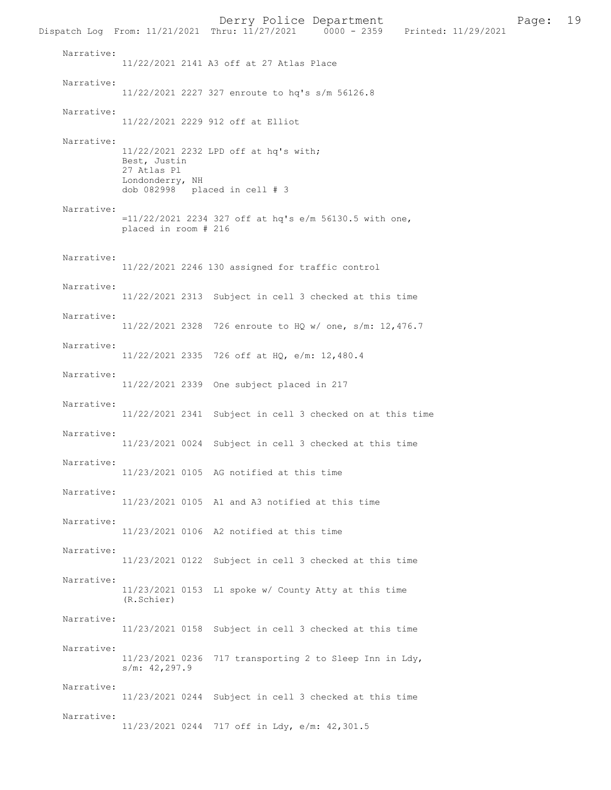Derry Police Department<br>hru:  $11/27/2021$  0000 - 2359 Printed:  $11/29/2021$  Page: 19 Dispatch Log From: 11/21/2021 Thru: 11/27/2021 Narrative: 11/22/2021 2141 A3 off at 27 Atlas Place Narrative: 11/22/2021 2227 327 enroute to hq's s/m 56126.8 Narrative: 11/22/2021 2229 912 off at Elliot Narrative: 11/22/2021 2232 LPD off at hq's with; Best, Justin 27 Atlas Pl Londonderry, NH dob 082998 placed in cell # 3 Narrative: =11/22/2021 2234 327 off at hq's e/m 56130.5 with one, placed in room # 216 Narrative: 11/22/2021 2246 130 assigned for traffic control Narrative: 11/22/2021 2313 Subject in cell 3 checked at this time Narrative: 11/22/2021 2328 726 enroute to HQ w/ one, s/m: 12,476.7 Narrative: 11/22/2021 2335 726 off at HQ, e/m: 12,480.4 Narrative: 11/22/2021 2339 One subject placed in 217 Narrative: 11/22/2021 2341 Subject in cell 3 checked on at this time Narrative: 11/23/2021 0024 Subject in cell 3 checked at this time Narrative: 11/23/2021 0105 AG notified at this time Narrative: 11/23/2021 0105 A1 and A3 notified at this time Narrative: 11/23/2021 0106 A2 notified at this time Narrative: 11/23/2021 0122 Subject in cell 3 checked at this time Narrative: 11/23/2021 0153 L1 spoke w/ County Atty at this time (R.Schier) Narrative: 11/23/2021 0158 Subject in cell 3 checked at this time Narrative: 11/23/2021 0236 717 transporting 2 to Sleep Inn in Ldy, s/m: 42,297.9 Narrative: 11/23/2021 0244 Subject in cell 3 checked at this time Narrative: 11/23/2021 0244 717 off in Ldy, e/m: 42,301.5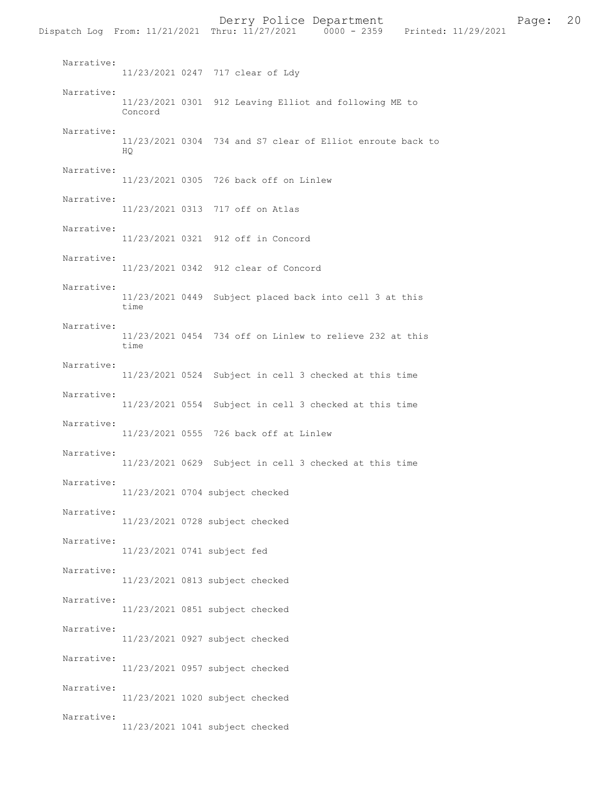|                          |                             | Dispatch Log From: 11/21/2021 Thru: 11/27/2021 0000 - 2359 Printed: 11/29/2021 |
|--------------------------|-----------------------------|--------------------------------------------------------------------------------|
| Narrative:               |                             | 11/23/2021 0247 717 clear of Ldy                                               |
| Narrative:               | Concord                     | 11/23/2021 0301 912 Leaving Elliot and following ME to                         |
| Narrative:               | HQ.                         | 11/23/2021 0304 734 and S7 clear of Elliot enroute back to                     |
| Narrative:               |                             | 11/23/2021 0305 726 back off on Linlew                                         |
| Narrative:               |                             | 11/23/2021 0313 717 off on Atlas                                               |
| Narrative:               |                             | 11/23/2021 0321 912 off in Concord                                             |
| Narrative:               |                             | 11/23/2021 0342 912 clear of Concord                                           |
| Narrative:               | time                        | 11/23/2021 0449 Subject placed back into cell 3 at this                        |
| Narrative:               | time                        | 11/23/2021 0454 734 off on Linlew to relieve 232 at this                       |
| Narrative:               |                             | 11/23/2021 0524 Subject in cell 3 checked at this time                         |
| Narrative:               |                             | 11/23/2021 0554 Subject in cell 3 checked at this time                         |
| Narrative:               |                             | 11/23/2021 0555 726 back off at Linlew                                         |
| Narrative:               |                             | 11/23/2021 0629 Subject in cell 3 checked at this time                         |
| Narrative:               |                             | 11/23/2021 0704 subject checked                                                |
| Narrative:               |                             | 11/23/2021 0728 subject checked                                                |
| Narrative:               | 11/23/2021 0741 subject fed |                                                                                |
| Narrative:               |                             | 11/23/2021 0813 subject checked                                                |
| Narrative:<br>Narrative: |                             | 11/23/2021 0851 subject checked                                                |
| Narrative:               |                             | 11/23/2021 0927 subject checked                                                |
| Narrative:               |                             | 11/23/2021 0957 subject checked                                                |
| Narrative:               |                             | 11/23/2021 1020 subject checked                                                |
|                          |                             | 11/23/2021 1041 subject checked                                                |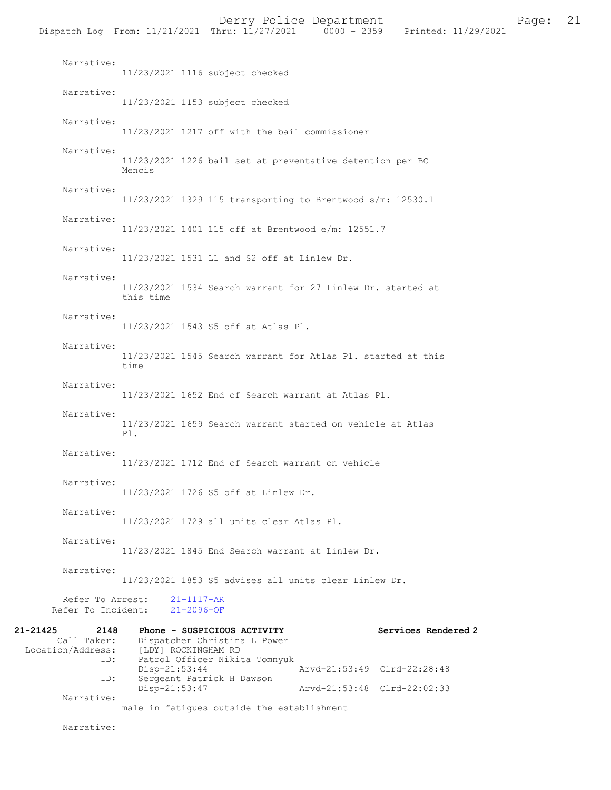Narrative: 11/23/2021 1217 off with the bail commissioner Narrative: 11/23/2021 1226 bail set at preventative detention per BC Mencis Narrative: 11/23/2021 1329 115 transporting to Brentwood s/m: 12530.1 Narrative: 11/23/2021 1401 115 off at Brentwood e/m: 12551.7 Narrative: 11/23/2021 1531 L1 and S2 off at Linlew Dr. Narrative: 11/23/2021 1534 Search warrant for 27 Linlew Dr. started at this time Narrative: 11/23/2021 1543 S5 off at Atlas Pl. Narrative: 11/23/2021 1545 Search warrant for Atlas Pl. started at this time Narrative: 11/23/2021 1652 End of Search warrant at Atlas Pl. Narrative: 11/23/2021 1659 Search warrant started on vehicle at Atlas Pl. Narrative: 11/23/2021 1712 End of Search warrant on vehicle Narrative: 11/23/2021 1726 S5 off at Linlew Dr. Narrative: 11/23/2021 1729 all units clear Atlas Pl. Narrative: 11/23/2021 1845 End Search warrant at Linlew Dr. Narrative: 11/23/2021 1853 S5 advises all units clear Linlew Dr. Refer To Arrest:  $\frac{21-1117-AR}{21-2096-OF}$ Refer To Incident: 21-21425 2148 Phone - SUSPICIOUS ACTIVITY<br>Call Taker: Dispatcher Christina L Power Dispatcher Christina L Power Location/Address: [LDY] ROCKINGHAM RD<br>TD: Patrol Officer Nikit Patrol Officer Nikita Tomnyuk<br>Disp-21:53:44 Disp-21:53:44 <br>
Disp-21:53:44 Arvd-21:53:49 Clrd-22:28:48<br>
Displays around the Dawson Sergeant Patrick H Dawson<br>Disp-21:53:47 Disp-21:53:47 Arvd-21:53:48 Clrd-22:02:33 Narrative:

male in fatigues outside the establishment

Narrative: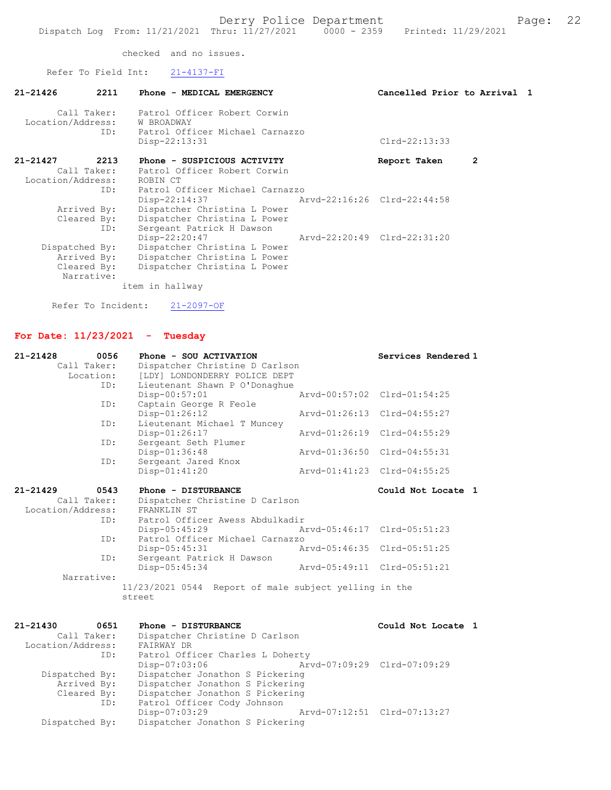checked and no issues.

Refer To Field Int: 21-4137-FI

| $21 - 21426$      | 2211           | Phone - MEDICAL EMERGENCY                | Cancelled Prior to Arrival 1 |   |  |
|-------------------|----------------|------------------------------------------|------------------------------|---|--|
|                   |                | Call Taker: Patrol Officer Robert Corwin |                              |   |  |
|                   |                | Location/Address: W BROADWAY             |                              |   |  |
|                   | ID:            | Patrol Officer Michael Carnazzo          |                              |   |  |
|                   |                | $Disp-22:13:31$                          | $Clrd-22:13:33$              |   |  |
| 21-21427          | 2213           | Phone - SUSPICIOUS ACTIVITY              | Report Taken                 | 2 |  |
|                   |                | Call Taker: Patrol Officer Robert Corwin |                              |   |  |
| Location/Address: |                | ROBIN CT                                 |                              |   |  |
|                   | ID:            | Patrol Officer Michael Carnazzo          |                              |   |  |
|                   |                | Disp-22:14:37                            | Arvd-22:16:26 Clrd-22:44:58  |   |  |
|                   | Arrived By:    | Dispatcher Christina L Power             |                              |   |  |
|                   | Cleared By:    | Dispatcher Christina L Power             |                              |   |  |
|                   | ID:            | Sergeant Patrick H Dawson                |                              |   |  |
|                   |                | $Disp-22:20:47$                          | Arvd-22:20:49 Clrd-22:31:20  |   |  |
|                   | Dispatched By: | Dispatcher Christina L Power             |                              |   |  |
|                   | Arrived By:    | Dispatcher Christina L Power             |                              |   |  |
|                   | Cleared By:    | Dispatcher Christina L Power             |                              |   |  |
|                   | Narrative:     |                                          |                              |   |  |
|                   |                | item in hallway                          |                              |   |  |
|                   |                |                                          |                              |   |  |

Refer To Incident: 21-2097-OF

# For Date: 11/23/2021 - Tuesday

| Call Taker:<br>Dispatcher Christine D Carlson<br>Location:<br>[LDY] LONDONDERRY POLICE DEPT<br>Lieutenant Shawn P O'Donaghue<br>ID:<br>Arvd-00:57:02 Clrd-01:54:25<br>Disp-00:57:01<br>Captain George R Feole<br>ID:<br>Disp-01:26:12<br>Arvd-01:26:13 Clrd-04:55:27<br>Lieutenant Michael T Muncey<br>ID:<br>Disp-01:26:17<br>Arvd-01:26:19 Clrd-04:55:29<br>Sergeant Seth Plumer<br>ID:<br>Disp-01:36:48<br>Arvd-01:36:50 Clrd-04:55:31<br>ID:<br>Sergeant Jared Knox<br>Disp-01:41:20<br>Arvd-01:41:23 Clrd-04:55:25<br>$21 - 21429$<br>0543<br>Phone - DISTURBANCE<br>Could Not Locate 1<br>Call Taker:<br>Dispatcher Christine D Carlson<br>Location/Address:<br>FRANKLIN ST<br>Patrol Officer Awess Abdulkadir<br>ID:<br>Arvd-05:46:17 Clrd-05:51:23<br>Disp-05:45:29<br>Patrol Officer Michael Carnazzo<br>ID:<br>Arvd-05:46:35 Clrd-05:51:25<br>Disp-05:45:31<br>Sergeant Patrick H Dawson<br>ID:<br>Arvd-05:49:11 Clrd-05:51:21<br>Disp-05:45:34 |
|-----------------------------------------------------------------------------------------------------------------------------------------------------------------------------------------------------------------------------------------------------------------------------------------------------------------------------------------------------------------------------------------------------------------------------------------------------------------------------------------------------------------------------------------------------------------------------------------------------------------------------------------------------------------------------------------------------------------------------------------------------------------------------------------------------------------------------------------------------------------------------------------------------------------------------------------------------------|
|                                                                                                                                                                                                                                                                                                                                                                                                                                                                                                                                                                                                                                                                                                                                                                                                                                                                                                                                                           |
|                                                                                                                                                                                                                                                                                                                                                                                                                                                                                                                                                                                                                                                                                                                                                                                                                                                                                                                                                           |
|                                                                                                                                                                                                                                                                                                                                                                                                                                                                                                                                                                                                                                                                                                                                                                                                                                                                                                                                                           |
|                                                                                                                                                                                                                                                                                                                                                                                                                                                                                                                                                                                                                                                                                                                                                                                                                                                                                                                                                           |
|                                                                                                                                                                                                                                                                                                                                                                                                                                                                                                                                                                                                                                                                                                                                                                                                                                                                                                                                                           |
|                                                                                                                                                                                                                                                                                                                                                                                                                                                                                                                                                                                                                                                                                                                                                                                                                                                                                                                                                           |
|                                                                                                                                                                                                                                                                                                                                                                                                                                                                                                                                                                                                                                                                                                                                                                                                                                                                                                                                                           |
|                                                                                                                                                                                                                                                                                                                                                                                                                                                                                                                                                                                                                                                                                                                                                                                                                                                                                                                                                           |
|                                                                                                                                                                                                                                                                                                                                                                                                                                                                                                                                                                                                                                                                                                                                                                                                                                                                                                                                                           |
|                                                                                                                                                                                                                                                                                                                                                                                                                                                                                                                                                                                                                                                                                                                                                                                                                                                                                                                                                           |
|                                                                                                                                                                                                                                                                                                                                                                                                                                                                                                                                                                                                                                                                                                                                                                                                                                                                                                                                                           |
|                                                                                                                                                                                                                                                                                                                                                                                                                                                                                                                                                                                                                                                                                                                                                                                                                                                                                                                                                           |
|                                                                                                                                                                                                                                                                                                                                                                                                                                                                                                                                                                                                                                                                                                                                                                                                                                                                                                                                                           |
|                                                                                                                                                                                                                                                                                                                                                                                                                                                                                                                                                                                                                                                                                                                                                                                                                                                                                                                                                           |
|                                                                                                                                                                                                                                                                                                                                                                                                                                                                                                                                                                                                                                                                                                                                                                                                                                                                                                                                                           |
|                                                                                                                                                                                                                                                                                                                                                                                                                                                                                                                                                                                                                                                                                                                                                                                                                                                                                                                                                           |
|                                                                                                                                                                                                                                                                                                                                                                                                                                                                                                                                                                                                                                                                                                                                                                                                                                                                                                                                                           |
|                                                                                                                                                                                                                                                                                                                                                                                                                                                                                                                                                                                                                                                                                                                                                                                                                                                                                                                                                           |
|                                                                                                                                                                                                                                                                                                                                                                                                                                                                                                                                                                                                                                                                                                                                                                                                                                                                                                                                                           |
|                                                                                                                                                                                                                                                                                                                                                                                                                                                                                                                                                                                                                                                                                                                                                                                                                                                                                                                                                           |
|                                                                                                                                                                                                                                                                                                                                                                                                                                                                                                                                                                                                                                                                                                                                                                                                                                                                                                                                                           |
| Narrative:                                                                                                                                                                                                                                                                                                                                                                                                                                                                                                                                                                                                                                                                                                                                                                                                                                                                                                                                                |
| 11/23/2021 0544 Report of male subject yelling in the                                                                                                                                                                                                                                                                                                                                                                                                                                                                                                                                                                                                                                                                                                                                                                                                                                                                                                     |
| street                                                                                                                                                                                                                                                                                                                                                                                                                                                                                                                                                                                                                                                                                                                                                                                                                                                                                                                                                    |
|                                                                                                                                                                                                                                                                                                                                                                                                                                                                                                                                                                                                                                                                                                                                                                                                                                                                                                                                                           |
| $21 - 21430$<br>0651<br>Phone - DISTURBANCE<br>Could Not Locate 1                                                                                                                                                                                                                                                                                                                                                                                                                                                                                                                                                                                                                                                                                                                                                                                                                                                                                         |
| Call Taker:<br>Dispatcher Christine D Carlson                                                                                                                                                                                                                                                                                                                                                                                                                                                                                                                                                                                                                                                                                                                                                                                                                                                                                                             |
| Location/Address:<br>FAIRWAY DR                                                                                                                                                                                                                                                                                                                                                                                                                                                                                                                                                                                                                                                                                                                                                                                                                                                                                                                           |
| Patrol Officer Charles L Doherty<br>ID:                                                                                                                                                                                                                                                                                                                                                                                                                                                                                                                                                                                                                                                                                                                                                                                                                                                                                                                   |
| Arvd-07:09:29 Clrd-07:09:29<br>Disp-07:03:06                                                                                                                                                                                                                                                                                                                                                                                                                                                                                                                                                                                                                                                                                                                                                                                                                                                                                                              |
| Dispatcher Jonathon S Pickering<br>Dispatched By:                                                                                                                                                                                                                                                                                                                                                                                                                                                                                                                                                                                                                                                                                                                                                                                                                                                                                                         |
| Arrived By:<br>Dispatcher Jonathon S Pickering                                                                                                                                                                                                                                                                                                                                                                                                                                                                                                                                                                                                                                                                                                                                                                                                                                                                                                            |
| Dispatcher Jonathon S Pickering<br>Cleared By:                                                                                                                                                                                                                                                                                                                                                                                                                                                                                                                                                                                                                                                                                                                                                                                                                                                                                                            |
| Patrol Officer Cody Johnson<br>ID:                                                                                                                                                                                                                                                                                                                                                                                                                                                                                                                                                                                                                                                                                                                                                                                                                                                                                                                        |

Disp-07:03:29 Arvd-07:12:51 Clrd-07:13:27

Dispatched By: Dispatcher Jonathon S Pickering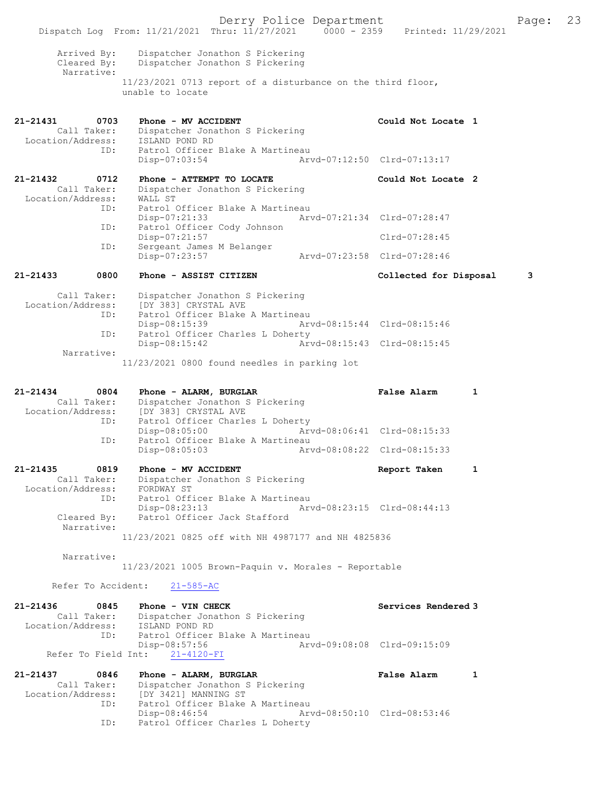Derry Police Department Form Page: 23 Dispatch Log From: 11/21/2021 Thru: 11/27/2021 0000 - 2359 Printed: 11/29/2021 Arrived By: Dispatcher Jonathon S Pickering Cleared By: Dispatcher Jonathon S Pickering Narrative: 11/23/2021 0713 report of a disturbance on the third floor, unable to locate 21-21431 0703 Phone - MV ACCIDENT Could Not Locate 1 Call Taker: Dispatcher Jonathon S Pickering Location/Address: ISLAND POND RD ID: Patrol Officer Blake A Martineau<br>Disp-07:03:54 Art Disp-07:03:54 Arvd-07:12:50 Clrd-07:13:17 21-21432 0712 Phone - ATTEMPT TO LOCATE Could Not Locate 2 Call Taker: Dispatcher Jonathon S Pickering Location/Address: WALL ST ID: Patrol Officer Blake A Martineau<br>Disp-07:21:33 Arv Arvd-07:21:34 Clrd-07:28:47 ID: Patrol Officer Cody Johnson Disp-07:21:57 Clrd-07:28:45<br>TD: Sergeant James M Belanger Sergeant James M Belanger<br>Disp-07:23:57 Disp-07:23:57 Arvd-07:23:58 Clrd-07:28:46 21-21433 0800 Phone - ASSIST CITIZEN Collected for Disposal 3 Call Taker: Dispatcher Jonathon S Pickering Location/Address: [DY 383] CRYSTAL AVE ...<br>ID: Patrol Officer Blake A Martineau<br>Disp-08:15:39 Ary Disp-08:15:39 Arvd-08:15:44 Clrd-08:15:46<br>ID: Patrol Officer Charles L Doherty Patrol Officer Charles L Doherty<br>Disp-08:15:42 Art Disp-08:15:42 Arvd-08:15:43 Clrd-08:15:45 Narrative: 11/23/2021 0800 found needles in parking lot 21-21434 0804 Phone - ALARM, BURGLAR False Alarm 1 Call Taker: Dispatcher Jonathon S Pickering Location/Address: [DY 383] CRYSTAL AVE<br>ID: Patrol Officer Charles Patrol Officer Charles L Doherty<br>Disp-08:05:00 Art Disp-08:05:00 Arvd-08:06:41 Clrd-08:15:33<br>TD: Patrol Officer Blake A Martineau Patrol Officer Blake A Martineau<br>Disp-08:05:03 Art Disp-08:05:03 Arvd-08:08:22 Clrd-08:15:33 21-21435 0819 Phone - MV ACCIDENT Report Taken 1 Call Taker: Dispatcher Jonathon S Pickering Location/Address: FORDWAY ST ID: Patrol Officer Blake A Martineau Disp-08:23:13 Arvd-08:23:15 Clrd-08:44:13 Cleared By: Patrol Officer Jack Stafford Narrative: 11/23/2021 0825 off with NH 4987177 and NH 4825836 Narrative: 11/23/2021 1005 Brown-Paquin v. Morales - Reportable Refer To Accident: 21-585-AC 21-21436 0845 Phone - VIN CHECK Services Rendered 3<br>Call Taker: Dispatcher Jonathon S Pickering Dispatcher Jonathon S Pickering<br>ISLAND POND RD Location/Address:<br>ID: Patrol Officer Blake A Martineau Disp-08:57:56 Arvd-09:08:08 Clrd-09:15:09 Refer To Field Int: 21-4120-FI 21-21437 0846 Phone - ALARM, BURGLAR False Alarm 1 Call Taker: Dispatcher Jonathon S Pickering Location/Address: [DY 3421] MANNING ST ID: Patrol Officer Blake A Martineau Disp-08:46:54 Arvd-08:50:10 Clrd-08:53:46<br>TD: Patrol Officer Charles L Doberty Patrol Officer Charles L Doherty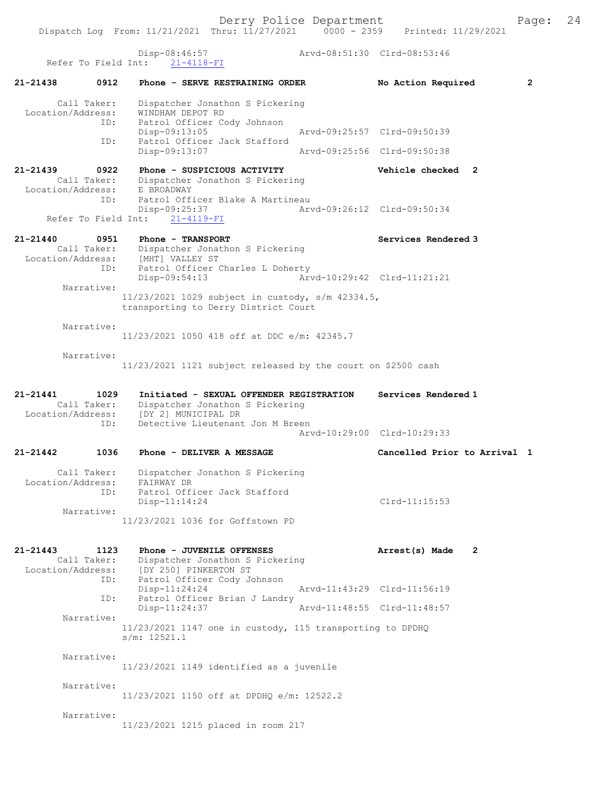Derry Police Department Fage: 24 Dispatch Log From: 11/21/2021 Thru: 11/27/2021 0000 - 2359 Printed: 11/29/2021 Disp-08:46:57 Arvd-08:51:30 Clrd-08:53:46 Refer To Field Int: 21-4118-FI 21-21438 0912 Phone - SERVE RESTRAINING ORDER No Action Required 2 Call Taker: Dispatcher Jonathon S Pickering Location/Address: WINDHAM DEPOT RD ID: Patrol Officer Cody Johnson Disp-09:13:05 Arvd-09:25:57 Clrd-09:50:39 ID: Patrol Officer Jack Stafford Disp-09:13:07 Arvd-09:25:56 Clrd-09:50:38 21-21439 0922 Phone - SUSPICIOUS ACTIVITY Vehicle checked 2 Call Taker: Dispatcher Jonathon S Pickering Location/Address: E BROADWAY ess: E DROGUNGI<br>ID: Patrol Officer Blake A Martineau Disp-09:25:37 Arvd-09:26:12 Clrd-09:50:34 Refer To Field Int: 21-4119-FI 21-21440 0951 Phone - TRANSPORT Services Rendered 3 Call Taker: Dispatcher Jonathon S Pickering Location/Address: [MHT] VALLEY ST ID: Patrol Officer Charles L Doherty Disp-09:54:13 Arvd-10:29:42 Clrd-11:21:21 Narrative: 11/23/2021 1029 subject in custody, s/m 42334.5, transporting to Derry District Court Narrative: 11/23/2021 1050 418 off at DDC e/m: 42345.7 Narrative: 11/23/2021 1121 subject released by the court on \$2500 cash 21-21441 1029 Initiated - SEXUAL OFFENDER REGISTRATION Services Rendered 1 Call Taker: Dispatcher Jonathon S Pickering Location/Address: [DY 2] MUNICIPAL DR ID: Detective Lieutenant Jon M Breen Arvd-10:29:00 Clrd-10:29:33 21-21442 1036 Phone - DELIVER A MESSAGE Cancelled Prior to Arrival 1 Call Taker: Dispatcher Jonathon S Pickering Location/Address: FAIRWAY DR ID: Patrol Officer Jack Stafford Disp-11:14:24 Clrd-11:15:53 Narrative: 11/23/2021 1036 for Goffstown PD 21-21443 1123 Phone - JUVENILE OFFENSES Arrest(s) Made 2 Call Taker: Dispatcher Jonathon S Pickering Location/Address: [DY 250] PINKERTON ST<br>ID: Patrol Officer Cody Jo Patrol Officer Cody Johnson<br>Disp-11:24:24 Disp-11:24:24 Arvd-11:43:29 Clrd-11:56:19<br>ID: Patrol Officer Brian J Landry Patrol Officer Brian J Landry<br>Disp-11:24:37 Disp-11:24:37 Arvd-11:48:55 Clrd-11:48:57 Narrative: 11/23/2021 1147 one in custody, 115 transporting to DPDHQ s/m: 12521.1 Narrative: 11/23/2021 1149 identified as a juvenile Narrative: 11/23/2021 1150 off at DPDHQ e/m: 12522.2 Narrative: 11/23/2021 1215 placed in room 217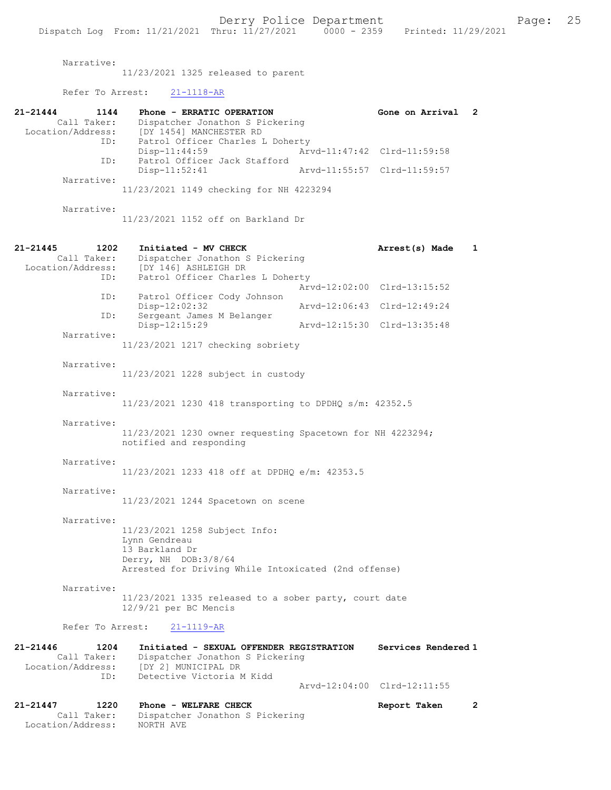Narrative:

11/23/2021 1325 released to parent

Refer To Arrest: 21-1118-AR

| 21-21444<br>1144                 | Phone - ERRATIC OPERATION                                                             | Gone on Arrival             | $\mathbf{2}$ |
|----------------------------------|---------------------------------------------------------------------------------------|-----------------------------|--------------|
| Call Taker:<br>Location/Address: | Dispatcher Jonathon S Pickering<br>[DY 1454] MANCHESTER RD                            |                             |              |
| ID:                              | Patrol Officer Charles L Doherty                                                      |                             |              |
| ID:                              | $Disp-11:44:59$<br>Patrol Officer Jack Stafford                                       | Arvd-11:47:42 Clrd-11:59:58 |              |
| Narrative:                       | Disp-11:52:41                                                                         | Arvd-11:55:57 Clrd-11:59:57 |              |
|                                  | 11/23/2021 1149 checking for NH 4223294                                               |                             |              |
| Narrative:                       | 11/23/2021 1152 off on Barkland Dr                                                    |                             |              |
| $21 - 21445$<br>1202             | Initiated - MV CHECK                                                                  | Arrest(s) Made              | 1            |
| Call Taker:                      | Dispatcher Jonathon S Pickering                                                       |                             |              |
| Location/Address:<br>ID:         | [DY 146] ASHLEIGH DR<br>Patrol Officer Charles L Doherty                              |                             |              |
| ID:                              | Patrol Officer Cody Johnson                                                           | Arvd-12:02:00 Clrd-13:15:52 |              |
| ID:                              | Disp-12:02:32<br>Sergeant James M Belanger                                            | Arvd-12:06:43 Clrd-12:49:24 |              |
|                                  | Disp-12:15:29                                                                         | Arvd-12:15:30 Clrd-13:35:48 |              |
| Narrative:                       | 11/23/2021 1217 checking sobriety                                                     |                             |              |
|                                  |                                                                                       |                             |              |
| Narrative:                       | 11/23/2021 1228 subject in custody                                                    |                             |              |
| Narrative:                       |                                                                                       |                             |              |
|                                  | 11/23/2021 1230 418 transporting to DPDHQ s/m: 42352.5                                |                             |              |
| Narrative:                       |                                                                                       |                             |              |
|                                  | 11/23/2021 1230 owner requesting Spacetown for NH 4223294;<br>notified and responding |                             |              |
| Narrative:                       |                                                                                       |                             |              |
|                                  | 11/23/2021 1233 418 off at DPDHQ e/m: 42353.5                                         |                             |              |
| Narrative:                       |                                                                                       |                             |              |
|                                  | 11/23/2021 1244 Spacetown on scene                                                    |                             |              |
| Narrative:                       |                                                                                       |                             |              |
|                                  | 11/23/2021 1258 Subject Info:<br>Lynn Gendreau                                        |                             |              |
|                                  | 13 Barkland Dr                                                                        |                             |              |
|                                  | Derry, NH DOB: 3/8/64                                                                 |                             |              |
|                                  | Arrested for Driving While Intoxicated (2nd offense)                                  |                             |              |
| Narrative:                       |                                                                                       |                             |              |
|                                  | $11/23/2021$ 1335 released to a sober party, court date<br>$12/9/21$ per BC Mencis    |                             |              |
| Refer To Arrest:                 | $21 - 1119 - AR$                                                                      |                             |              |
| $21 - 21446$<br>1204             | Initiated - SEXUAL OFFENDER REGISTRATION                                              | Services Rendered 1         |              |
| Call Taker:<br>Location/Address: | Dispatcher Jonathon S Pickering<br>[DY 2] MUNICIPAL DR                                |                             |              |
| ID:                              | Detective Victoria M Kidd                                                             |                             |              |
|                                  |                                                                                       | Arvd-12:04:00 Clrd-12:11:55 |              |
|                                  |                                                                                       |                             |              |

21-21447 1220 Phone - WELFARE CHECK Report Taken 2 Call Taker: Dispatcher Jonathon S Pickering Location/Address: NORTH AVE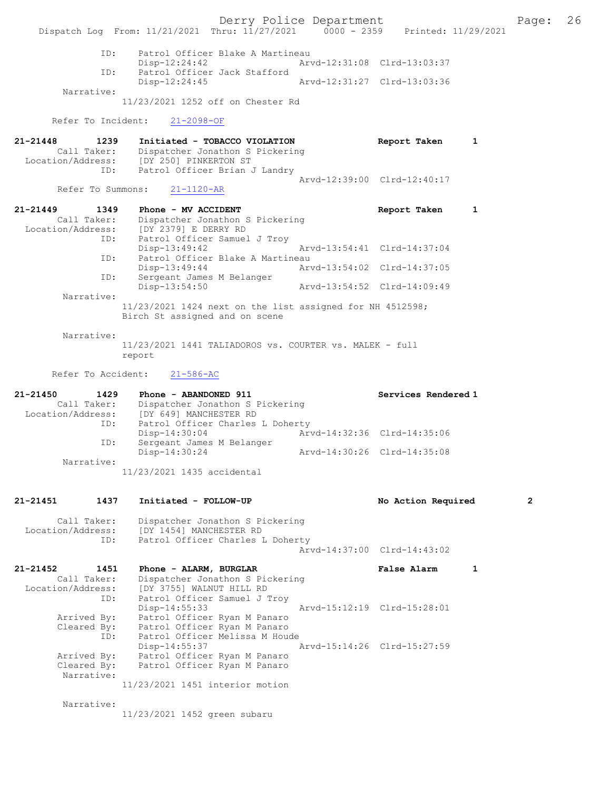Derry Police Department Fage: 26 Dispatch Log From: 11/21/2021 Thru: 11/27/2021 0000 - 2359 Printed: 11/29/2021 ID: Patrol Officer Blake A Martineau Disp-12:24:42 Arvd-12:31:08 Clrd-13:03:37<br>TD: Patrol Officer Jack Stafford Patrol Officer Jack Stafford<br>Disp-12:24:45 Disp-12:24:45 Arvd-12:31:27 Clrd-13:03:36 Narrative: 11/23/2021 1252 off on Chester Rd Refer To Incident: 21-2098-OF 21-21448 1239 Initiated - TOBACCO VIOLATION Report Taken 1 Call Taker: Dispatcher Jonathon S Pickering Location/Address: [DY 250] PINKERTON ST ID: Patrol Officer Brian J Landry Arvd-12:39:00 Clrd-12:40:17<br>21-1120-AR Refer To Summons: 21-21449 1349 Phone - MV ACCIDENT Report Taken 1 Call Taker: Dispatcher Jonathon S Pickering Location/Address: [DY 2379] E DERRY RD ID: Patrol Officer Samuel J Troy Disp-13:49:42 Arvd-13:54:41 Clrd-14:37:04 ID: Patrol Officer Blake A Martineau Disp-13:49:44 Arvd-13:54:02 Clrd-14:37:05 ID: Sergeant James M Belanger Disp-13:54:50 Arvd-13:54:52 Clrd-14:09:49 Narrative: 11/23/2021 1424 next on the list assigned for NH 4512598; Birch St assigned and on scene Narrative: 11/23/2021 1441 TALIADOROS vs. COURTER vs. MALEK - full report Refer To Accident: 21-586-AC 21-21450 1429 Phone - ABANDONED 911 Services Rendered 1 Call Taker: Dispatcher Jonathon S Pickering Location/Address: [DY 649] MANCHESTER RD ID: Patrol Officer Charles L Doherty<br>Disp-14:30:04 Mrvd-14:32:36 Clrd-14:35:06 Disp-14:30:04 Arvd-14:32:36 Clrd-14:35:06 ID: Sergeant James M Belanger Disp-14:30:24 Arvd-14:30:26 Clrd-14:35:08 ID: Sergeand of<br>Disp-14:30:24<br>Narrative: 11/23/2021 1435 accidental 21-21451 1437 Initiated - FOLLOW-UP No Action Required 2 Call Taker: Dispatcher Jonathon S Pickering Location/Address: [DY 1454] MANCHESTER RD ID: Patrol Officer Charles L Doherty Arvd-14:37:00 Clrd-14:43:02 21-21452 1451 Phone - ALARM, BURGLAR False Alarm 1 Call Taker: Dispatcher Jonathon S Pickering Location/Address: [DY 3755] WALNUT HILL RD ID: Patrol Officer Samuel J Troy Disp-14:55:33 Arvd-15:12:19 Clrd-15:28:01 Arrived By: Patrol Officer Ryan M Panaro Cleared By: Patrol Officer Ryan M Panaro ID: Patrol Officer Melissa M Houde Disp-14:55:37 Arvd-15:14:26 Clrd-15:27:59 Arrived By: Patrol Officer Ryan M Panaro Cleared By: Patrol Officer Ryan M Panaro Narrative: 11/23/2021 1451 interior motion Narrative: 11/23/2021 1452 green subaru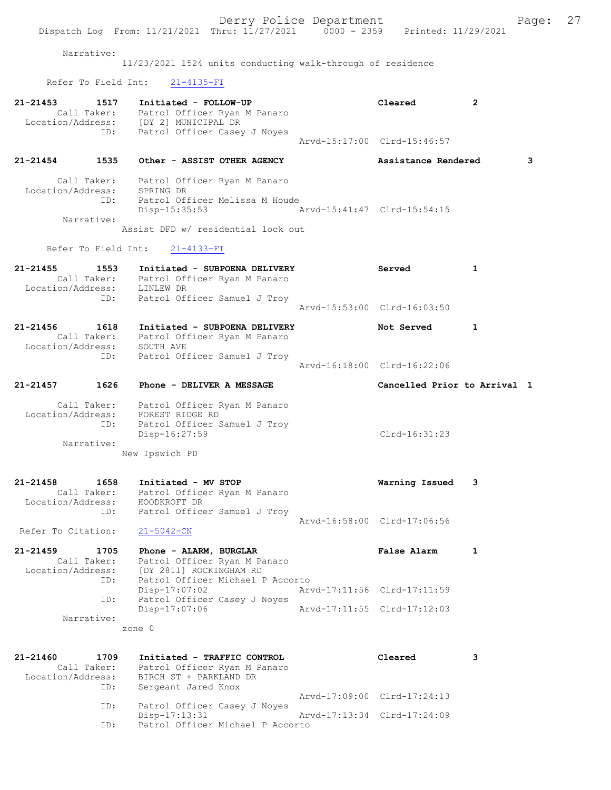|                                  |      |                                                                                                               |                                  | Derry Police Department     | Dispatch Log From: 11/21/2021 Thru: 11/27/2021 0000 - 2359 Printed: 11/29/2021 |   | Page: |  |
|----------------------------------|------|---------------------------------------------------------------------------------------------------------------|----------------------------------|-----------------------------|--------------------------------------------------------------------------------|---|-------|--|
| Narrative:                       |      | 11/23/2021 1524 units conducting walk-through of residence                                                    |                                  |                             |                                                                                |   |       |  |
| Refer To Field Int:              |      | $21 - 4135 - FI$                                                                                              |                                  |                             |                                                                                |   |       |  |
| 21-21453                         | 1517 | Initiated - FOLLOW-UP                                                                                         |                                  |                             | Cleared                                                                        | 2 |       |  |
|                                  |      | Call Taker: Patrol Officer Ryan M Panaro<br>Location/Address: [DY 2] MUNICIPAL DR                             |                                  |                             |                                                                                |   |       |  |
|                                  | ID:  | Patrol Officer Casey J Noyes                                                                                  |                                  |                             |                                                                                |   |       |  |
|                                  |      |                                                                                                               |                                  |                             | Arvd-15:17:00 Clrd-15:46:57                                                    |   |       |  |
| 21-21454                         | 1535 | Other - ASSIST OTHER AGENCY                                                                                   |                                  |                             | Assistance Rendered                                                            |   | 3     |  |
| Location/Address: SPRING DR      |      | Call Taker: Patrol Officer Ryan M Panaro                                                                      |                                  |                             |                                                                                |   |       |  |
|                                  | ID:  | Patrol Officer Melissa M Houde                                                                                |                                  |                             |                                                                                |   |       |  |
| Narrative:                       |      | Disp-15:35:53                                                                                                 |                                  | Arvd-15:41:47 Clrd-15:54:15 |                                                                                |   |       |  |
|                                  |      | Assist DFD w/ residential lock out                                                                            |                                  |                             |                                                                                |   |       |  |
| Refer To Field Int:              |      | $21 - 4133 - FI$                                                                                              |                                  |                             |                                                                                |   |       |  |
| 21-21455                         | 1553 |                                                                                                               | Initiated - SUBPOENA DELIVERY    |                             | Served                                                                         | 1 |       |  |
|                                  |      | Call Taker: Patrol Officer Ryan M Panaro<br>Location/Address: LINLEW DR                                       |                                  |                             |                                                                                |   |       |  |
|                                  | ID:  | Patrol Officer Samuel J Troy                                                                                  |                                  |                             |                                                                                |   |       |  |
|                                  |      |                                                                                                               |                                  |                             | Arvd-15:53:00 Clrd-16:03:50                                                    |   |       |  |
| 21-21456                         | 1618 |                                                                                                               | Initiated - SUBPOENA DELIVERY    |                             | Not Served                                                                     | 1 |       |  |
| Location/Address:                |      | Call Taker: Patrol Officer Ryan M Panaro<br>SOUTH AVE                                                         |                                  |                             |                                                                                |   |       |  |
|                                  | ID:  | Patrol Officer Samuel J Troy                                                                                  |                                  |                             |                                                                                |   |       |  |
|                                  |      |                                                                                                               |                                  |                             | Arvd-16:18:00 Clrd-16:22:06                                                    |   |       |  |
| 21-21457 1626                    |      | <b>Phone - DELIVER A MESSAGE</b>                                                                              |                                  |                             | Cancelled Prior to Arrival 1                                                   |   |       |  |
|                                  |      |                                                                                                               |                                  |                             |                                                                                |   |       |  |
|                                  |      |                                                                                                               |                                  |                             |                                                                                |   |       |  |
|                                  | ID:  | Call Taker: Patrol Officer Ryan M Panaro<br>Location/Address: FOREST RIDGE RD<br>Patrol Officer Samuel J Troy |                                  |                             |                                                                                |   |       |  |
|                                  |      | Disp-16:27:59                                                                                                 |                                  |                             | Clrd-16:31:23                                                                  |   |       |  |
| Narrative:                       |      | New Ipswich PD                                                                                                |                                  |                             |                                                                                |   |       |  |
|                                  |      |                                                                                                               |                                  |                             |                                                                                |   |       |  |
| 21-21458                         | 1658 | Initiated - MV STOP<br>Call Taker: Patrol Officer Ryan M Panaro                                               |                                  |                             | Warning Issued                                                                 | 3 |       |  |
| Location/Address:                |      | HOODKROFT DR                                                                                                  |                                  |                             |                                                                                |   |       |  |
|                                  | ID:  |                                                                                                               | Patrol Officer Samuel J Troy     |                             | Arvd-16:58:00 Clrd-17:06:56                                                    |   |       |  |
| Refer To Citation:               |      | $21 - 5042 - CN$                                                                                              |                                  |                             |                                                                                |   |       |  |
| 21-21459                         | 1705 | Phone - ALARM, BURGLAR                                                                                        |                                  |                             | False Alarm                                                                    | 1 |       |  |
| Call Taker:<br>Location/Address: |      | [DY 2811] ROCKINGHAM RD                                                                                       | Patrol Officer Ryan M Panaro     |                             |                                                                                |   |       |  |
|                                  | ID:  |                                                                                                               | Patrol Officer Michael P Accorto |                             |                                                                                |   |       |  |
|                                  | ID:  | $Disp-17:07:02$                                                                                               | Patrol Officer Casey J Noyes     |                             | Arvd-17:11:56 Clrd-17:11:59                                                    |   |       |  |
|                                  |      | $Disp-17:07:06$                                                                                               |                                  |                             | Arvd-17:11:55 Clrd-17:12:03                                                    |   |       |  |
| Narrative:                       |      | zone 0                                                                                                        |                                  |                             |                                                                                |   |       |  |
|                                  |      |                                                                                                               |                                  |                             |                                                                                |   |       |  |
| 21-21460<br>Call Taker:          | 1709 | Initiated - TRAFFIC CONTROL<br>Patrol Officer Ryan M Panaro                                                   |                                  |                             | Cleared                                                                        | 3 |       |  |
| Location/Address:                |      | BIRCH ST + PARKLAND DR                                                                                        |                                  |                             |                                                                                |   |       |  |
|                                  | ID:  | Sergeant Jared Knox                                                                                           |                                  |                             | Arvd-17:09:00 Clrd-17:24:13                                                    |   |       |  |
|                                  | ID:  | Disp-17:13:31                                                                                                 | Patrol Officer Casey J Noyes     |                             | Arvd-17:13:34 Clrd-17:24:09                                                    |   |       |  |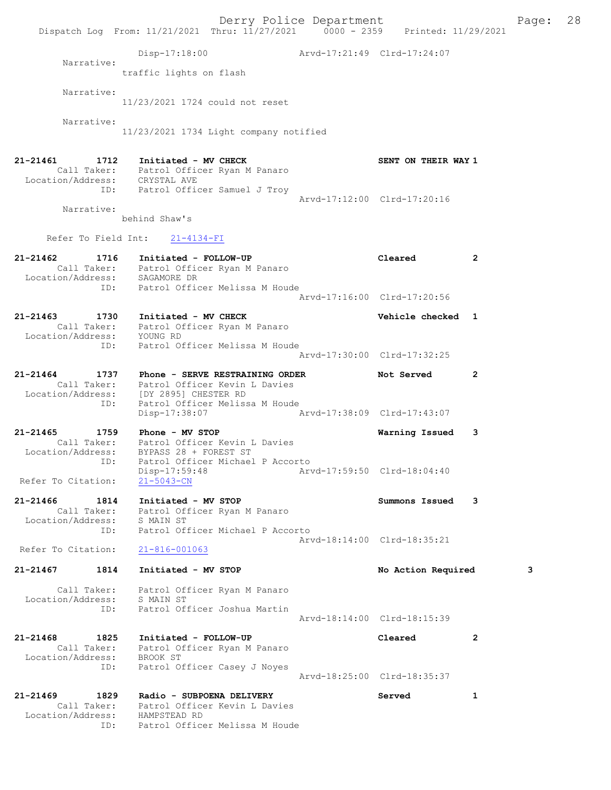|                                       | Dispatch Log From: 11/21/2021 Thru: 11/27/2021 0000 - 2359 Printed: 11/29/2021      | Derry Police Department     |                             |              | Page: | 28 |
|---------------------------------------|-------------------------------------------------------------------------------------|-----------------------------|-----------------------------|--------------|-------|----|
|                                       | $Disp-17:18:00$                                                                     | Arvd-17:21:49 Clrd-17:24:07 |                             |              |       |    |
| Narrative:                            | traffic lights on flash                                                             |                             |                             |              |       |    |
| Narrative:                            | 11/23/2021 1724 could not reset                                                     |                             |                             |              |       |    |
| Narrative:                            | 11/23/2021 1734 Light company notified                                              |                             |                             |              |       |    |
| 21-21461<br>1712                      | Initiated - MV CHECK<br>Call Taker: Patrol Officer Ryan M Panaro                    |                             | SENT ON THEIR WAY 1         |              |       |    |
| Location/Address: CRYSTAL AVE<br>ID:  | Patrol Officer Samuel J Troy                                                        |                             | Arvd-17:12:00 Clrd-17:20:16 |              |       |    |
| Narrative:                            | behind Shaw's                                                                       |                             |                             |              |       |    |
| Refer To Field Int:                   | $21 - 4134 - FI$                                                                    |                             |                             |              |       |    |
| 21-21462<br>1716                      | Initiated - FOLLOW-UP                                                               |                             | Cleared                     | 2            |       |    |
|                                       | Call Taker: Patrol Officer Ryan M Panaro<br>Location/Address: SAGAMORE DR           |                             |                             |              |       |    |
| ID:                                   | Patrol Officer Melissa M Houde                                                      |                             | Arvd-17:16:00 Clrd-17:20:56 |              |       |    |
| 21-21463<br>1730                      | Initiated - MV CHECK                                                                |                             | Vehicle checked 1           |              |       |    |
| Location/Address: YOUNG RD            | Call Taker: Patrol Officer Ryan M Panaro                                            |                             |                             |              |       |    |
| ID:                                   | Patrol Officer Melissa M Houde                                                      |                             | Arvd-17:30:00 Clrd-17:32:25 |              |       |    |
| 21-21464<br>1737                      | Phone - SERVE RESTRAINING ORDER                                                     |                             | Not Served                  | 2            |       |    |
|                                       | Call Taker: Patrol Officer Kevin L Davies<br>Location/Address: [DY 2895] CHESTER RD |                             |                             |              |       |    |
| ID:                                   | Patrol Officer Melissa M Houde<br>Disp-17:38:07                                     |                             | Arvd-17:38:09 Clrd-17:43:07 |              |       |    |
| 21-21465<br>1759                      | Phone - MV STOP                                                                     |                             | Warning Issued              | 3            |       |    |
| Location/Address:                     | Call Taker: Patrol Officer Kevin L Davies<br>BYPASS 28 + FOREST ST                  |                             |                             |              |       |    |
| ID:                                   | Patrol Officer Michael P Accorto<br>Disp-17:59:48                                   |                             | Arvd-17:59:50 Clrd-18:04:40 |              |       |    |
| Refer To Citation:                    | $21 - 5043 - CN$                                                                    |                             |                             |              |       |    |
| 21-21466<br>1814                      | Initiated - MV STOP<br>Call Taker: Patrol Officer Ryan M Panaro                     |                             | Summons Issued              | 3            |       |    |
| Location/Address:<br>ID:              | S MAIN ST<br>Patrol Officer Michael P Accorto                                       |                             |                             |              |       |    |
| Refer To Citation:                    | 21-816-001063                                                                       |                             | Arvd-18:14:00 Clrd-18:35:21 |              |       |    |
| 1814<br>21-21467                      | Initiated - MV STOP                                                                 |                             | No Action Required          |              | 3     |    |
| Call Taker:<br>Location/Address:      | Patrol Officer Ryan M Panaro<br>S MAIN ST                                           |                             |                             |              |       |    |
| ID:                                   | Patrol Officer Joshua Martin                                                        |                             | Arvd-18:14:00 Clrd-18:15:39 |              |       |    |
| 21-21468<br>1825                      | Initiated - FOLLOW-UP<br>Call Taker: Patrol Officer Ryan M Panaro                   |                             | Cleared                     | 2            |       |    |
| Location/Address:                     | BROOK ST                                                                            |                             |                             |              |       |    |
| ID:                                   | Patrol Officer Casey J Noyes                                                        |                             | Arvd-18:25:00 Clrd-18:35:37 |              |       |    |
| 21-21469<br>1829<br>Call Taker:       | Radio - SUBPOENA DELIVERY<br>Patrol Officer Kevin L Davies                          |                             | Served                      | $\mathbf{1}$ |       |    |
| Location/Address: HAMPSTEAD RD<br>ID: | Patrol Officer Melissa M Houde                                                      |                             |                             |              |       |    |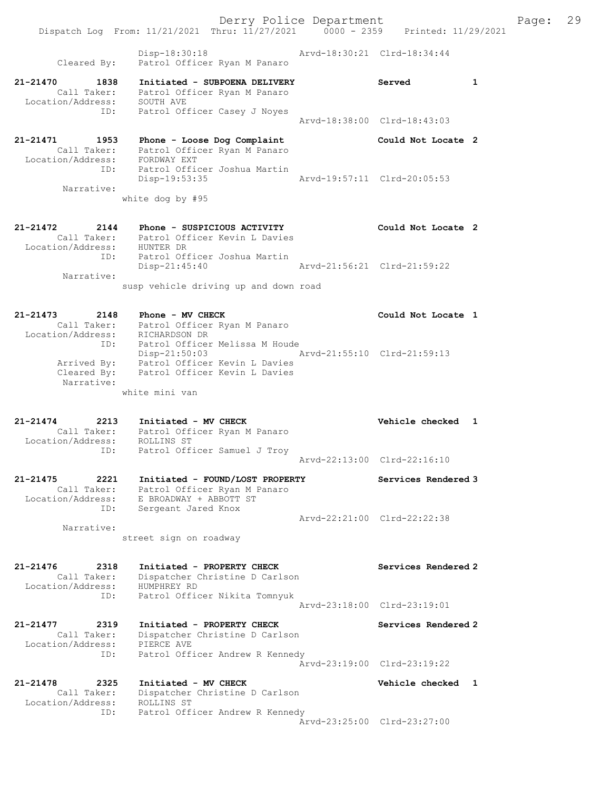Derry Police Department Fage: 29 Dispatch Log From: 11/21/2021 Thru: 11/27/2021 0000 - 2359 Printed: 11/29/2021 Disp-18:30:18 Arvd-18:30:21 Clrd-18:34:44 Cleared By: Patrol Officer Ryan M Panaro 21-21470 1838 Initiated - SUBPOENA DELIVERY Served 1 Call Taker: Patrol Officer Ryan M Panaro Location/Address: SOUTH AVE ID: Patrol Officer Casey J Noyes Arvd-18:38:00 Clrd-18:43:03 21-21471 1953 Phone - Loose Dog Complaint Could Not Locate 2 Call Taker: Patrol Officer Ryan M Panaro Location/Address: FORDWAY EXT ID: Patrol Officer Joshua Martin Disp-19:53:35 Arvd-19:57:11 Clrd-20:05:53 Narrative: white dog by #95 21-21472 2144 Phone - SUSPICIOUS ACTIVITY Could Not Locate 2 Call Taker: Patrol Officer Kevin L Davies Location/Address: HUNTER DR ID: Patrol Officer Joshua Martin Disp-21:45:40 Arvd-21:56:21 Clrd-21:59:22 Narrative: susp vehicle driving up and down road 21-21473 2148 Phone - MV CHECK Could Not Locate 1 Call Taker: Patrol Officer Ryan M Panaro Location/Address: RICHARDSON DR ID: Patrol Officer Melissa M Houde Disp-21:50:03 Arvd-21:55:10 Clrd-21:59:13 Arrived By: Patrol Officer Kevin L Davies Cleared By: Patrol Officer Kevin L Davies Narrative: white mini van 21-21474 2213 Initiated - MV CHECK 21 21-21474 Vehicle checked 1 Call Taker: Patrol Officer Ryan M Panaro Location/Address: ROLLINS ST ID: Patrol Officer Samuel J Troy Arvd-22:13:00 Clrd-22:16:10 21-21475 2221 Initiated - FOUND/LOST PROPERTY Services Rendered 3 Call Taker: Patrol Officer Ryan M Panaro Location/Address: E BROADWAY + ABBOTT ST ID: Sergeant Jared Knox Arvd-22:21:00 Clrd-22:22:38 Narrative: street sign on roadway 21-21476 2318 Initiated - PROPERTY CHECK Services Rendered 2 Call Taker: Dispatcher Christine D Carlson Location/Address: HUMPHREY RD ID: Patrol Officer Nikita Tomnyuk Arvd-23:18:00 Clrd-23:19:01 21-21477 2319 Initiated - PROPERTY CHECK Services Rendered 2 Call Taker: Dispatcher Christine D Carlson Location/Address: PIERCE AVE ID: Patrol Officer Andrew R Kennedy Arvd-23:19:00 Clrd-23:19:22 21-21478 2325 Initiated - MV CHECK Vehicle checked 1 Call Taker: Dispatcher Christine D Carlson Location/Address: ROLLINS ST ID: Patrol Officer Andrew R Kennedy Arvd-23:25:00 Clrd-23:27:00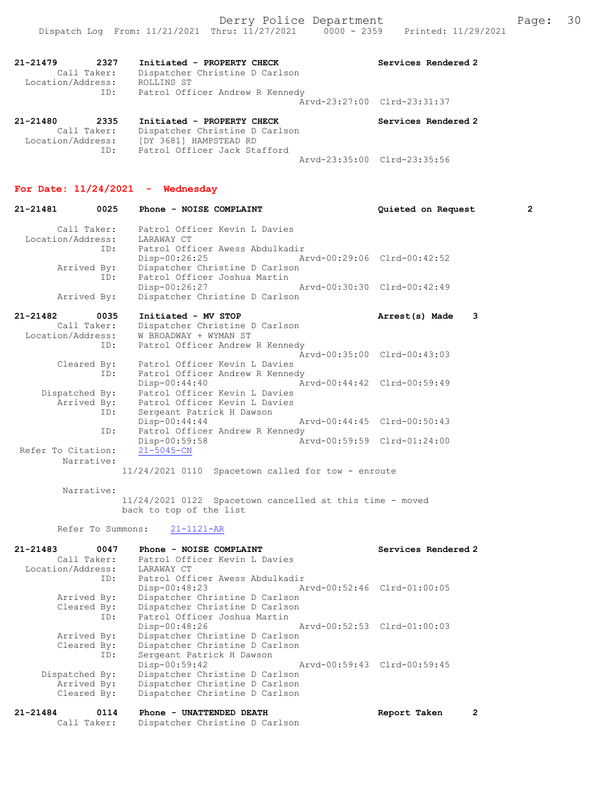|                                                             | Derry Police Department<br>Dispatch Log From: 11/21/2021 Thru: 11/27/2021 0000 - 2359 Printed: 11/29/2021                                                |                             | Page:                 | 30 |
|-------------------------------------------------------------|----------------------------------------------------------------------------------------------------------------------------------------------------------|-----------------------------|-----------------------|----|
| $21 - 21479$<br>2327<br>Location/Address: ROLLINS ST<br>ID: | Initiated - PROPERTY CHECK<br>Call Taker: Dispatcher Christine D Carlson<br>Patrol Officer Andrew R Kennedy                                              | Services Rendered 2         |                       |    |
|                                                             |                                                                                                                                                          | Arvd-23:27:00 Clrd-23:31:37 |                       |    |
| 21-21480<br>2335                                            | Initiated - PROPERTY CHECK<br>Call Taker: Dispatcher Christine D Carlson<br>Location/Address: [DY 3681] HAMPSTEAD RD<br>ID: Patrol Officer Jack Stafford | Services Rendered 2         |                       |    |
|                                                             |                                                                                                                                                          | Arvd-23:35:00 Clrd-23:35:56 |                       |    |
| For Date: $11/24/2021$ - Wednesday<br>0025<br>21-21481      | Phone - NOISE COMPLAINT                                                                                                                                  | Quieted on Request          | $\mathbf{2}^{\prime}$ |    |
| Location/Address: LARAWAY CT                                | Call Taker: Patrol Officer Kevin L Davies<br>ID: Patrol Officer Awess Abdulkadir                                                                         |                             |                       |    |
| Arrived By:<br>ID:                                          | Disp-00:26:25 Arvd-00:29:06 Clrd-00:42:52<br>Dispatcher Christine D Carlson<br>Patrol Officer Joshua Martin                                              |                             |                       |    |
| Arrived By:                                                 | Disp-00:26:27 Arvd-00:30:30 Clrd-00:42:49<br>Dispatcher Christine D Carlson                                                                              |                             |                       |    |
| $21 - 21482$<br>0035<br>Location/Address:                   | Initiated - MV STOP<br>Call Taker: Dispatcher Christine D Carlson<br>W BROADWAY + WYMAN ST                                                               | Arrest(s) Made 3            |                       |    |
| ID:                                                         | Patrol Officer Andrew R Kennedy                                                                                                                          | Arvd-00:35:00 Clrd-00:43:03 |                       |    |
| Cleared By:                                                 | Patrol Officer Kevin L Davies                                                                                                                            |                             |                       |    |

 Dispatched By: Patrol Officer Kevin L Davies Arrived By: Patrol Officer Kevin L Davies ID: Sergeant Patrick H Dawson<br>Disp-00:44:44 Disp-00:44:44 Arvd-00:44:45 Clrd-00:50:43<br>ID: Patrol Officer Andrew R Kennedy Patrol Officer Andrew R Kennedy<br>Disp-00:59:58 Ar Disp-00:59:58 Arvd-00:59:59 Clrd-01:24:00 Refer To Citation: Narrative: 11/24/2021 0110 Spacetown called for tow - enroute

Disp-00:44:40 Arvd-00:44:42 Clrd-00:59:49

 Narrative: 11/24/2021 0122 Spacetown cancelled at this time - moved back to top of the list

Refer To Summons: 21-1121-AR

ID: Patrol Officer Andrew R Kennedy

| 21-21483<br>0047  | Phone - NOISE COMPLAINT                      | Services Rendered 2         |
|-------------------|----------------------------------------------|-----------------------------|
| Call Taker:       | Patrol Officer Kevin L Davies                |                             |
| Location/Address: | LARAWAY CT                                   |                             |
| ID:               | Patrol Officer Awess Abdulkadir              |                             |
|                   | $Disp-00:48:23$                              | Arvd-00:52:46 Clrd-01:00:05 |
| Arrived By:       | Dispatcher Christine D Carlson               |                             |
| Cleared By:       | Dispatcher Christine D Carlson               |                             |
| ID:               | Patrol Officer Joshua Martin                 |                             |
|                   | Arvd-00:52:53 Clrd-01:00:03<br>Disp-00:48:26 |                             |
| Arrived By:       | Dispatcher Christine D Carlson               |                             |
| Cleared By:       | Dispatcher Christine D Carlson               |                             |
| ID:               | Sergeant Patrick H Dawson                    |                             |
|                   | Disp-00:59:42                                | Arvd-00:59:43 Clrd-00:59:45 |
| Dispatched By:    | Dispatcher Christine D Carlson               |                             |
| Arrived By:       | Dispatcher Christine D Carlson               |                             |
| Cleared By:       | Dispatcher Christine D Carlson               |                             |
|                   |                                              |                             |

| 21-21484 | 0114 | <b>Phone - UNATTENDED DEATH</b>            | Report Taken |  |
|----------|------|--------------------------------------------|--------------|--|
|          |      | Call Taker: Dispatcher Christine D Carlson |              |  |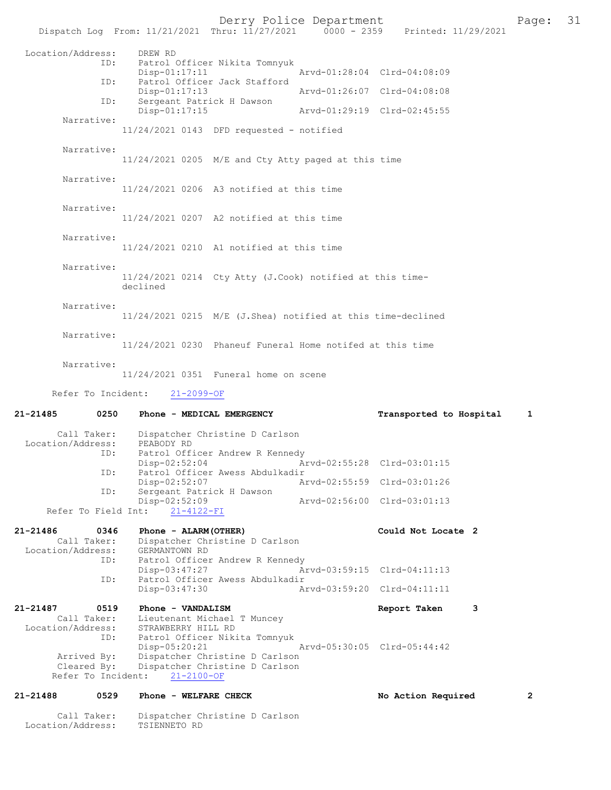Derry Police Department Fage: 31 Dispatch Log From: 11/21/2021 Thru:  $11/27/2021$  0000 - 2359 Printed: 11/29/2021 Location/Address: DREW RD ID: Patrol Officer Nikita Tomnyuk Disp-01:17:11 Arvd-01:28:04 Clrd-04:08:09 ID: Patrol Officer Jack Stafford<br>Disp-01:17:13 Disp-01:17:13 Arvd-01:26:07 Clrd-04:08:08<br>ID: Sergeant Patrick H Dawson Sergeant Patrick H Dawson Disp-01:17:15 Arvd-01:29:19 Clrd-02:45:55 Narrative: 11/24/2021 0143 DFD requested - notified Narrative: 11/24/2021 0205 M/E and Cty Atty paged at this time Narrative: 11/24/2021 0206 A3 notified at this time Narrative: 11/24/2021 0207 A2 notified at this time Narrative: 11/24/2021 0210 A1 notified at this time Narrative: 11/24/2021 0214 Cty Atty (J.Cook) notified at this timedeclined Narrative: 11/24/2021 0215 M/E (J.Shea) notified at this time-declined Narrative: 11/24/2021 0230 Phaneuf Funeral Home notifed at this time Narrative: 11/24/2021 0351 Funeral home on scene Refer To Incident: 21-2099-OF 21-21485 0250 Phone - MEDICAL EMERGENCY Transported to Hospital 1 Call Taker: Dispatcher Christine D Carlson<br>.on/Address: PEABODY RD Location/Address: ID: Patrol Officer Andrew R Kennedy Disp-02:52:04 Arvd-02:55:28 Clrd-03:01:15<br>TD: Patrol Officer Awess Abdulkadir Patrol Officer Awess Abdulkadir<br>Disp-02:52:07 A Disp-02:52:07 Arvd-02:55:59 Clrd-03:01:26<br>ID: Sergeant Patrick H Dawson Sergeant Patrick H Dawson Disp-02:52:09 Arvd-02:56:00 Clrd-03:01:13 Refer To Field Int: 21-4122-FI 21-21486 0346 Phone - ALARM(OTHER) Could Not Locate 2 Call Taker: Dispatcher Christine D Carlson Location/Address: GERMANTOWN RD ID: Patrol Officer Andrew R Kennedy<br>Disp-03:47:27 A Disp-03:47:27 Arvd-03:59:15 Clrd-04:11:13<br>ID: Patrol Officer Awess Abdulkadir Patrol Officer Awess Abdulkadir<br>Disp-03:47:30 A Disp-03:47:30 Arvd-03:59:20 Clrd-04:11:11 21-21487 0519 Phone - VANDALISM 21-21487 Report Taken 3 Call Taker: Lieutenant Michael T Muncey Location/Address: STRAWBERRY HILL RD<br>ID: Patrol Officer Nikita 1 Patrol Officer Nikita Tomnyuk<br>Disp-05:20:21 Disp-05:20:21 Arvd-05:30:05 Clrd-05:44:42<br>Arrived By: Dispatcher Christine D Carlson Dispatcher Christine D Carlson Cleared By: Dispatcher Christine D Carlson Refer To Incident: 21-2100-OF 21-21488 0529 Phone - WELFARE CHECK No Action Required 2

 Call Taker: Dispatcher Christine D Carlson Location/Address: TSIENNETO RD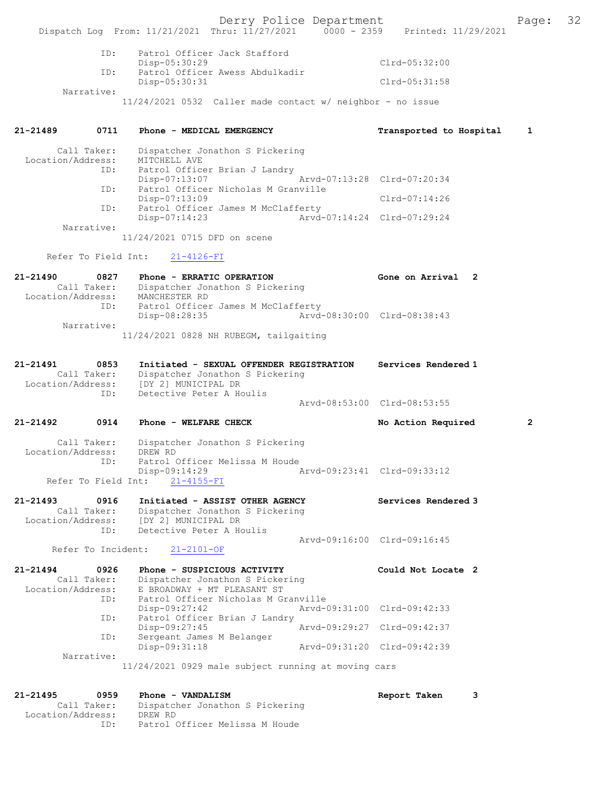Derry Police Department Fage: 32 Dispatch Log From: 11/21/2021 Thru: 11/27/2021 0000 - 2359 Printed: 11/29/2021 ID: Patrol Officer Jack Stafford Disp-05:30:29 Clrd-05:32:00 ID: Patrol Officer Awess Abdulkadir Disp-05:30:31 Clrd-05:31:58 Narrative: 11/24/2021 0532 Caller made contact w/ neighbor - no issue 21-21489 0711 Phone - MEDICAL EMERGENCY Transported to Hospital 1 Call Taker: Dispatcher Jonathon S Pickering Location/Address: MITCHELL AVE ID: Patrol Officer Brian J Landry<br>Disp-07:13:07 Mrvd-07:13:28 Clrd-07:20:34 Disp-07:13:07 Arvd-07:13:28 Clrd-07:20:34 ID: Patrol Officer Nicholas M Granville Disp-07:13:09 Clrd-07:14:26 ID: Patrol Officer James M McClafferty<br>Disp-07:14:23 Arvd-0 Arvd-07:14:24 Clrd-07:29:24 Narrative: 11/24/2021 0715 DFD on scene Refer To Field Int: 21-4126-FI 21-21490 0827 Phone - ERRATIC OPERATION Gone on Arrival 2 Call Taker: Dispatcher Jonathon S Pickering Location/Address: MANCHESTER RD ID: Patrol Officer James M McClafferty Disp-08:28:35 Arvd-08:30:00 Clrd-08:38:43 Narrative: 11/24/2021 0828 NH RUBEGM, tailgaiting 21-21491 0853 Initiated - SEXUAL OFFENDER REGISTRATION Services Rendered 1 Call Taker: Dispatcher Jonathon S Pickering Location/Address: [DY 2] MUNICIPAL DR ID: Detective Peter A Houlis Arvd-08:53:00 Clrd-08:53:55 21-21492 0914 Phone - WELFARE CHECK No Action Required 2 Call Taker: Dispatcher Jonathon S Pickering<br>Location/Address: DREW RD Call Taker: Dispater<br>Coll Taker: DREW RD ID: Patrol Officer Melissa M Houde<br>Disp-09:14:29 Disp-09:14:29 Arvd-09:23:41 Clrd-09:33:12 Refer To Field Int: 21-4155-FI 21-21493 0916 Initiated - ASSIST OTHER AGENCY Services Rendered 3 Call Taker: Dispatcher Jonathon S Pickering Location/Address: [DY 2] MUNICIPAL DR ID: Detective Peter A Houlis Arvd-09:16:00 Clrd-09:16:45 Refer To Incident: 21-2101-OF 21-21494 0926 Phone - SUSPICIOUS ACTIVITY Could Not Locate 2 Call Taker: Dispatcher Jonathon S Pickering Location/Address: E BROADWAY + MT PLEASANT ST ID: Patrol Officer Nicholas M Granville Disp-09:27:42 Arvd-09:31:00 Clrd-09:42:33 ID: Patrol Officer Brian J Landry<br>Disp-09:27:45 Disp-09:27:45 <br>
D: Sergeant James M Belanger<br>
D: Sergeant James M Belanger Disp-ob.27.30<br>Sergeant James M Belanger<br>Disp-09:31:18 Disp-09:31:18 Arvd-09:31:20 Clrd-09:42:39 Narrative: 11/24/2021 0929 male subject running at moving cars 21-21495 0959 Phone - VANDALISM Report Taken 3 Call Taker: Dispatcher Jonathon S Pickering Location/Address: DREW RD ID: Patrol Officer Melissa M Houde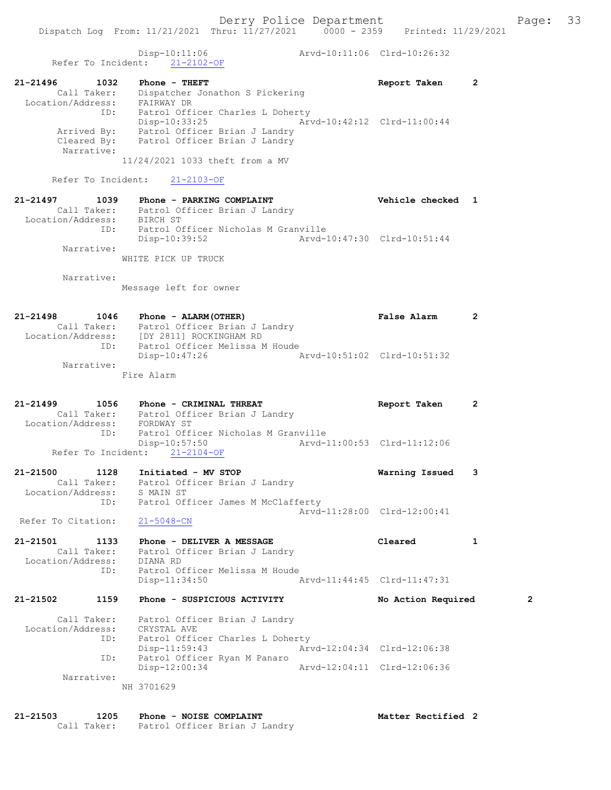Disp-10:11:06 Arvd-10:11:06 Clrd-10:26:32 Refer To Incident: 21-2102-OF 21-21496 1032 Phone - THEFT Report Taken 2 Call Taker: Dispatcher Jonathon S Pickering Location/Address: FAIRWAY DR ID: Patrol Officer Charles L Doherty Disp-10:33:25 Arvd-10:42:12 Clrd-11:00:44 Arrived By: Patrol Officer Brian J Landry Cleared By: Patrol Officer Brian J Landry Narrative: 11/24/2021 1033 theft from a MV Refer To Incident: 21-2103-OF 21-21497 1039 Phone - PARKING COMPLAINT Vehicle checked 1 Call Taker: Patrol Officer Brian J Landry Location/Address: BIRCH ST ID: Patrol Officer Nicholas M Granville Disp-10:39:52 Arvd-10:47:30 Clrd-10:51:44 Narrative: WHITE PICK UP TRUCK Narrative: Message left for owner 21-21498 1046 Phone - ALARM(OTHER) False Alarm 2 Call Taker: Patrol Officer Brian J Landry Location/Address: [DY 2811] ROCKINGHAM RD ID: Patrol Officer Melissa M Houde Disp-10:47:26 Arvd-10:51:02 Clrd-10:51:32 Narrative: Fire Alarm 21-21499 1056 Phone - CRIMINAL THREAT Report Taken 2 Call Taker: Patrol Officer Brian J Landry Location/Address: FORDWAY ST ID: Patrol Officer Nicholas M Granville Disp-10:57:50 Arvd-11:00:53 Clrd-11:12:06 Refer To Incident: 21-2104-OF 21-21500 1128 Initiated - MV STOP Warning Issued 3 Call Taker: Patrol Officer Brian J Landry Location/Address: S MAIN ST ID: Patrol Officer James M McClafferty Arvd-11:28:00 Clrd-12:00:41 Refer To Citation:  $21-5048-CN$ 21-21501 1133 Phone - DELIVER A MESSAGE Cleared 1 Call Taker: Patrol Officer Brian J Landry Location/Address: DIANA RD ID: Patrol Officer Melissa M Houde Disp-11:34:50 Arvd-11:44:45 Clrd-11:47:31 21-21502 1159 Phone - SUSPICIOUS ACTIVITY No Action Required 2 Call Taker: Patrol Officer Brian J Landry Location/Address: CRYSTAL AVE ID: Patrol Officer Charles L Doherty Disp-11:59:43 Arvd-12:04:34 Clrd-12:06:38 ID: Patrol Officer Ryan M Panaro Disp-12:00:34 Arvd-12:04:11 Clrd-12:06:36 Narrative: NH 3701629

21-21503 1205 Phone - NOISE COMPLAINT Noted that Matter Rectified 2 Call Taker: Patrol Officer Brian J Landry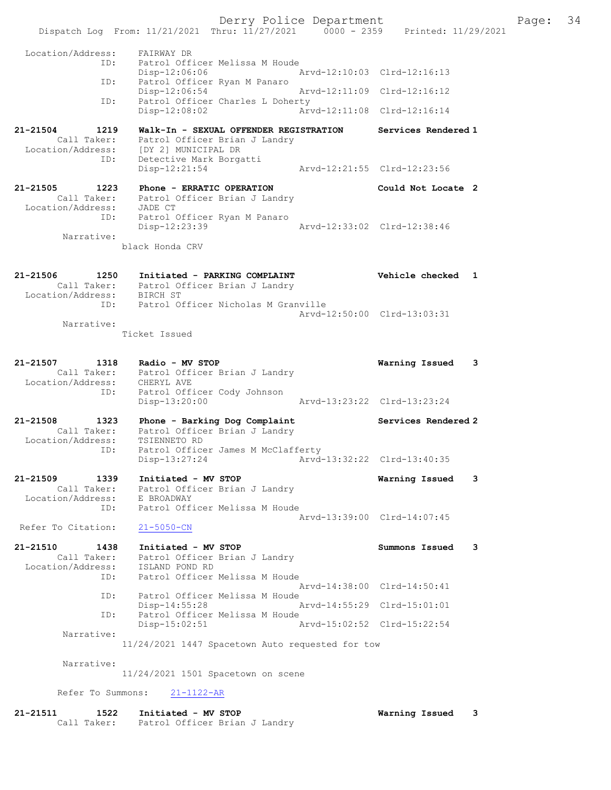Derry Police Department Fage: 34 Dispatch Log From: 11/21/2021 Thru: 11/27/2021 0000 - 2359 Printed: 11/29/2021 Location/Address: FAIRWAY DR ID: Patrol Officer Melissa M Houde Disp-12:06:06 Arvd-12:10:03 Clrd-12:16:13 ID: Patrol Officer Ryan M Panaro<br>Disp-12:06:54 Arvd-12:11:09 Clrd-12:16:12 Disp-12:06:54 Arvd-12:11:09 Clrd-12:16:12 ID: Patrol Officer Charles L Doherty Disp-12:08:02 Arvd-12:11:08 Clrd-12:16:14 21-21504 1219 Walk-In - SEXUAL OFFENDER REGISTRATION Services Rendered 1 Call Taker: Patrol Officer Brian J Landry Location/Address: [DY 2] MUNICIPAL DR ID: Detective Mark Borgatti Disp-12:21:54 Arvd-12:21:55 Clrd-12:23:56 21-21505 1223 Phone - ERRATIC OPERATION Could Not Locate 2 Call Taker: Patrol Officer Brian J Landry Location/Address: JADE CT ID: Patrol Officer Ryan M Panaro Disp-12:23:39 Arvd-12:33:02 Clrd-12:38:46 Narrative: black Honda CRV 21-21506 1250 Initiated - PARKING COMPLAINT Vehicle checked 1 Call Taker: Patrol Officer Brian J Landry Location/Address: BIRCH ST ID: Patrol Officer Nicholas M Granville Arvd-12:50:00 Clrd-13:03:31 Narrative: Ticket Issued 21-21507 1318 Radio - MV STOP Warning Issued 3 Call Taker: Patrol Officer Brian J Landry Location/Address: CHERYL AVE ID: Patrol Officer Cody Johnson Disp-13:20:00 Arvd-13:23:22 Clrd-13:23:24 21-21508 1323 Phone - Barking Dog Complaint Services Rendered 2 Call Taker: Patrol Officer Brian J Landry Location/Address: TSIENNETO RD ID: Patrol Officer James M McClafferty Disp-13:27:24 Arvd-13:32:22 Clrd-13:40:35 21-21509 1339 Initiated - MV STOP Warning Issued 3 Call Taker: Patrol Officer Brian J Landry Location/Address: E BROADWAY ID: Patrol Officer Melissa M Houde Arvd-13:39:00 Clrd-14:07:45<br>21-5050-CN Refer To Citation: 21-21510 1438 Initiated - MV STOP Summons Issued 3 Call Taker: Patrol Officer Brian J Landry Location/Address: ISLAND POND RD ID: Patrol Officer Melissa M Houde Arvd-14:38:00 Clrd-14:50:41 ID: Patrol Officer Melissa M Houde Disp-14:55:28 Arvd-14:55:29 Clrd-15:01:01 ID: Patrol Officer Melissa M Houde Disp-15:02:51 Arvd-15:02:52 Clrd-15:22:54 Narrative: 11/24/2021 1447 Spacetown Auto requested for tow Narrative: 11/24/2021 1501 Spacetown on scene Refer To Summons: 21-1122-AR 21-21511 1522 Initiated - MV STOP Warning Issued 3 Call Taker: Patrol Officer Brian J Landry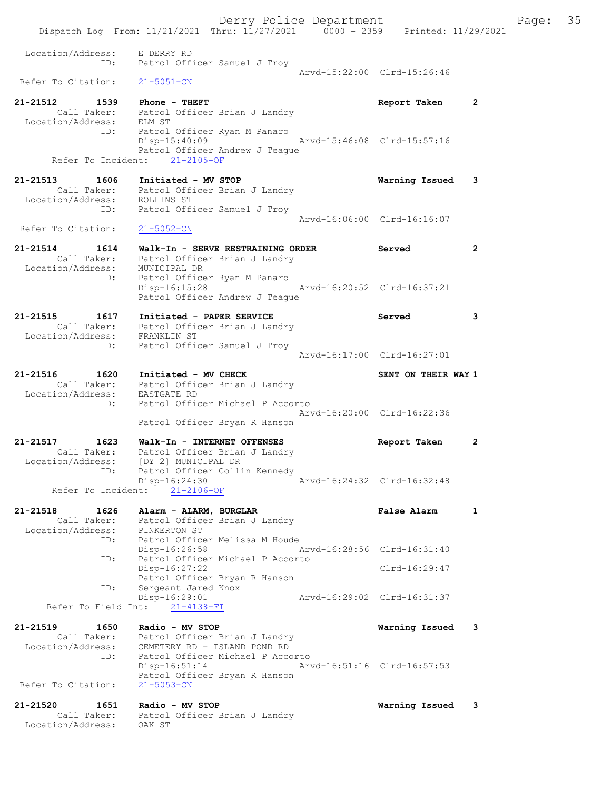Derry Police Department Fage: 35 Dispatch Log From: 11/21/2021 Thru: 11/27/2021 0000 - 2359 Printed: 11/29/2021 Location/Address: E DERRY RD ID: Patrol Officer Samuel J Troy Arvd-15:22:00 Clrd-15:26:46 Refer To Citation: 21-5051-CN 21-21512 1539 Phone - THEFT 2010 Report Taken 2 Call Taker: Patrol Officer Brian J Landry Location/Address: ELM ST ID: Patrol Officer Ryan M Panaro Disp-15:40:09 Arvd-15:46:08 Clrd-15:57:16 Patrol Officer Andrew J Teague Refer To Incident: 21-2105-OF 21-21513 1606 Initiated - MV STOP Warning Issued 3 Call Taker: Patrol Officer Brian J Landry Location/Address: ROLLINS ST ID: Patrol Officer Samuel J Troy Arvd-16:06:00 Clrd-16:16:07 Refer To Citation: 21-5052-CN 21-21514 1614 Walk-In - SERVE RESTRAINING ORDER Served 2 Call Taker: Patrol Officer Brian J Landry Location/Address: MUNICIPAL DR ID: Patrol Officer Ryan M Panaro Disp-16:15:28 Arvd-16:20:52 Clrd-16:37:21 Patrol Officer Andrew J Teague 21-21515 1617 Initiated - PAPER SERVICE 3 Served 3 Call Taker: Patrol Officer Brian J Landry Location/Address: FRANKLIN ST ID: Patrol Officer Samuel J Troy Arvd-16:17:00 Clrd-16:27:01 21-21516 1620 Initiated - MV CHECK SENT ON THEIR WAY 1 Call Taker: Patrol Officer Brian J Landry Location/Address: EASTGATE RD ID: Patrol Officer Michael P Accorto Arvd-16:20:00 Clrd-16:22:36 Patrol Officer Bryan R Hanson 21-21517 1623 Walk-In - INTERNET OFFENSES Report Taken 2 Call Taker: Patrol Officer Brian J Landry Location/Address: [DY 2] MUNICIPAL DR ID: Patrol Officer Collin Kennedy Disp-16:24:30 Arvd-16:24:32 Clrd-16:32:48 Refer To Incident: 21-2106-OF 21-21518 1626 Alarm - ALARM, BURGLAR 1988 False Alarm 1 Call Taker: Patrol Officer Brian J Landry Location/Address: PINKERTON ST ID: Patrol Officer Melissa M Houde Disp-16:26:58 Arvd-16:28:56 Clrd-16:31:40 ID: Patrol Officer Michael P Accorto Disp-16:27:22<br>Patrol Officer Bryan R Hanson Clrd-16:29:47 Patrol Officer Bryan R Hanson ID: Sergeant Jared Knox Disp-16:29:01 Arvd-16:29:02 Clrd-16:31:37 Refer To Field Int: 21-4138-FI 21-21519 1650 Radio - MV STOP Warning Issued 3 Call Taker: Patrol Officer Brian J Landry Location/Address: CEMETERY RD + ISLAND POND RD ID: Patrol Officer Michael P Accorto Disp-16:51:14 Arvd-16:51:16 Clrd-16:57:53 Patrol Officer Bryan R Hanson<br>21-5053-CN Refer To Citation: 21-21520 1651 Radio - MV STOP Warning Issued 3 Call Taker: Patrol Officer Brian J Landry Location/Address: OAK ST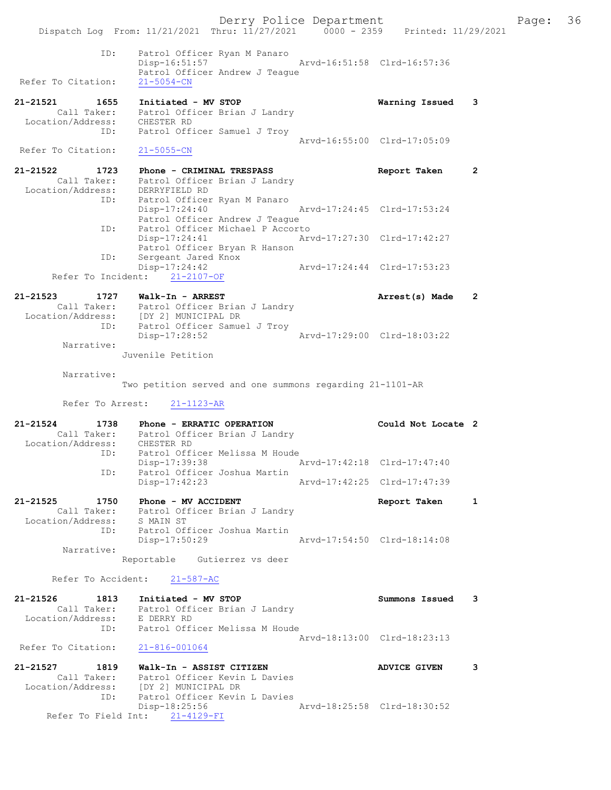Derry Police Department Fage: 36 Dispatch Log From: 11/21/2021 Thru: 11/27/2021 0000 - 2359 Printed: 11/29/2021 ID: Patrol Officer Ryan M Panaro Disp-16:51:57 Arvd-16:51:58 Clrd-16:57:36 Patrol Officer Andrew J Teague Refer To Citation: 21-5054-CN 21-21521 1655 Initiated - MV STOP Warning Issued 3 Call Taker: Patrol Officer Brian J Landry Location/Address: CHESTER RD ID: Patrol Officer Samuel J Troy Arvd-16:55:00 Clrd-17:05:09 Refer To Citation: 21-5055-CN 21-21522 1723 Phone - CRIMINAL TRESPASS Report Taken 2 Call Taker: Patrol Officer Brian J Landry Location/Address: DERRYFIELD RD ID: Patrol Officer Ryan M Panaro Disp-17:24:40 Arvd-17:24:45 Clrd-17:53:24 Disp-17:24:40 <sup>-</sup> Ar<br>Patrol Officer Andrew J Teague ID: Patrol Officer Michael P Accorto Disp-17:24:41 Arvd-17:27:30 Clrd-17:42:27 Patrol Officer Bryan R Hanson<br>ID: Sergeant Jared Knox ---<br>Sergeant Jared Knox<br>Disp-17:24:42 Disp-17:24:42 Arvd-17:24:44 Clrd-17:53:23 Refer To Incident: 21-2107-OF 21-21523 1727 Walk-In - ARREST **Arrest(s)** Made 2 Call Taker: Patrol Officer Brian J Landry Location/Address: [DY 2] MUNICIPAL DR ID: Patrol Officer Samuel J Troy Disp-17:28:52 Arvd-17:29:00 Clrd-18:03:22 Narrative: Juvenile Petition Narrative: Two petition served and one summons regarding 21-1101-AR Refer To Arrest: 21-1123-AR 21-21524 1738 Phone - ERRATIC OPERATION Could Not Locate 2 Call Taker: Patrol Officer Brian J Landry Location/Address: CHESTER RD ID: Patrol Officer Melissa M Houde Disp-17:39:38 Arvd-17:42:18 Clrd-17:47:40 ID: Patrol Officer Joshua Martin Disp-17:42:23 Arvd-17:42:25 Clrd-17:47:39 21-21525 1750 Phone - MV ACCIDENT Report Taken 1 Call Taker: Patrol Officer Brian J Landry Location/Address: S MAIN ST ID: Patrol Officer Joshua Martin Disp-17:50:29 Arvd-17:54:50 Clrd-18:14:08 Narrative: Reportable Gutierrez vs deer Refer To Accident: 21-587-AC 21-21526 1813 Initiated - MV STOP Summons Issued 3 Call Taker: Patrol Officer Brian J Landry Location/Address: E DERRY RD ID: Patrol Officer Melissa M Houde Arvd-18:13:00 Clrd-18:23:13 Refer To Citation: 21-816-001064 21-21527 1819 Walk-In - ASSIST CITIZEN ADVICE GIVEN 3 Call Taker: Patrol Officer Kevin L Davies Location/Address: [DY 2] MUNICIPAL DR ID: Patrol Officer Kevin L Davies<br>Disp-18:25:56 Disp-18:25:56 Arvd-18:25:58 Clrd-18:30:52 Refer To Field Int: 21-4129-FI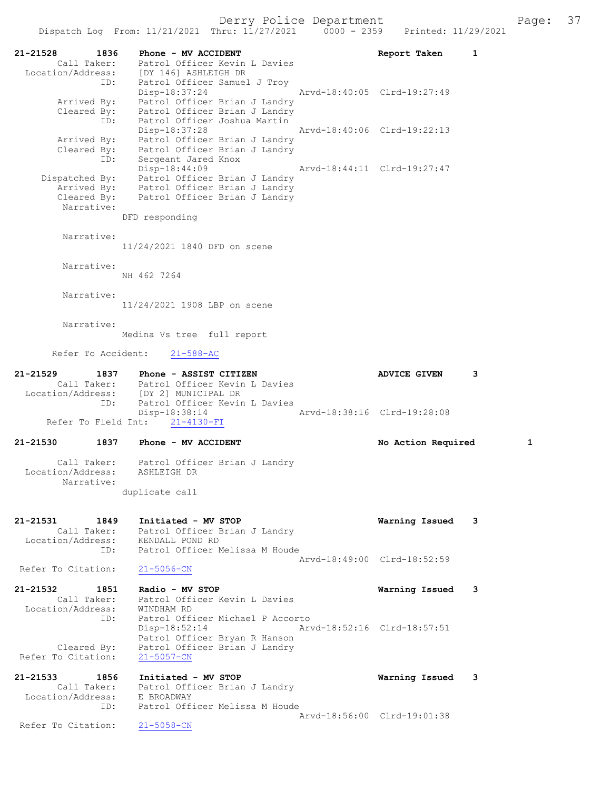21-21528 1836 Phone - MV ACCIDENT Report Taken 1 Call Taker: Patrol Officer Kevin L Davies Location/Address: [DY 146] ASHLEIGH DR ID: Patrol Officer Samuel J Troy Disp-18:37:24 Arvd-18:40:05 Clrd-19:27:49 Arrived By: Patrol Officer Brian J Landry Cleared By: Patrol Officer Brian J Landry ID: Patrol Officer Joshua Martin Disp-18:37:28 Arvd-18:40:06 Clrd-19:22:13 Arrived By: Patrol Officer Brian J Landry Cleared By: Patrol Officer Brian J Landry ID: Sergeant Jared Knox Disp-18:44:09 Arvd-18:44:11 Clrd-19:27:47 Dispatched By: Patrol Officer Brian J Landry Arrived By: Patrol Officer Brian J Landry Cleared By: Patrol Officer Brian J Landry Narrative: DFD responding Narrative: 11/24/2021 1840 DFD on scene Narrative: NH 462 7264 Narrative: 11/24/2021 1908 LBP on scene Narrative: Medina Vs tree full report Refer To Accident: 21-588-AC 21-21529 1837 Phone - ASSIST CITIZEN ADVICE GIVEN 3 Call Taker: Patrol Officer Kevin L Davies Location/Address: [DY 2] MUNICIPAL DR ID: Patrol Officer Kevin L Davies Disp-18:38:14 Arvd-18:38:16 Clrd-19:28:08 Refer To Field Int: 21-4130-FI 21-21530 1837 Phone - MV ACCIDENT No Action Required 1 Call Taker: Patrol Officer Brian J Landry Location/Address: ASHLEIGH DR Narrative: duplicate call 21-21531 1849 Initiated - MV STOP Warning Issued 3 Call Taker: Patrol Officer Brian J Landry Location/Address: KENDALL POND RD ID: Patrol Officer Melissa M Houde Arvd-18:49:00 Clrd-18:52:59<br>21-5056-CN Refer To Citation: 21-21532 1851 Radio - MV STOP Warning Issued 3 Call Taker: Patrol Officer Kevin L Davies Location/Address: WINDHAM RD ID: Patrol Officer Michael P Accorto Disp-18:52:14 Arvd-18:52:16 Clrd-18:57:51 Patrol Officer Bryan R Hanson Cleared By: Patrol Officer Brian J Landry Refer To Citation: 21-5057-CN 21-21533 1856 Initiated - MV STOP Warning Issued 3 Call Taker: Patrol Officer Brian J Landry Location/Address: E BROADWAY ID: Patrol Officer Melissa M Houde Arvd-18:56:00 Clrd-19:01:38<br>21-5058-CN Refer To Citation: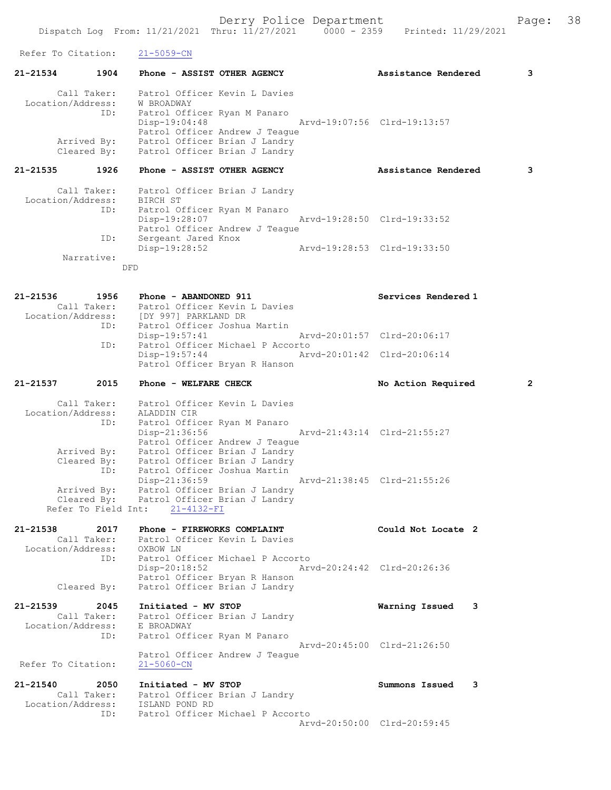Derry Police Department Fage: 38 Dispatch Log From: 11/21/2021 Thru: 11/27/2021 0000 - 2359 Printed: 11/29/2021 Refer To Citation: 21-5059-CN 21-21534 1904 Phone - ASSIST OTHER AGENCY Assistance Rendered 3 Call Taker: Patrol Officer Kevin L Davies Location/Address: W BROADWAY ID: Patrol Officer Ryan M Panaro Disp-19:04:48 Arvd-19:07:56 Clrd-19:13:57 Patrol Officer Andrew J Teague Arrived By: Patrol Officer Brian J Landry Cleared By: Patrol Officer Brian J Landry 21-21535 1926 Phone - ASSIST OTHER AGENCY Assistance Rendered 3 Call Taker: Patrol Officer Brian J Landry Location/Address: BIRCH ST ID: Patrol Officer Ryan M Panaro Disp-19:28:07 Arvd-19:28:50 Clrd-19:33:52 Patrol Officer Andrew J Teague Factor Sergeant Jared Knox<br>Disp-19:28:52 Disp-19:28:52 Arvd-19:28:53 Clrd-19:33:50 Narrative: DFD 21-21536 1956 Phone - ABANDONED 911 Services Rendered 1 Call Taker: Patrol Officer Kevin L Davies Location/Address: [DY 997] PARKLAND DR ID: Patrol Officer Joshua Martin Disp-19:57:41 Arvd-20:01:57 Clrd-20:06:17 ID: Patrol Officer Michael P Accorto Disp-19:57:44 Arvd-20:01:42 Clrd-20:06:14 Patrol Officer Bryan R Hanson 21-21537 2015 Phone - WELFARE CHECK No Action Required 2 Call Taker: Patrol Officer Kevin L Davies Location/Address: ALADDIN CIR ID: Patrol Officer Ryan M Panaro Disp-21:36:56 Arvd-21:43:14 Clrd-21:55:27 Patrol Officer Andrew J Teague Arrived By: Patrol Officer Brian J Landry Cleared By: Patrol Officer Brian J Landry ID: Patrol Officer Joshua Martin Disp-21:36:59 Arvd-21:38:45 Clrd-21:55:26 Arrived By: Patrol Officer Brian J Landry Cleared By: Patrol Officer Brian J Landry Refer To Field Int: 21-4132-FI 21-21538 2017 Phone - FIREWORKS COMPLAINT Could Not Locate 2 Call Taker: Patrol Officer Kevin L Davies Location/Address: OXBOW LN ID: Patrol Officer Michael P Accorto Disp-20:18:52 Arvd-20:24:42 Clrd-20:26:36 Patrol Officer Bryan R Hanson Cleared By: Patrol Officer Brian J Landry 21-21539 2045 Initiated - MV STOP Warning Issued 3 Call Taker: Patrol Officer Brian J Landry Location/Address: E BROADWAY ID: Patrol Officer Ryan M Panaro Arvd-20:45:00 Clrd-21:26:50 Patrol Officer Andrew J Teague Refer To Citation: 21-5060-CN 21-21540 2050 Initiated - MV STOP Summons Issued 3 Call Taker: Patrol Officer Brian J Landry Location/Address: ISLAND POND RD

ID: Patrol Officer Michael P Accorto

Arvd-20:50:00 Clrd-20:59:45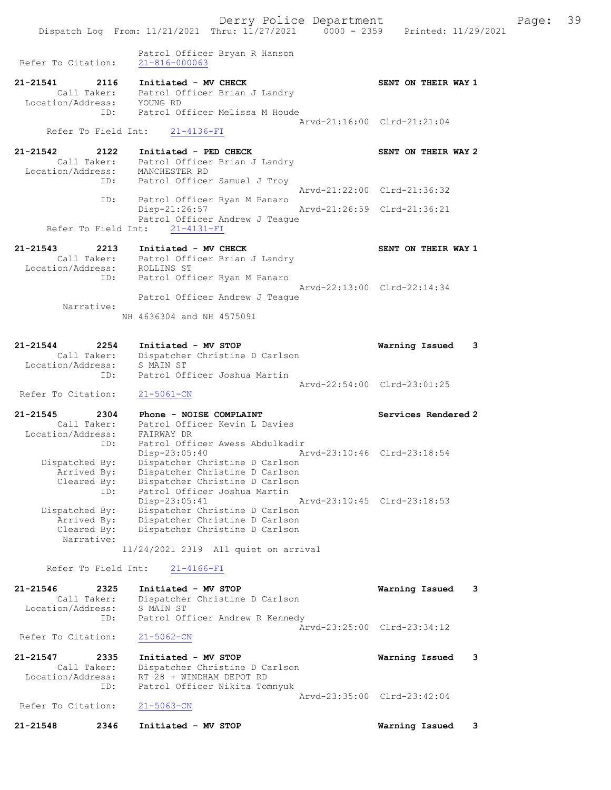Patrol Officer Bryan R Hanson Refer To Citation: 21-816-000063 21-21541 2116 Initiated - MV CHECK SENT ON THEIR WAY 1 Call Taker: Patrol Officer Brian J Landry Location/Address: YOUNG RD ID: Patrol Officer Melissa M Houde Arvd-21:16:00 Clrd-21:21:04 Refer To Field Int: 21-4136-FI 21-21542 2122 Initiated - PED CHECK SENT ON THEIR WAY 2 Call Taker: Patrol Officer Brian J Landry Location/Address: MANCHESTER RD ID: Patrol Officer Samuel J Troy Arvd-21:22:00 Clrd-21:36:32 ID: Patrol Officer Ryan M Panaro Disp-21:26:57 Arvd-21:26:59 Clrd-21:36:21 Patrol Officer Andrew J Teague Refer To Field Int: 21-4131-FI 21-21543 2213 Initiated - MV CHECK SENT ON THEIR WAY 1 Call Taker: Patrol Officer Brian J Landry Location/Address: ROLLINS ST ID: Patrol Officer Ryan M Panaro Arvd-22:13:00 Clrd-22:14:34 Patrol Officer Andrew J Teague Narrative: NH 4636304 and NH 4575091 21-21544 2254 Initiated - MV STOP Warning Issued 3 Call Taker: Dispatcher Christine D Carlson Location/Address: S MAIN ST ID: Patrol Officer Joshua Martin Arvd-22:54:00 Clrd-23:01:25 Refer To Citation: 21-5061-CN 21-21545 2304 Phone - NOISE COMPLAINT North Services Rendered 2 Call Taker: Patrol Officer Kevin L Davies Location/Address: FAIRWAY DR ID: Patrol Officer Awess Abdulkadir Disp-23:05:40 Arvd-23:10:46 Clrd-23:18:54 Dispatched By: Dispatcher Christine D Carlson Arrived By: Dispatcher Christine D Carlson Cleared By: Dispatcher Christine D Carlson ID: Patrol Officer Joshua Martin Disp-23:05:41 Arvd-23:10:45 Clrd-23:18:53 Dispatched By: Dispatcher Christine D Carlson Arrived By: Dispatcher Christine D Carlson Cleared By: Dispatcher Christine D Carlson Narrative: 11/24/2021 2319 All quiet on arrival Refer To Field Int: 21-4166-FI 21-21546 2325 Initiated - MV STOP Warning Issued 3 Call Taker: Dispatcher Christine D Carlson Location/Address: S MAIN ST ID: Patrol Officer Andrew R Kennedy Arvd-23:25:00 Clrd-23:34:12 Refer To Citation: 21-5062-CN 21-21547 2335 Initiated - MV STOP Warning Issued 3 Call Taker: Dispatcher Christine D Carlson Location/Address: RT 28 + WINDHAM DEPOT RD ID: Patrol Officer Nikita Tomnyuk Arvd-23:35:00 Clrd-23:42:04<br>21-5063-CN Refer To Citation: 21-21548 2346 Initiated - MV STOP Warning Issued 3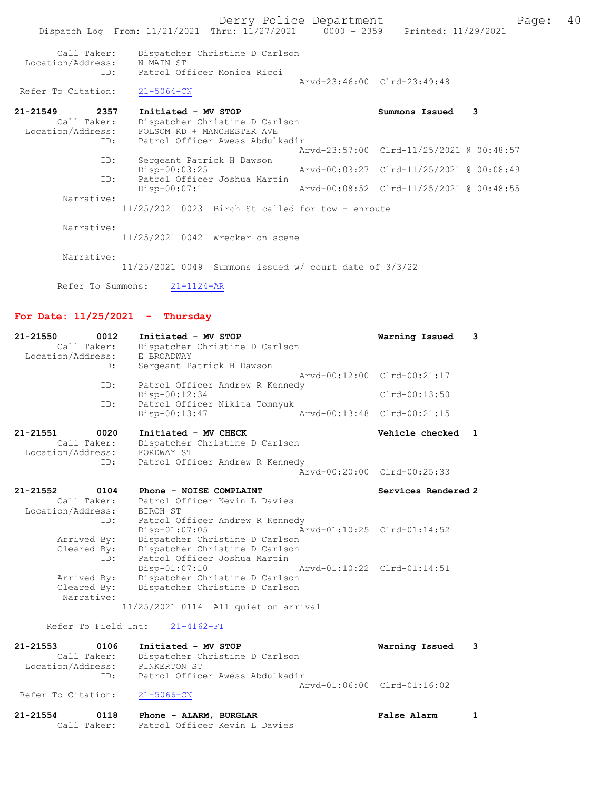Derry Police Department Fage: 40 Dispatch Log From: 11/21/2021 Thru: 11/27/2021 0000 - 2359 Printed: 11/29/2021 Call Taker: Dispatcher Christine D Carlson Location/Address: N MAIN ST ID: Patrol Officer Monica Ricci Arvd-23:46:00 Clrd-23:49:48<br>
21-5064-CN Refer To Citation: 21-21549 2357 Initiated - MV STOP Summons Issued 3 Call Taker: Dispatcher Christine D Carlson Location/Address: FOLSOM RD + MANCHESTER AVE ID: Patrol Officer Awess Abdulkadir Arvd-23:57:00 Clrd-11/25/2021 @ 00:48:57 ID: Sergeant Patrick H Dawson<br>Disp-00:03:25 Disp-00:03:25 Arvd-00:03:27 Clrd-11/25/2021 @ 00:08:49<br>ID: Patrol Officer Joshua Martin Patrol Officer Joshua Martin<br>Disp-00:07:11 Arvd-00:08:52 Clrd-11/25/2021 @ 00:48:55 Narrative: 11/25/2021 0023 Birch St called for tow - enroute Narrative: 11/25/2021 0042 Wrecker on scene Narrative: 11/25/2021 0049 Summons issued w/ court date of 3/3/22

Refer To Summons: 21-1124-AR

## For Date: 11/25/2021 - Thursday

| 21-21550<br>0012<br>Call Taker:<br>Location/Address: | Initiated - MV STOP<br>Dispatcher Christine D Carlson<br>E BROADWAY  | Warning Issued              | $\overline{\mathbf{3}}$ |
|------------------------------------------------------|----------------------------------------------------------------------|-----------------------------|-------------------------|
| ID:                                                  | Sergeant Patrick H Dawson                                            | Aryd-00:12:00 Clrd-00:21:17 |                         |
| ID:                                                  | Patrol Officer Andrew R Kennedy                                      |                             |                         |
|                                                      | Disp-00:12:34                                                        | $Clrd-00:13:50$             |                         |
| ID:                                                  | Patrol Officer Nikita Tomnyuk                                        |                             |                         |
|                                                      | Disp-00:13:47                                                        | Arvd-00:13:48 Clrd-00:21:15 |                         |
| 21-21551<br>0020                                     | Initiated - MV CHECK                                                 | Vehicle checked 1           |                         |
| Call Taker:                                          | Dispatcher Christine D Carlson                                       |                             |                         |
| Location/Address:                                    | FORDWAY ST                                                           |                             |                         |
| ID:                                                  | Patrol Officer Andrew R Kennedy                                      |                             |                         |
|                                                      |                                                                      | Arvd-00:20:00 Clrd-00:25:33 |                         |
| $21 - 21552$<br>0104                                 | Phone - NOISE COMPLAINT                                              | Services Rendered 2         |                         |
| Call Taker:                                          | Patrol Officer Kevin L Davies                                        |                             |                         |
| Location/Address:                                    | BIRCH ST                                                             |                             |                         |
| ID:                                                  | Patrol Officer Andrew R Kennedy                                      |                             |                         |
|                                                      | Disp-01:07:05                                                        | Arvd-01:10:25 Clrd-01:14:52 |                         |
| Arrived By:                                          | Dispatcher Christine D Carlson                                       |                             |                         |
| Cleared By:                                          | Dispatcher Christine D Carlson                                       |                             |                         |
| ID:                                                  | Patrol Officer Joshua Martin                                         |                             |                         |
|                                                      | $Disp-01:07:10$<br>Arvd-01:10:22 Clrd-01:14:51                       |                             |                         |
| Arrived By:                                          | Dispatcher Christine D Carlson                                       |                             |                         |
| Cleared By:<br>Narrative:                            | Dispatcher Christine D Carlson                                       |                             |                         |
|                                                      | 11/25/2021 0114 All quiet on arrival                                 |                             |                         |
|                                                      |                                                                      |                             |                         |
| Refer To Field Int:                                  | $21 - 4162 - FI$                                                     |                             |                         |
| <b>01 01EE2</b>                                      | $0106$ $T_{\alpha}$ ; $L_{\alpha}$ $L_{\alpha}$ $M$ $T$ $C$ $T$ $CD$ | Monding Tonigal             |                         |

21-21553 0106 Initiated - MV STOP Warning Issued 3 Call Taker: Dispatcher Christine D Carlson Location/Address: PINKERTON ST ID: Patrol Officer Awess Abdulkadir Arvd-01:06:00 Clrd-01:16:02<br>21-5066-CN Refer To Citation:

| 21-21554 | 0118        | Phone - ALARM, BURGLAR        | <b>False Alarm</b> |  |
|----------|-------------|-------------------------------|--------------------|--|
|          | Call Taker: | Patrol Officer Kevin L Davies |                    |  |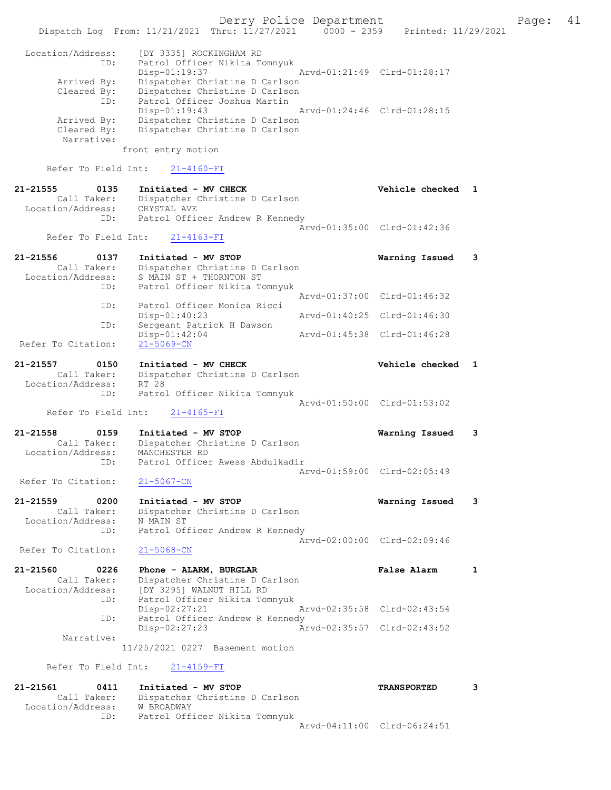Derry Police Department Fage: 41 Dispatch Log From: 11/21/2021 Thru: 11/27/2021 0000 - 2359 Printed: 11/29/2021 Location/Address: [DY 3335] ROCKINGHAM RD ID: Patrol Officer Nikita Tomnyuk Disp-01:19:37 Arvd-01:21:49 Clrd-01:28:17 Arrived By: Dispatcher Christine D Carlson Cleared By: Dispatcher Christine D Carlson ID: Patrol Officer Joshua Martin Disp-01:19:43 Arvd-01:24:46 Clrd-01:28:15 Arrived By: Dispatcher Christine D Carlson Cleared By: Dispatcher Christine D Carlson Narrative: front entry motion Refer To Field Int: 21-4160-FI 21-21555 0135 Initiated - MV CHECK Vehicle checked 1 Call Taker: Dispatcher Christine D Carlson Location/Address: CRYSTAL AVE ID: Patrol Officer Andrew R Kennedy Arvd-01:35:00 Clrd-01:42:36 Refer To Field Int: 21-4163-FI 21-21556 0137 Initiated - MV STOP Warning Issued 3 Call Taker: Dispatcher Christine D Carlson Location/Address: S MAIN ST + THORNTON ST ID: Patrol Officer Nikita Tomnyuk Arvd-01:37:00 Clrd-01:46:32<br>Patrol Officer Monica Ricci ID: Patrol Officer Monical<br>Disp-01:40:23 Disp-01:40:23 Arvd-01:40:25 Clrd-01:46:30 ID: Sergeant Patrick H Dawson Disp-01:42:04 Arvd-01:45:38 Clrd-01:46:28 Refer To Citation: 21-5069-CN 21-21557 0150 Initiated - MV CHECK Vehicle checked 1 Call Taker: Dispatcher Christine D Carlson Location/Address: RT 28 ID: Patrol Officer Nikita Tomnyuk Arvd-01:50:00 Clrd-01:53:02 Refer To Field Int: 21-4165-FI 21-21558 0159 Initiated - MV STOP Warning Issued 3 Call Taker: Dispatcher Christine D Carlson Location/Address: MANCHESTER RD ID: Patrol Officer Awess Abdulkadir Arvd-01:59:00 Clrd-02:05:49 Refer To Citation: 21-5067-CN 21-21559 0200 Initiated - MV STOP Warning Issued 3 Call Taker: Dispatcher Christine D Carlson Location/Address: N MAIN ST ID: Patrol Officer Andrew R Kennedy Arvd-02:00:00 Clrd-02:09:46 Refer To Citation: 21-5068-CN 21-21560 0226 Phone - ALARM, BURGLAR False Alarm 1 Call Taker: Dispatcher Christine D Carlson Location/Address: [DY 3295] WALNUT HILL RD ID: Patrol Officer Nikita Tomnyuk Disp-02:27:21 Arvd-02:35:58 Clrd-02:43:54<br>TD: Patrol Officer Andrew R Kennedy Patrol Officer Andrew R Kennedy Disp-02:27:23 Arvd-02:35:57 Clrd-02:43:52 Narrative: 11/25/2021 0227 Basement motion Refer To Field Int: 21-4159-FI 21-21561 0411 Initiated - MV STOP TRANSPORTED 3 Call Taker: Dispatcher Christine D Carlson Location/Address: W BROADWAY

ID: Patrol Officer Nikita Tomnyuk

Arvd-04:11:00 Clrd-06:24:51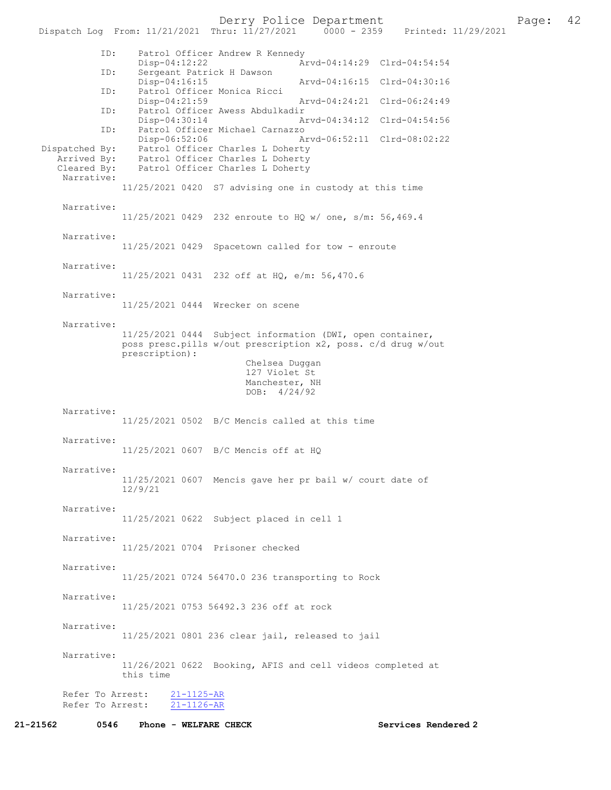Derry Police Department<br>hru:  $11/27/2021$  0000 - 2359 Printed:  $11/29/2021$ 

Dispatch Log From: 11/21/2021 Thru: 11/27/2021 ID: Patrol Officer Andrew R Kennedy Disp-04:12:22 Arvd-04:14:29 Clrd-04:54:54 ID: Sergeant Patrick H Dawson<br>Disp-04:16:15 Disp-04:16:15 Arvd-04:16:15 Clrd-04:30:16<br>ID: Patrol Officer Monica Ricci Patrol Officer Monica Ricci<br>Disp-04:21:59 Arvd-04:24:21 Clrd-06:24:49 ID: Patrol Officer Awess Abdulkadir<br>Disp-04:30:14 A Disp-04:30:14 Arvd-04:34:12 Clrd-04:54:56<br>ID: Patrol Officer Michael Carnazzo Patrol Officer Michael Carnazzo<br>Disp-06:52:06 A Disp-06:52:06 Arvd-06:52:11 Clrd-08:02:22<br>Dispatched By: Patrol Officer Charles L Doherty patched By: Patrol Officer Charles L Doherty<br>Arrived By: Patrol Officer Charles L Doherty Arrived By: Patrol Officer Charles L Doherty Cleared By: Patrol Officer Charles L Doherty Narrative: 11/25/2021 0420 S7 advising one in custody at this time Narrative: 11/25/2021 0429 232 enroute to HQ w/ one, s/m: 56,469.4 Narrative: 11/25/2021 0429 Spacetown called for tow - enroute Narrative: 11/25/2021 0431 232 off at HQ, e/m: 56,470.6 Narrative: 11/25/2021 0444 Wrecker on scene Narrative: 11/25/2021 0444 Subject information (DWI, open container, poss presc.pills w/out prescription x2, poss. c/d drug w/out prescription): Chelsea Duggan 127 Violet St Manchester, NH DOB: 4/24/92 Narrative: 11/25/2021 0502 B/C Mencis called at this time Narrative: 11/25/2021 0607 B/C Mencis off at HQ Narrative: 11/25/2021 0607 Mencis gave her pr bail w/ court date of 12/9/21 Narrative: 11/25/2021 0622 Subject placed in cell 1 Narrative: 11/25/2021 0704 Prisoner checked Narrative: 11/25/2021 0724 56470.0 236 transporting to Rock Narrative: 11/25/2021 0753 56492.3 236 off at rock Narrative: 11/25/2021 0801 236 clear jail, released to jail Narrative: 11/26/2021 0622 Booking, AFIS and cell videos completed at this time Refer To Arrest: 21-1125-AR Refer To Arrest: 21-1126-AR 21-21562 0546 Phone - WELFARE CHECK Services Rendered 2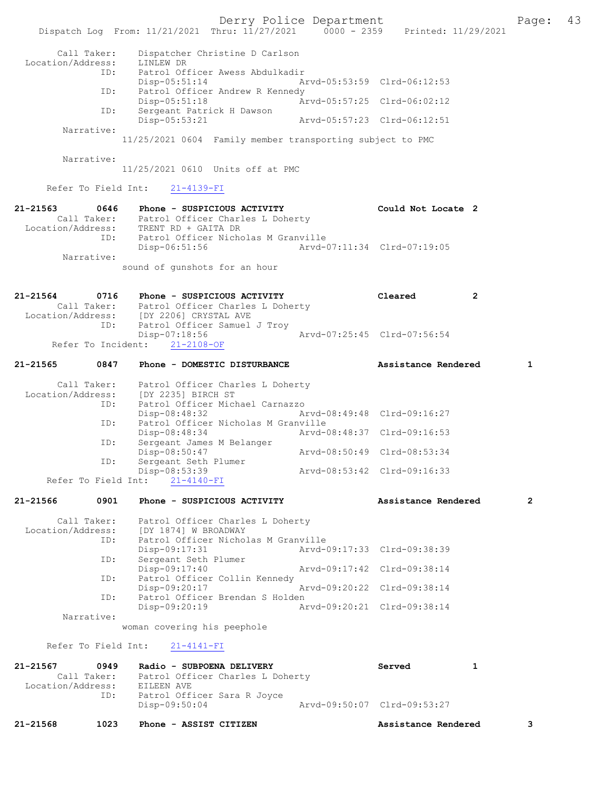Derry Police Department Fage: 43 Dispatch Log From: 11/21/2021 Thru: 11/27/2021 0000 - 2359 Printed: 11/29/2021 Call Taker: Dispatcher Christine D Carlson Location/Address: LINLEW DR ID: Patrol Officer Awess Abdulkadir Disp-05:51:14 Arvd-05:53:59 Clrd-06:12:53 ID: Patrol Officer Andrew R Kennedy Disp-05:51:18 Arvd-05:57:25 Clrd-06:02:12 ID: Sergeant Patrick H Dawson Disp-05:53:21 Arvd-05:57:23 Clrd-06:12:51 Narrative: 11/25/2021 0604 Family member transporting subject to PMC Narrative: 11/25/2021 0610 Units off at PMC Refer To Field Int: 21-4139-FI 21-21563 0646 Phone - SUSPICIOUS ACTIVITY Could Not Locate 2 Call Taker: Patrol Officer Charles L Doherty Location/Address: TRENT RD + GAITA DR ID: Patrol Officer Nicholas M Granville Disp-06:51:56 Arvd-07:11:34 Clrd-07:19:05 Narrative: sound of gunshots for an hour 21-21564 0716 Phone - SUSPICIOUS ACTIVITY Cleared 2 Call Taker: Patrol Officer Charles L Doherty Location/Address: [DY 2206] CRYSTAL AVE ESS: [DI 2200] CATOLING AND 112<br>ID: Patrol Officer Samuel J Troy<br>Disp-07:18:56 Arvd-07:25:45 Clrd-07:56:54 Refer To Incident: 21-2108-OF 21-21565 0847 Phone - DOMESTIC DISTURBANCE Assistance Rendered 1 Call Taker: Patrol Officer Charles L Doherty Location/Address: [DY 2235] BIRCH ST ID: Patrol Officer Michael Carnazzo Disp-08:48:32 Arvd-08:49:48 Clrd-09:16:27<br>TD: Patrol Officer Nicholas M Granville Patrol Officer Nicholas M Granville<br>Disp-08:48:34 Arvd-0 Disp-08:48:34 Arvd-08:48:37 Clrd-09:16:53<br>ID: Sergeant James M Belanger Sergeant James M Belanger<br>Disp-08:50:47 Disp-08:50:47 Arvd-08:50:49 Clrd-08:53:34<br>ID: Sergeant Seth Plumer Sergeant Seth Plumer<br>Disp-08:53:39 Disp-08:53:39 Arvd-08:53:42 Clrd-09:16:33 Refer To Field Int: 21-4140-FI 21-21566 0901 Phone - SUSPICIOUS ACTIVITY Assistance Rendered 2 Call Taker: Patrol Officer Charles L Doherty Location/Address: [DY 1874] W BROADWAY ID: Patrol Officer Nicholas M Granville Disp-09:17:31 Arvd-09:17:33 Clrd-09:38:39<br>ID: Sergeant Seth Plumer Disp-09:17.51<br>Sergeant Seth Plumer<br>Disp-09:17:40 Disp-09:17:40 Arvd-09:17:42 Clrd-09:38:14 ID: Patrol Officer Collin Kennedy Disp-09:20:17 Arvd-09:20:22 Clrd-09:38:14<br>TD: Patrol Officer Brendan S Holden Patrol Officer Brendan S Holden<br>Disp-09:20:19 Ar Disp-09:20:19 Arvd-09:20:21 Clrd-09:38:14 Narrative: woman covering his peephole Refer To Field Int: 21-4141-FI 21-21567 0949 Radio - SUBPOENA DELIVERY Served 1 Call Taker: Patrol Officer Charles L Doherty<br>ion/Address: EILEEN AVE Location/Address:<br>TD: Patrol Officer Sara R Joyce Disp-09:50:04 Arvd-09:50:07 Clrd-09:53:27 21-21568 1023 Phone - ASSIST CITIZEN Assistance Rendered 3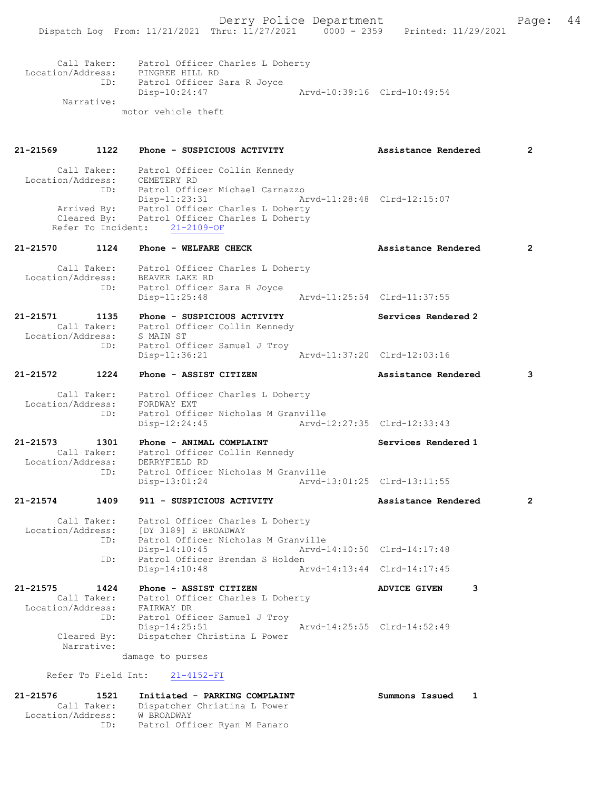|                                    |                           | Call Taker: Patrol Officer Charles L Doherty<br>Location/Address: PINGREE HILL RD                                                              |                             |                             |   |              |
|------------------------------------|---------------------------|------------------------------------------------------------------------------------------------------------------------------------------------|-----------------------------|-----------------------------|---|--------------|
|                                    | Narrative:                | ID: Patrol Officer Sara R Joyce<br>Disp-10:24:47                                                                                               | Arvd-10:39:16 Clrd-10:49:54 |                             |   |              |
|                                    |                           | motor vehicle theft                                                                                                                            |                             |                             |   |              |
| 21-21569                           |                           | 1122 Phone - SUSPICIOUS ACTIVITY                                                                                                               |                             | Assistance Rendered         |   | $\mathbf{2}$ |
|                                    |                           | Call Taker: Patrol Officer Collin Kennedy<br>Location/Address: CEMETERY RD<br>ID: Patrol Officer Michael Carnazzo                              |                             |                             |   |              |
|                                    |                           | Disp-11:23:31<br>Arrived By: Patrol Officer Charles L Doherty<br>Cleared By: Patrol Officer Charles L Doherty<br>Refer To Incident: 21-2109-OF |                             | Arvd-11:28:48 Clrd-12:15:07 |   |              |
|                                    |                           |                                                                                                                                                |                             | Assistance Rendered         |   | 2            |
|                                    |                           | Call Taker: Patrol Officer Charles L Doherty<br>Location/Address: BEAVER LAKE RD                                                               |                             |                             |   |              |
|                                    | ID:                       | Patrol Officer Sara R Joyce<br>$Disp-11:25:48$                                                                                                 | Arvd-11:25:54 Clrd-11:37:55 |                             |   |              |
| 21-21571                           |                           | 1135 Phone - SUSPICIOUS ACTIVITY<br>Call Taker: Patrol Officer Collin Kennedy                                                                  |                             | Services Rendered 2         |   |              |
|                                    |                           | Location/Address: S MAIN ST<br>ID: Patrol Officer Samuel J Troy<br>Disp-11:36:21                                                               |                             | Arvd-11:37:20 Clrd-12:03:16 |   |              |
|                                    |                           | 21-21572              1224       Phone – ASSIST CITIZEN                                                                                        |                             | Assistance Rendered         |   | 3            |
|                                    |                           | Call Taker: Patrol Officer Charles L Doherty<br>Location/Address: FORDWAY EXT                                                                  |                             |                             |   |              |
|                                    | ID:                       | Patrol Officer Nicholas M Granville<br>$Disp-12:24:45$                                                                                         |                             | Arvd-12:27:35 Clrd-12:33:43 |   |              |
| 21-21573 1301<br>Location/Address: |                           | Phone - ANIMAL COMPLAINT<br>Call Taker: Patrol Officer Collin Kennedy<br>DERRYFIELD RD                                                         |                             | Services Rendered 1         |   |              |
|                                    | ID:                       | Patrol Officer Nicholas M Granville<br>$Disp-13:01:24$                                                                                         |                             | Arvd-13:01:25 Clrd-13:11:55 |   |              |
| 21-21574                           | 1409                      | 911 - SUSPICIOUS ACTIVITY                                                                                                                      |                             | Assistance Rendered         |   | $\mathbf{2}$ |
| Location/Address:                  | Call Taker:<br>ID:        | Patrol Officer Charles L Doherty<br>[DY 3189] E BROADWAY<br>Patrol Officer Nicholas M Granville                                                |                             |                             |   |              |
|                                    | ID:                       | Disp-14:10:45<br>Patrol Officer Brendan S Holden                                                                                               |                             | Arvd-14:10:50 Clrd-14:17:48 |   |              |
|                                    |                           | $Disp-14:10:48$                                                                                                                                |                             | Arvd-14:13:44 Clrd-14:17:45 |   |              |
| 21-21575<br>Location/Address:      | 1424<br>Call Taker:       | Phone - ASSIST CITIZEN<br>Patrol Officer Charles L Doherty<br>FAIRWAY DR                                                                       |                             | <b>ADVICE GIVEN</b>         | 3 |              |
|                                    | ID:                       | Patrol Officer Samuel J Troy<br>$Disp-14:25:51$                                                                                                |                             | Arvd-14:25:55 Clrd-14:52:49 |   |              |
|                                    | Cleared By:<br>Narrative: | Dispatcher Christina L Power<br>damage to purses                                                                                               |                             |                             |   |              |
|                                    | Refer To Field Int:       | $21 - 4152 - FI$                                                                                                                               |                             |                             |   |              |
| 21-21576                           | 1521<br>Call Taker:       | Initiated - PARKING COMPLAINT<br>Dispatcher Christina L Power                                                                                  |                             | Summons Issued              | 1 |              |

Location/Address: W BROADWAY

ID: Patrol Officer Ryan M Panaro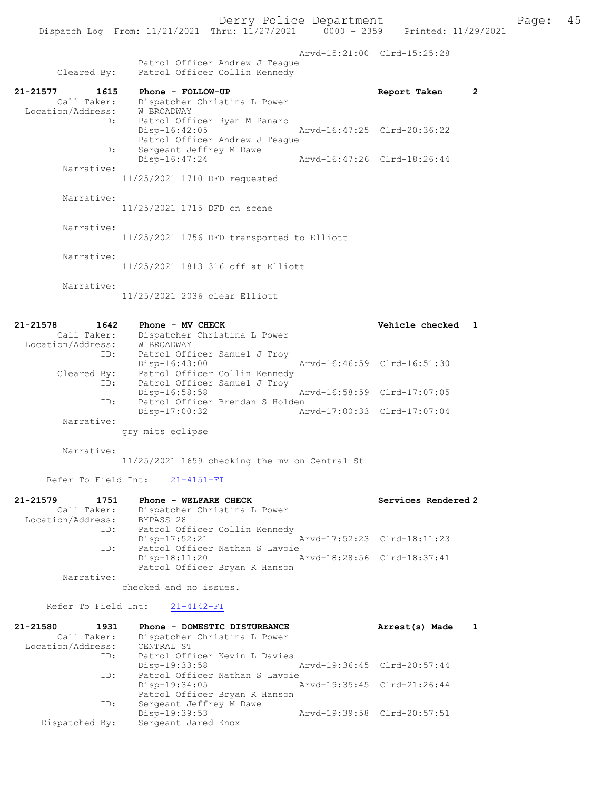Arvd-15:21:00 Clrd-15:25:28

|             |  | Patrol Officer Andrew J Teaque |
|-------------|--|--------------------------------|
| Cleared By: |  | Patrol Officer Collin Kennedy  |

| 21-21577<br>Call Taker:<br>Location/Address: | 1615<br>ID: | Phone - FOLLOW-UP<br>Dispatcher Christina L Power<br>W BROADWAY<br>Patrol Officer Ryan M Panaro | Report Taken                |  |
|----------------------------------------------|-------------|-------------------------------------------------------------------------------------------------|-----------------------------|--|
|                                              |             | Disp-16:42:05<br>Patrol Officer Andrew J Teaque                                                 | Arvd-16:47:25 Clrd-20:36:22 |  |
| Narrative:                                   | ID:         | Sergeant Jeffrey M Dawe<br>Disp-16:47:24                                                        | Arvd-16:47:26 Clrd-18:26:44 |  |
|                                              |             | 11/25/2021 1710 DFD requested                                                                   |                             |  |

 Narrative: 11/25/2021 1715 DFD on scene

Narrative:

11/25/2021 1756 DFD transported to Elliott

Narrative:

11/25/2021 1813 316 off at Elliott

Narrative:

11/25/2021 2036 clear Elliott

| 21-21578<br>1642  | Phone - MV CHECK                | Vehicle checked             |  |
|-------------------|---------------------------------|-----------------------------|--|
| Call Taker:       | Dispatcher Christina L Power    |                             |  |
| Location/Address: | W BROADWAY                      |                             |  |
| ID:               | Patrol Officer Samuel J Troy    |                             |  |
|                   | $Disp-16:43:00$                 | Arvd-16:46:59 Clrd-16:51:30 |  |
| Cleared By:       | Patrol Officer Collin Kennedy   |                             |  |
| ID:               | Patrol Officer Samuel J Troy    |                             |  |
|                   | Disp-16:58:58                   | Arvd-16:58:59 Clrd-17:07:05 |  |
| ID:               | Patrol Officer Brendan S Holden |                             |  |
|                   | $Disp-17:00:32$                 | Arvd-17:00:33 Clrd-17:07:04 |  |
| Narrative:        |                                 |                             |  |
|                   | gry mits eclipse                |                             |  |

Narrative:

11/25/2021 1659 checking the mv on Central St

Refer To Field Int: 21-4151-FI

| 21-21579          | 1751        | Phone - WELFARE CHECK          |                             | Services Rendered 2 |
|-------------------|-------------|--------------------------------|-----------------------------|---------------------|
|                   | Call Taker: | Dispatcher Christina L Power   |                             |                     |
| Location/Address: |             | BYPASS 28                      |                             |                     |
|                   | ID:         | Patrol Officer Collin Kennedy  |                             |                     |
|                   |             | $Disp-17:52:21$                | Arvd-17:52:23 Clrd-18:11:23 |                     |
|                   | ID:         | Patrol Officer Nathan S Lavoie |                             |                     |
|                   |             | $Disp-18:11:20$                | Arvd-18:28:56 Clrd-18:37:41 |                     |
|                   |             | Patrol Officer Bryan R Hanson  |                             |                     |
|                   | Narrative:  |                                |                             |                     |

checked and no issues.

Refer To Field Int: 21-4142-FI

| 21-21580          | 1931           | Phone - DOMESTIC DISTURBANCE   | Arrest(s) Made              |  |
|-------------------|----------------|--------------------------------|-----------------------------|--|
|                   | Call Taker:    | Dispatcher Christina L Power   |                             |  |
| Location/Address: |                | CENTRAL ST                     |                             |  |
|                   | ID:            | Patrol Officer Kevin L Davies  |                             |  |
|                   |                | Disp-19:33:58                  | Arvd-19:36:45 Clrd-20:57:44 |  |
|                   | ID:            | Patrol Officer Nathan S Lavoie |                             |  |
|                   |                | Disp-19:34:05                  | Arvd-19:35:45 Clrd-21:26:44 |  |
|                   |                | Patrol Officer Bryan R Hanson  |                             |  |
|                   | ID:            | Sergeant Jeffrey M Dawe        |                             |  |
|                   |                | Disp-19:39:53                  | Arvd-19:39:58 Clrd-20:57:51 |  |
|                   | Dispatched By: | Sergeant Jared Knox            |                             |  |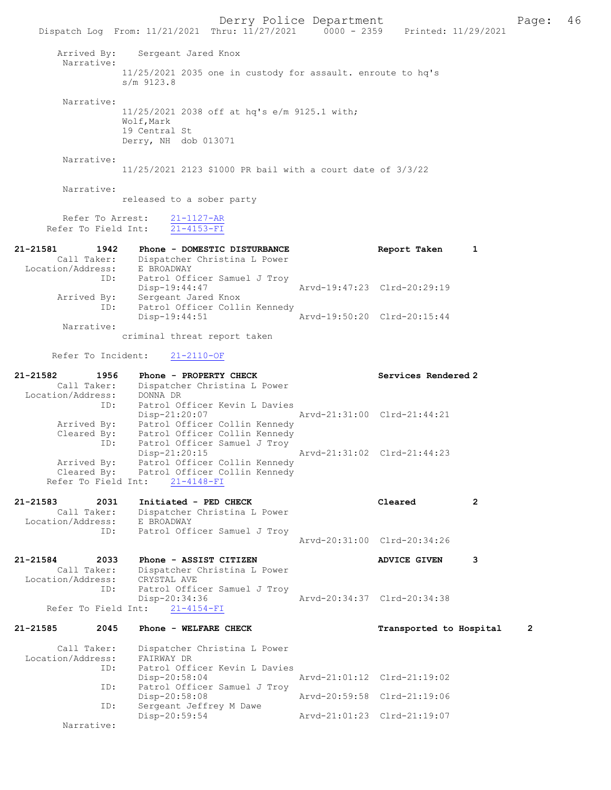Derry Police Department The Page: 46 Dispatch Log From: 11/21/2021 Thru: 11/27/2021 0000 - 2359 Printed: 11/29/2021 Arrived By: Sergeant Jared Knox Narrative: 11/25/2021 2035 one in custody for assault. enroute to hq's s/m 9123.8 Narrative: 11/25/2021 2038 off at hq's e/m 9125.1 with; Wolf,Mark 19 Central St Derry, NH dob 013071 Narrative: 11/25/2021 2123 \$1000 PR bail with a court date of 3/3/22 Narrative: released to a sober party Refer To Arrest: 21-1127-AR Refer To Field Int: 21-4153-FI 21-21581 1942 Phone - DOMESTIC DISTURBANCE Report Taken 1 Call Taker: Dispatcher Christina L Power Location/Address: E BROADWAY ID: Patrol Officer Samuel J Troy Disp-19:44:47 Arvd-19:47:23 Clrd-20:29:19 Arrived By: Sergeant Jared Knox ID: Patrol Officer Collin Kennedy<br>Disp-19:44:51 hrvd-19:50:20 Clrd-20:15:44 Disp-19:44:51 Narrative: criminal threat report taken Refer To Incident: 21-2110-OF 21-21582 1956 Phone - PROPERTY CHECK Services Rendered 2 Call Taker: Dispatcher Christina L Power Location/Address: DONNA DR ID: Patrol Officer Kevin L Davies Disp-21:20:07 Arvd-21:31:00 Clrd-21:44:21 Arrived By: Patrol Officer Collin Kennedy Cleared By: Patrol Officer Collin Kennedy ID: Patrol Officer Samuel J Troy Disp-21:20:15 Arvd-21:31:02 Clrd-21:44:23 Arrived By: Patrol Officer Collin Kennedy Cleared By: Patrol Officer Collin Kennedy Refer To Field Int: 21-4148-FI 21-21583 2031 Initiated - PED CHECK Cleared 2 Call Taker: Dispatcher Christina L Power Location/Address: E BROADWAY ID: Patrol Officer Samuel J Troy Arvd-20:31:00 Clrd-20:34:26 21-21584 2033 Phone - ASSIST CITIZEN ADVICE GIVEN 3 Call Taker: Dispatcher Christina L Power<br>tion/Address: CRYSTAL AVE Location/Address: ESS. CONSIDENT CONTROLLER SAMUEL J Troy<br>Disp-20:34:36 -20:34:36 Arvd-20:34:37 Clrd-20:34:38<br>21-4154-FI Refer To Field Int: 21-21585 2045 Phone - WELFARE CHECK Transported to Hospital 2 Call Taker: Dispatcher Christina L Power Location/Address: FAIRWAY DR SSS: FAINWILL 2.<br>
ID: Patrol Officer Kevin L Davies<br>
Disp-20:58:04 Disp-20:58:04 Arvd-21:01:12 Clrd-21:19:02 ID: Patrol Officer Samuel J Troy<br>Disp-20:58:08 Arvd-20:59:58 Clrd-21:19:06 Disp-20:58:08 Arvd-20:59:58 Clrd-21:19:06 ID: Sergeant Jeffrey M Dawe Disp-20:59:54 Arvd-21:01:23 Clrd-21:19:07 Narrative: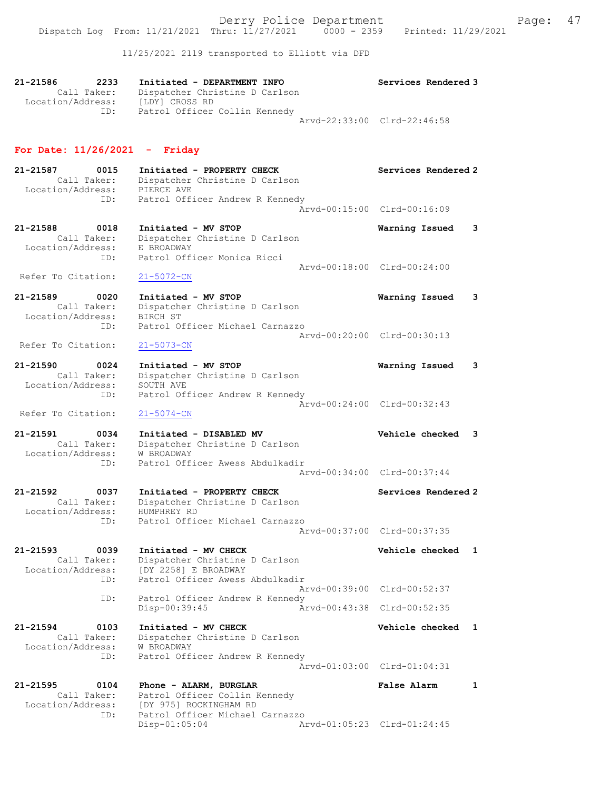11/25/2021 2119 transported to Elliott via DFD

| 21-21586<br>2233<br>Call Taker:<br>Location/Address:        | Initiated - DEPARTMENT INFO<br>Dispatcher Christine D Carlson<br>[LDY] CROSS RD                                      | Services Rendered 3             |
|-------------------------------------------------------------|----------------------------------------------------------------------------------------------------------------------|---------------------------------|
| ID:                                                         | Patrol Officer Collin Kennedy                                                                                        | Arvd-22:33:00 Clrd-22:46:58     |
| For Date: $11/26/2021$ - Friday                             |                                                                                                                      |                                 |
| 21-21587<br>0015<br>Call Taker:<br>Location/Address:        | Initiated - PROPERTY CHECK<br>Dispatcher Christine D Carlson<br>PIERCE AVE                                           | Services Rendered 2             |
| ID:                                                         | Patrol Officer Andrew R Kennedy                                                                                      | Arvd-00:15:00 Clrd-00:16:09     |
| 21-21588<br>0018<br>Call Taker:<br>Location/Address:        | Initiated - MV STOP<br>Dispatcher Christine D Carlson<br>E BROADWAY                                                  | Warning Issued<br>3             |
| ID:<br>Refer To Citation:                                   | Patrol Officer Monica Ricci<br>21-5072-CN                                                                            | Arvd-00:18:00 Clrd-00:24:00     |
| 21-21589<br>0020<br>Call Taker:                             | Initiated - MV STOP<br>Dispatcher Christine D Carlson                                                                | Warning Issued<br>з             |
| Location/Address:<br>ID:                                    | BIRCH ST<br>Patrol Officer Michael Carnazzo                                                                          | Arvd-00:20:00 Clrd-00:30:13     |
| Refer To Citation:                                          | $21 - 5073 - CN$                                                                                                     |                                 |
| 21-21590<br>0024<br>Call Taker:<br>Location/Address:        | Initiated - MV STOP<br>Dispatcher Christine D Carlson<br>SOUTH AVE                                                   | Warning Issued<br>3             |
| ID:<br>Refer To Citation:                                   | Patrol Officer Andrew R Kennedy<br>$21 - 5074 - CN$                                                                  | Arvd-00:24:00 Clrd-00:32:43     |
| 21-21591<br>0034<br>Call Taker:<br>Location/Address:        | Initiated - DISABLED MV<br>Dispatcher Christine D Carlson<br>W BROADWAY                                              | Vehicle checked<br>3            |
| ID:                                                         | Patrol Officer Awess Abdulkadir                                                                                      | Arvd-00:34:00 Clrd-00:37:44     |
| 21-21592<br>0037<br>Call Taker:<br>Location/Address:        | Initiated - PROPERTY CHECK<br>Dispatcher Christine D Carlson<br>HUMPHREY RD                                          | Services Rendered 2             |
| ID:                                                         | Patrol Officer Michael Carnazzo                                                                                      | Arvd-00:37:00 Clrd-00:37:35     |
| 21-21593<br>0039<br>Call Taker:<br>Location/Address:<br>ID: | Initiated - MV CHECK<br>Dispatcher Christine D Carlson<br>[DY 2258] E BROADWAY<br>Patrol Officer Awess Abdulkadir    | Vehicle checked<br>$\mathbf{1}$ |
| ID:                                                         | Patrol Officer Andrew R Kennedy                                                                                      | Arvd-00:39:00 Clrd-00:52:37     |
|                                                             | Disp-00:39:45                                                                                                        | Arvd-00:43:38 Clrd-00:52:35     |
| 21-21594<br>0103<br>Call Taker:<br>Location/Address:<br>ID: | Initiated - MV CHECK<br>Dispatcher Christine D Carlson<br><b>W BROADWAY</b><br>Patrol Officer Andrew R Kennedy       | <b>Vehicle checked</b><br>1     |
|                                                             |                                                                                                                      | Arvd-01:03:00 Clrd-01:04:31     |
| 21-21595<br>0104<br>Call Taker:<br>Location/Address:<br>ID: | Phone - ALARM, BURGLAR<br>Patrol Officer Collin Kennedy<br>[DY 975] ROCKINGHAM RD<br>Patrol Officer Michael Carnazzo | <b>False Alarm</b><br>1         |
|                                                             | Disp-01:05:04                                                                                                        | Arvd-01:05:23 Clrd-01:24:45     |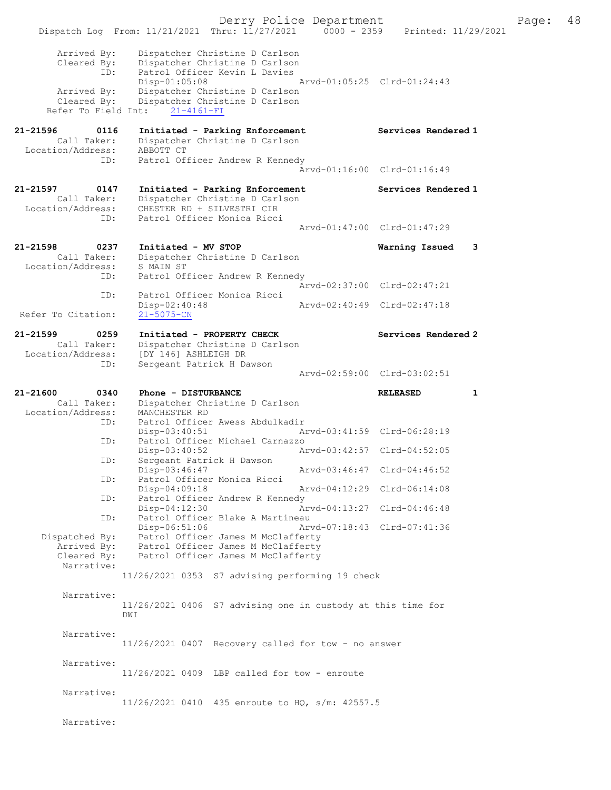Derry Police Department Fage: 48 Dispatch Log From: 11/21/2021 Thru:  $11/27/2021$  0000 - 2359 Printed: 11/29/2021 Arrived By: Dispatcher Christine D Carlson Cleared By: Dispatcher Christine D Carlson ID: Patrol Officer Kevin L Davies Disp-01:05:08 Arvd-01:05:25 Clrd-01:24:43 Arrived By: Dispatcher Christine D Carlson Cleared By: Dispatcher Christine D Carlson Refer To Field Int: 21-4161-FI 21-21596 0116 Initiated - Parking Enforcement Services Rendered 1 Call Taker: Dispatcher Christine D Carlson Location/Address: ABBOTT CT ID: Patrol Officer Andrew R Kennedy Arvd-01:16:00 Clrd-01:16:49 21-21597 0147 Initiated - Parking Enforcement Services Rendered 1 Call Taker: Dispatcher Christine D Carlson Location/Address: CHESTER RD + SILVESTRI CIR ID: Patrol Officer Monica Ricci Arvd-01:47:00 Clrd-01:47:29 21-21598 0237 Initiated - MV STOP Warning Issued 3 Call Taker: Dispatcher Christine D Carlson Location/Address: S MAIN ST ID: Patrol Officer Andrew R Kennedy Arvd-02:37:00 Clrd-02:47:21<br>ID: Patrol Officer Monica Ricci Patrol Officer Monica Ricci<br>Disp-02:40:48 Disp-02:40:48 Arvd-02:40:49 Clrd-02:47:18 Refer To Citation: 21-21599 0259 Initiated - PROPERTY CHECK Services Rendered 2 Call Taker: Dispatcher Christine D Carlson Location/Address: [DY 146] ASHLEIGH DR ID: Sergeant Patrick H Dawson Arvd-02:59:00 Clrd-03:02:51 21-21600 0340 Phone - DISTURBANCE RELEASED 1 Call Taker: Dispatcher Christine D Carlson Location/Address: MANCHESTER RD ID: Patrol Officer Awess Abdulkadir Disp-03:40:51 Arvd-03:41:59 Clrd-06:28:19 ID: Patrol Officer Michael Carnazzo<br>Disp-03:40:52 Am Disp-03:40:52 Arvd-03:42:57 Clrd-04:52:05 ID: Sergeant Patrick H Dawson Disp-03:46:47 Arvd-03:46:47 Clrd-04:46:52 ID: Patrol Officer Monica Ricci Disp-04:09:18 Arvd-04:12:29 Clrd-06:14:08 ID: Patrol Officer Andrew R Kennedy Disp-04:12:30 Arvd-04:13:27 Clrd-04:46:48 ID: Patrol Officer Blake A Martineau Disp-06:51:06 Arvd-07:18:43 Clrd-07:41:36 Dispatched By: Patrol Officer James M McClafferty Arrived By: Patrol Officer James M McClafferty Cleared By: Patrol Officer James M McClafferty Narrative: 11/26/2021 0353 S7 advising performing 19 check Narrative: 11/26/2021 0406 S7 advising one in custody at this time for D<sub>M</sub>T Narrative: 11/26/2021 0407 Recovery called for tow - no answer Narrative: 11/26/2021 0409 LBP called for tow - enroute Narrative: 11/26/2021 0410 435 enroute to HQ, s/m: 42557.5 Narrative: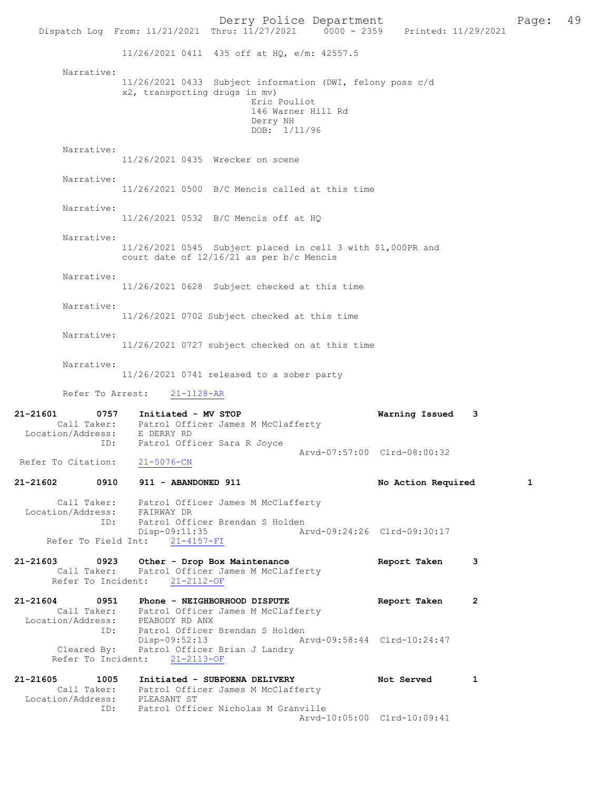Derry Police Department<br>
Page: 49<br>
Printed: 11/29/2021<br>
Printed: 11/29/2021 Dispatch Log From: 11/21/2021 Thru: 11/27/2021 11/26/2021 0411 435 off at HQ, e/m: 42557.5 Narrative: 11/26/2021 0433 Subject information (DWI, felony poss c/d x2, transporting drugs in mv) Eric Pouliot 146 Warner Hill Rd Derry NH DOB: 1/11/96 Narrative: 11/26/2021 0435 Wrecker on scene Narrative: 11/26/2021 0500 B/C Mencis called at this time Narrative: 11/26/2021 0532 B/C Mencis off at HQ Narrative: 11/26/2021 0545 Subject placed in cell 3 with \$1,000PR and court date of 12/16/21 as per b/c Mencis Narrative: 11/26/2021 0628 Subject checked at this time Narrative: 11/26/2021 0702 Subject checked at this time Narrative: 11/26/2021 0727 subject checked on at this time Narrative: 11/26/2021 0741 released to a sober party Refer To Arrest: 21-1128-AR 21-21601 0757 Initiated - MV STOP Warning Issued 3 Call Taker: Patrol Officer James M McClafferty Location/Address: E DERRY RD Patrol Officer Sara R Joyce Arvd-07:57:00 Clrd-08:00:32 Refer To Citation: 21-5076-CN 21-21602 0910 911 - ABANDONED 911 No Action Required 1 Call Taker: Patrol Officer James M McClafferty<br>ion/Address: FAIRWAY DR Location/Address:<br>ID: Patrol Officer Brendan S Holden<br>Disp-09:11:35 Ar -09:11:35 <br>21-4157-FI <br>21-4157-FI Refer To Field Int: 21-21603 0923 Other - Drop Box Maintenance Report Taken 3<br>Call Taker: Patrol Officer James M McClafferty Patrol Officer James M McClafferty Refer To Incident: 21-2112-OF 21-21604 0951 Phone - NEIGHBORHOOD DISPUTE Report Taken 2 Call Taker: Patrol Officer James M McClafferty Location/Address: PEABODY RD ANX ID: Patrol Officer Brendan S Holden<br>Disp-09:52:13 Ar Disp-09:52:13 Arvd-09:58:44 Clrd-10:24:47<br>Cleared By: Patrol Officer Brian J Landry Patrol Officer Brian J Landry Refer To Incident: 21-2113-OF 21-21605 1005 Initiated - SUBPOENA DELIVERY Not Served 1 Call Taker: Patrol Officer James M McClafferty Location/Address: PLEASANT ST ID: Patrol Officer Nicholas M Granville Arvd-10:05:00 Clrd-10:09:41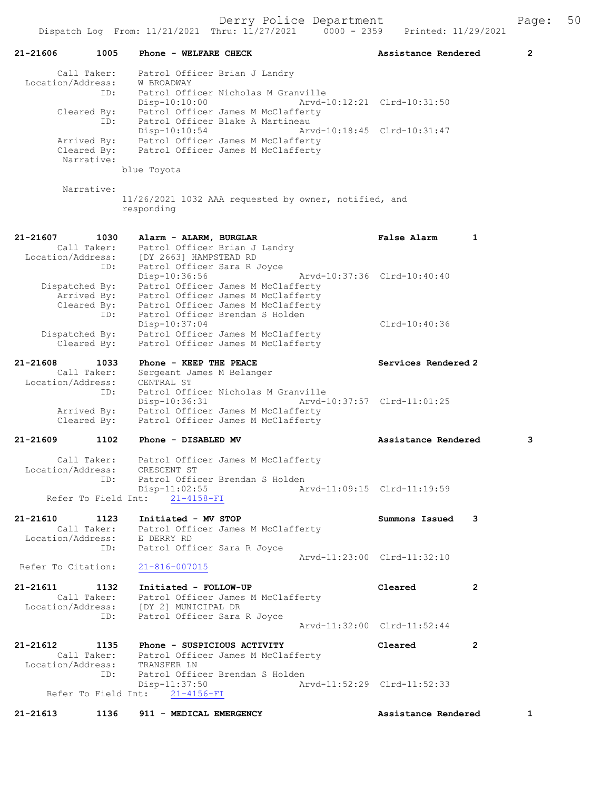|                                                             | Dispatch Log From: 11/21/2021 Thru: 11/27/2021<br>$0000 - 2359$                                                                                                    | Printed: 11/29/2021         |              |
|-------------------------------------------------------------|--------------------------------------------------------------------------------------------------------------------------------------------------------------------|-----------------------------|--------------|
| 21-21606<br>1005                                            | Phone - WELFARE CHECK                                                                                                                                              | Assistance Rendered         | $\mathbf{2}$ |
| Call Taker:<br>Location/Address:<br>ID:                     | Patrol Officer Brian J Landry<br>W BROADWAY<br>Patrol Officer Nicholas M Granville                                                                                 |                             |              |
| Cleared By:<br>ID:                                          | Disp-10:10:00<br>Patrol Officer James M McClafferty<br>Patrol Officer Blake A Martineau                                                                            | Arvd-10:12:21 Clrd-10:31:50 |              |
| Arrived By:<br>Cleared By:                                  | Disp-10:10:54<br>Patrol Officer James M McClafferty<br>Patrol Officer James M McClafferty                                                                          | Arvd-10:18:45 Clrd-10:31:47 |              |
| Narrative:                                                  | blue Toyota                                                                                                                                                        |                             |              |
| Narrative:                                                  | 11/26/2021 1032 AAA requested by owner, notified, and<br>responding                                                                                                |                             |              |
| 21-21607<br>1030<br>Call Taker:<br>Location/Address:<br>ID: | Alarm - ALARM, BURGLAR<br>Patrol Officer Brian J Landry<br>[DY 2663] HAMPSTEAD RD<br>Patrol Officer Sara R Joyce                                                   | False Alarm<br>$\mathbf{1}$ |              |
| Dispatched By:<br>Arrived By:<br>Cleared By:                | Disp-10:36:56<br>Patrol Officer James M McClafferty<br>Patrol Officer James M McClafferty<br>Patrol Officer James M McClafferty<br>Patrol Officer Brendan S Holden | Arvd-10:37:36 Clrd-10:40:40 |              |
| ID:<br>Dispatched By:<br>Cleared By:                        | $Disp-10:37:04$<br>Patrol Officer James M McClafferty<br>Patrol Officer James M McClafferty                                                                        | Clrd-10:40:36               |              |
| 21-21608<br>1033                                            | Phone - KEEP THE PEACE                                                                                                                                             | Services Rendered 2         |              |
| Call Taker:<br>Location/Address:<br>ID:                     | Sergeant James M Belanger<br>CENTRAL ST<br>Patrol Officer Nicholas M Granville                                                                                     |                             |              |
| Arrived By:<br>Cleared By:                                  | Disp-10:36:31<br>Patrol Officer James M McClafferty<br>Patrol Officer James M McClafferty                                                                          | Arvd-10:37:57 Clrd-11:01:25 |              |
| 21-21609<br>1102                                            | Phone - DISABLED MV                                                                                                                                                | Assistance Rendered         | 3            |
| Call Taker:<br>Location/Address:<br>ID:                     | Patrol Officer James M McClafferty<br>CRESCENT ST<br>Patrol Officer Brendan S Holden                                                                               |                             |              |
|                                                             | $Disp-11:02:55$<br>Refer To Field Int: 21-4158-FI                                                                                                                  | Arvd-11:09:15 Clrd-11:19:59 |              |
| 21-21610<br>1123<br>Location/Address: E DERRY RD            | Initiated - MV STOP<br>Call Taker: Patrol Officer James M McClafferty                                                                                              | Summons Issued<br>3         |              |
| Refer To Citation:                                          | ID: Patrol Officer Sara R Joyce<br>$21 - 816 - 007015$                                                                                                             | Arvd-11:23:00 Clrd-11:32:10 |              |
| 21-21611<br>1132<br>Call Taker:<br>Location/Address:<br>ID: | Initiated - FOLLOW-UP<br>Patrol Officer James M McClafferty<br>[DY 2] MUNICIPAL DR<br>Patrol Officer Sara R Joyce                                                  | Cleared<br>2                |              |
|                                                             |                                                                                                                                                                    | Arvd-11:32:00 Clrd-11:52:44 |              |
| 21-21612<br>1135<br>Call Taker:<br>Location/Address:        | Phone - SUSPICIOUS ACTIVITY<br>Patrol Officer James M McClafferty<br>TRANSFER LN                                                                                   | Cleared<br>2                |              |
| ID:                                                         | Patrol Officer Brendan S Holden<br>$Disp-11:37:50$<br>Refer To Field Int: 21-4156-FI                                                                               | Arvd-11:52:29 Clrd-11:52:33 |              |
| 21-21613<br>1136                                            | 911 - MEDICAL EMERGENCY                                                                                                                                            | Assistance Rendered         | 1            |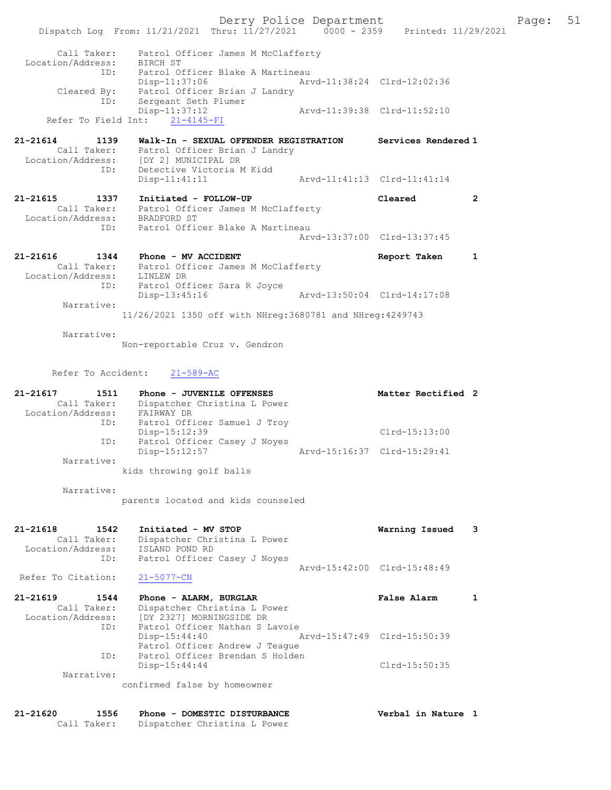Derry Police Department Fage: 51 Dispatch Log From: 11/21/2021 Thru: 11/27/2021 0000 - 2359 Printed: 11/29/2021 Call Taker: Patrol Officer James M McClafferty Location/Address: BIRCH ST ID: Patrol Officer Blake A Martineau Disp-11:37:06 Arvd-11:38:24 Clrd-12:02:36 Cleared By: Patrol Officer Brian J Landry ID: Sergeant Seth Plumer Disp-11:37:12 Arvd-11:39:38 Clrd-11:52:10 Refer To Field Int: 21-4145-FI 21-21614 1139 Walk-In - SEXUAL OFFENDER REGISTRATION Services Rendered 1 Call Taker: Patrol Officer Brian J Landry Location/Address: [DY 2] MUNICIPAL DR ID: Detective Victoria M Kidd Disp-11:41:11 Arvd-11:41:13 Clrd-11:41:14 21-21615 1337 Initiated - FOLLOW-UP Cleared 2 Call Taker: Patrol Officer James M McClafferty Location/Address: BRADFORD ST ID: Patrol Officer Blake A Martineau Arvd-13:37:00 Clrd-13:37:45 21-21616 1344 Phone - MV ACCIDENT Report Taken 1 Call Taker: Patrol Officer James M McClafferty Location/Address: LINLEW DR ID: Patrol Officer Sara R Joyce Disp-13:45:16 Arvd-13:50:04 Clrd-14:17:08 Narrative: 11/26/2021 1350 off with NHreg:3680781 and NHreg:4249743 Narrative: Non-reportable Cruz v. Gendron Refer To Accident: 21-589-AC 21-21617 1511 Phone - JUVENILE OFFENSES Matter Rectified 2 Call Taker: Dispatcher Christina L Power Location/Address: FAIRWAY DR ID: Patrol Officer Samuel J Troy Disp-15:12:39 Clrd-15:13:00 ID: Patrol Officer Casey J Noyes Disp-15:12:57 Arvd-15:16:37 Clrd-15:29:41 Narrative: kids throwing golf balls Narrative: parents located and kids counseled 21-21618 1542 Initiated - MV STOP Warning Issued 3 Call Taker: Dispatcher Christina L Power Location/Address: ISLAND POND RD ID: Patrol Officer Casey J Noyes Arvd-15:42:00 Clrd-15:48:49<br>21-5077-CN Refer To Citation: 21-21619 1544 Phone - ALARM, BURGLAR False Alarm 1 Call Taker: Dispatcher Christina L Power Location/Address: [DY 2327] MORNINGSIDE DR ID: Patrol Officer Nathan S Lavoie<br>Disp-15:44:40 Disp-15:44:40 Arvd-15:47:49 Clrd-15:50:39 Patrol Officer Andrew J Teague ID: Patrol Officer Brendan S Holden Disp-15:44:44 Clrd-15:50:35 Narrative: confirmed false by homeowner

21-21620 1556 Phone - DOMESTIC DISTURBANCE Verbal in Nature 1 Call Taker: Dispatcher Christina L Power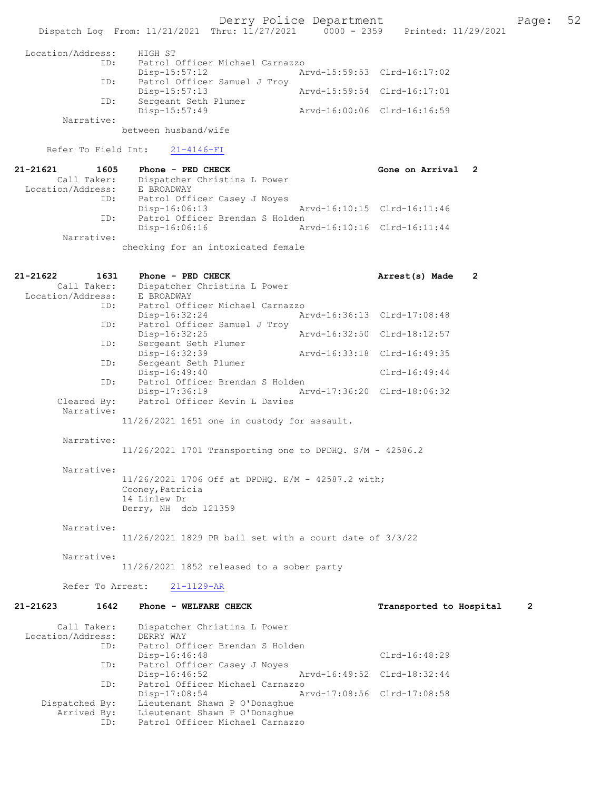Derry Police Department<br>
Page: 52<br>
Printed: 11/29/2021<br>
Printed: 11/29/2021 Dispatch Log From: 11/21/2021 Thru: 11/27/2021 Location/Address: HIGH ST ID: Patrol Officer Michael Carnazzo Disp-15:57:12 Arvd-15:59:53 Clrd-16:17:02<br>TD: Patrol Officer Samuel J Trov Patrol Officer Samuel J Troy<br>Disp-15:57:13 Disp-15:57:13 Arvd-15:59:54 Clrd-16:17:01<br>ID: Sergeant Seth Plumer Sergeant Seth Plumer Disp-15:57:49 Arvd-16:00:06 Clrd-16:16:59 Narrative: between husband/wife Refer To Field Int: 21-4146-FI 21-21621 1605 Phone - PED CHECK Gone on Arrival 2<br>Call Taker: Dispatcher Christina L Power Dispatcher Christina L Power<br>E BROADWAY Location/Address: ID: Patrol Officer Casey J Noyes<br>Disp-16:06:13 Disp-16:06:13 Arvd-16:10:15 Clrd-16:11:46<br>TD: Patrol Officer Brendan S Holden Patrol Officer Brendan S Holden<br>Disp-16:06:16 A Disp-16:06:16 Arvd-16:10:16 Clrd-16:11:44 Narrative: checking for an intoxicated female 21-21622 1631 Phone - PED CHECK 2 Call Taker: Dispatcher Christina L Power<br>ion/Address: E BROADWAY Location/Address:<br>TD: Patrol Officer Michael Carnazzo Disp-16:32:24 Arvd-16:36:13 Clrd-17:08:48 ID: Patrol Officer Samuel J Troy Disp-16:32:25 Arvd-16:32:50 Clrd-18:12:57<br>TD: Sergeant Seth Plumer Sergeant Seth Plumer<br>Disp-16:32:39 Disp-16:32:39 Arvd-16:33:18 Clrd-16:49:35<br>ID: Sergeant Seth Plumer Sergeant Seth Plumer Disp-16:49:40 Clrd-16:49:44 ID: Patrol Officer Brendan S Holden Disp-17:36:19 Arvd-17:36:20 Clrd-18:06:32 Cleared By: Patrol Officer Kevin L Davies Narrative: 11/26/2021 1651 one in custody for assault. Narrative: 11/26/2021 1701 Transporting one to DPDHQ. S/M - 42586.2 Narrative: 11/26/2021 1706 Off at DPDHQ. E/M - 42587.2 with; Cooney, Patricia 14 Linlew Dr Derry, NH dob 121359 Narrative: 11/26/2021 1829 PR bail set with a court date of 3/3/22 Narrative: 11/26/2021 1852 released to a sober party Refer To Arrest: 21-1129-AR 21-21623 1642 Phone - WELFARE CHECK Transported to Hospital 2 Call Taker: Dispatcher Christina L Power<br>.on/Address: DERRY WAY Location/Address:<br>TD: Patrol Officer Brendan S Holden Disp-16:46:48 Clrd-16:48:29<br>The Patrol Officer Casey J Noves Patrol Officer Casey J Noyes<br>Disp-16:46:52 Disp-16:46:52 Arvd-16:49:52 Clrd-18:32:44<br>ID: Patrol Officer Michael Carnazzo Patrol Officer Michael Carnazzo

Disp-17:08:54 Arvd-17:08:56 Clrd-17:08:58<br>Dispatched By: Lieutenant Shawn P O'Donaghue Lieutenant Shawn P O'Donaghue

Arrived By: Lieutenant Shawn P O'Donaghue<br>ID: Patrol Officer Michael Carnaz: Patrol Officer Michael Carnazzo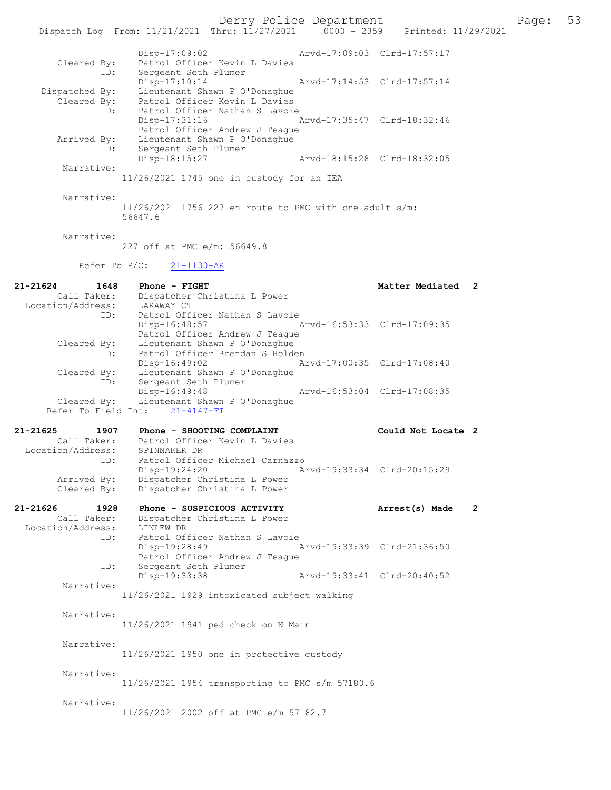Derry Police Department<br>
Page: 53 Printed: 11/29/2021 0000 - 2359 Printed: 11/29/2021 Dispatch Log From: 11/21/2021 Thru: 11/27/2021 Disp-17:09:02 Arvd-17:09:03 Clrd-17:57:17 Cleared By: Patrol Officer Kevin L Davies ID: Sergeant Seth Plumer Disp-17:10:14 Arvd-17:14:53 Clrd-17:57:14 Dispatched By: Lieutenant Shawn P O'Donaghue Cleared By: Patrol Officer Kevin L Davies ID: Patrol Officer Nathan S Lavoie Disp-17:31:16 Arvd-17:35:47 Clrd-18:32:46 Patrol Officer Andrew J Teague Arrived By: Lieutenant Shawn P O'Donaghue ID: Sergeant Seth Plumer<br>Disp-18:15:27 Arvd-18:15:28 Clrd-18:32:05 Narrative: 11/26/2021 1745 one in custody for an IEA Narrative: 11/26/2021 1756 227 en route to PMC with one adult s/m: 56647.6 Narrative: 227 off at PMC e/m: 56649.8 Refer To P/C: 21-1130-AR 21-21624 1648 Phone - FIGHT Matter Mediated 2 Call Taker: Dispatcher Christina L Power Location/Address: ess: LARAWAY CT<br>ID: Patrol Officer Nathan S Lavoie Disp-16:48:57 Arvd-16:53:33 Clrd-17:09:35 Patrol Officer Andrew J Teague Cleared By: Lieutenant Shawn P O'Donaghue ID: Patrol Officer Brendan S Holden Disp-16:49:02 Arvd-17:00:35 Clrd-17:08:40 Cleared By: Lieutenant Shawn P O'Donaghue ID: Sergeant Seth Plumer Disp-16:49:48 Arvd-16:53:04 Cleared By: Lieutenant Shawn P O'Donaghue Lieutenant Shawn P O'Donaghue Refer To Field Int: 21-4147-FI 21-21625 1907 Phone - SHOOTING COMPLAINT COULT Could Not Locate 2 Call Taker: Patrol Officer Kevin L Davies Location/Address: SPINNAKER DR ID: Patrol Officer Michael Carnazzo<br>Disp-19:24:20 Arvd-19:33:34 Clrd-20:15:29 Disp-19:24:20 Arvd-19:33:34 Clrd-20:15:29 Arrived By: Dispatcher Christina L Power Cleared By: Dispatcher Christina L Power 21-21626 1928 Phone - SUSPICIOUS ACTIVITY Arrest(s) Made 2 Call Taker: Dispatcher Christina L Power Location/Address: LINLEW DR ID: Patrol Officer Nathan S Lavoie<br>Disp-19:28:49 Disp-19:28:49 Arvd-19:33:39 Clrd-21:36:50 Patrol Officer Andrew J Teague<br>ID: Sergeant Seth Plumer Sergeant Seth Plumer<br>Disp-19:33:38 Disp-19:33:38 Arvd-19:33:41 Clrd-20:40:52 Narrative: 11/26/2021 1929 intoxicated subject walking Narrative: 11/26/2021 1941 ped check on N Main Narrative: 11/26/2021 1950 one in protective custody Narrative: 11/26/2021 1954 transporting to PMC s/m 57180.6

Narrative:

11/26/2021 2002 off at PMC e/m 57182.7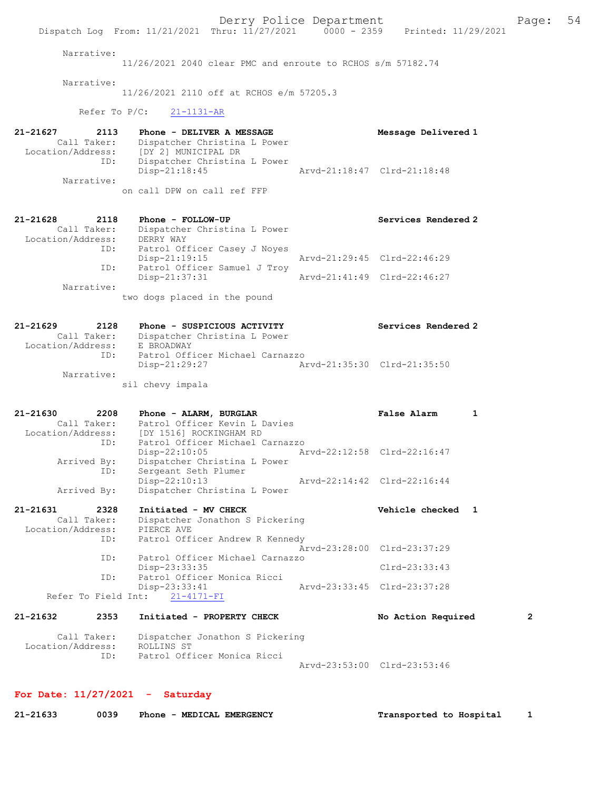Derry Police Department Fage: 54 Dispatch Log From: 11/21/2021 Thru: 11/27/2021 0000 - 2359 Printed: 11/29/2021 Narrative: 11/26/2021 2040 clear PMC and enroute to RCHOS s/m 57182.74 Narrative: 11/26/2021 2110 off at RCHOS e/m 57205.3 Refer To P/C: 21-1131-AR 21-21627 2113 Phone - DELIVER A MESSAGE Message Delivered 1 Call Taker: Dispatcher Christina L Power Location/Address: [DY 2] MUNICIPAL DR ID: Dispatcher Christina L Power Disp-21:18:45 Arvd-21:18:47 Clrd-21:18:48 Narrative: on call DPW on call ref FFP 21-21628 2118 Phone - FOLLOW-UP Services Rendered 2 Call Taker: Dispatcher Christina L Power Location/Address: DERRY WAY ID: Patrol Officer Casey J Noyes Disp-21:19:15 Arvd-21:29:45 Clrd-22:46:29 ID: Patrol Officer Samuel J Troy Disp-21:37:31 Arvd-21:41:49 Clrd-22:46:27 Narrative: two dogs placed in the pound 21-21629 2128 Phone - SUSPICIOUS ACTIVITY Services Rendered 2 Call Taker: Dispatcher Christina L Power Location/Address: E BROADWAY ID: Patrol Officer Michael Carnazzo Disp-21:29:27 Arvd-21:35:30 Clrd-21:35:50 Narrative: sil chevy impala 21-21630 2208 Phone - ALARM, BURGLAR False Alarm 1 Call Taker: Patrol Officer Kevin L Davies Location/Address: [DY 1516] ROCKINGHAM RD ID: Patrol Officer Michael Carnazzo Disp-22:10:05 Arvd-22:12:58 Clrd-22:16:47 Arrived By: Dispatcher Christina L Power ID: Sergeant Seth Plumer Disp-22:10:13 Arvd-22:14:42 Clrd-22:16:44 Arrived By: Dispatcher Christina L Power 21-21631 2328 Initiated - MV CHECK Vehicle checked 1 Call Taker: Dispatcher Jonathon S Pickering Location/Address: PIERCE AVE ID: Patrol Officer Andrew R Kennedy Arvd-23:28:00 Clrd-23:37:29 ID: Patrol Officer Michael Carnazzo Disp-23:33:35 Clrd-23:33:43<br>ID: Patrol Officer Monica Ricci ratrol Officer Monica Ricci<br>Disp-23:33:41 Disp-23:33:41 Arvd-23:33:45 Clrd-23:37:28 Refer To Field Int: 21-4171-FI 21-21632 2353 Initiated - PROPERTY CHECK No Action Required 2 Call Taker: Dispatcher Jonathon S Pickering Location/Address: ROLLINS ST ID: Patrol Officer Monica Ricci Arvd-23:53:00 Clrd-23:53:46

# For Date: 11/27/2021 - Saturday

| 21-21633 | 0039 | Phone - MEDICAL EMERGENCY | Transported to Hospital |
|----------|------|---------------------------|-------------------------|
|----------|------|---------------------------|-------------------------|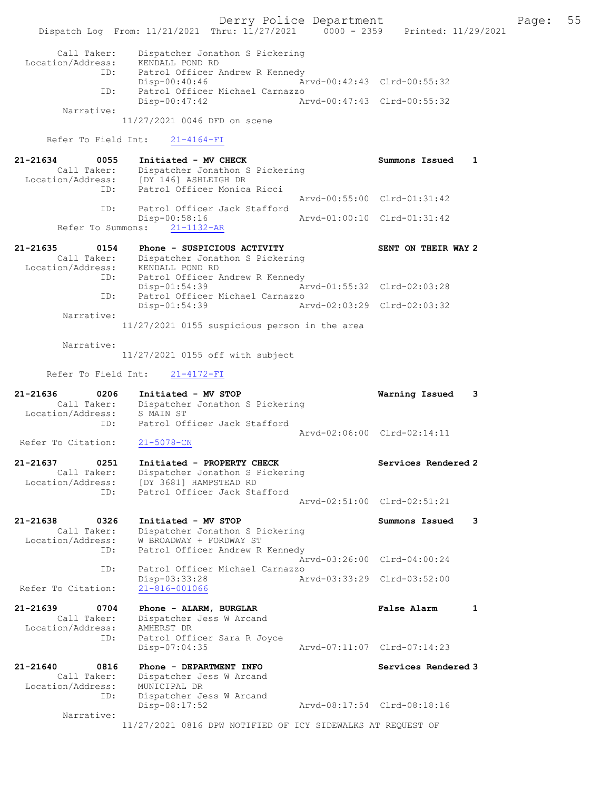|                                                          | Dispatch Log From: 11/21/2021 Thru: 11/27/2021 0000 - 2359 Printed: 11/29/2021                                       | Derry Police Department |                             | Page: | 55 |
|----------------------------------------------------------|----------------------------------------------------------------------------------------------------------------------|-------------------------|-----------------------------|-------|----|
| Call Taker:<br>Location/Address:<br>ID:                  | Dispatcher Jonathon S Pickering<br>KENDALL POND RD<br>Patrol Officer Andrew R Kennedy<br>$Disp-00:40:46$             |                         | Arvd-00:42:43 Clrd-00:55:32 |       |    |
| ID:                                                      | Patrol Officer Michael Carnazzo<br>$Disp-00:47:42$                                                                   |                         | Arvd-00:47:43 Clrd-00:55:32 |       |    |
| Narrative:                                               | 11/27/2021 0046 DFD on scene                                                                                         |                         |                             |       |    |
| Refer To Field Int:                                      | $21 - 4164 - FI$                                                                                                     |                         |                             |       |    |
| 21-21634<br>0055                                         | Initiated - MV CHECK                                                                                                 |                         | Summons Issued<br>1         |       |    |
| ID:                                                      | Call Taker: Dispatcher Jonathon S Pickering<br>Location/Address: [DY 146] ASHLEIGH DR<br>Patrol Officer Monica Ricci |                         |                             |       |    |
| ID:                                                      | Patrol Officer Jack Stafford                                                                                         |                         | Arvd-00:55:00 Clrd-01:31:42 |       |    |
| Refer To Summons:                                        | Disp-00:58:16<br>$21 - 1132 - AR$                                                                                    |                         | Arvd-01:00:10 Clrd-01:31:42 |       |    |
| 21-21635<br>0154                                         | Phone - SUSPICIOUS ACTIVITY                                                                                          |                         | SENT ON THEIR WAY 2         |       |    |
| Call Taker:<br>Location/Address:                         | Dispatcher Jonathon S Pickering<br>KENDALL POND RD                                                                   |                         |                             |       |    |
| ID:                                                      | Patrol Officer Andrew R Kennedy<br>Disp-01:54:39                                                                     |                         | Arvd-01:55:32 Clrd-02:03:28 |       |    |
| ID:                                                      | Patrol Officer Michael Carnazzo<br>$Disp-01:54:39$                                                                   |                         | Arvd-02:03:29 Clrd-02:03:32 |       |    |
| Narrative:                                               | 11/27/2021 0155 suspicious person in the area                                                                        |                         |                             |       |    |
| Narrative:                                               |                                                                                                                      |                         |                             |       |    |
|                                                          | 11/27/2021 0155 off with subject                                                                                     |                         |                             |       |    |
|                                                          |                                                                                                                      |                         |                             |       |    |
| Refer To Field Int:                                      | $21 - 4172 - FI$                                                                                                     |                         |                             |       |    |
| 21-21636<br>0206<br>Call Taker:<br>Location/Address:     | Initiated - MV STOP<br>Dispatcher Jonathon S Pickering<br>S MAIN ST                                                  |                         | Warning Issued<br>3         |       |    |
| ID:                                                      | Patrol Officer Jack Stafford                                                                                         |                         | Arvd-02:06:00 Clrd-02:14:11 |       |    |
| Refer To Citation:                                       | $21 - 5078 - CN$                                                                                                     |                         |                             |       |    |
| 21-21637<br>0251<br>Call Taker:<br>Location/Address:     | Initiated - PROPERTY CHECK<br>Dispatcher Jonathon S Pickering<br>[DY 3681] HAMPSTEAD RD                              |                         | Services Rendered 2         |       |    |
| ID:                                                      | Patrol Officer Jack Stafford                                                                                         |                         | Arvd-02:51:00 Clrd-02:51:21 |       |    |
| 21-21638<br>0326<br>Call Taker:<br>Location/Address:     | Initiated - MV STOP<br>Dispatcher Jonathon S Pickering<br>W BROADWAY + FORDWAY ST                                    |                         | Summons Issued<br>3         |       |    |
| ID:                                                      | Patrol Officer Andrew R Kennedy                                                                                      |                         | Arvd-03:26:00 Clrd-04:00:24 |       |    |
| ID:                                                      | Patrol Officer Michael Carnazzo                                                                                      |                         |                             |       |    |
| Refer To Citation:                                       | Disp-03:33:28<br>$21 - 816 - 001066$                                                                                 |                         | Arvd-03:33:29 Clrd-03:52:00 |       |    |
| 21-21639<br>0704<br>Call Taker:<br>Location/Address:     | Phone - ALARM, BURGLAR<br>Dispatcher Jess W Arcand<br>AMHERST DR                                                     |                         | False Alarm<br>1            |       |    |
| ID:                                                      | Patrol Officer Sara R Joyce<br>$Disp-07:04:35$                                                                       |                         | Arvd-07:11:07 Clrd-07:14:23 |       |    |
| $21 - 21640$<br>0816<br>Call Taker:<br>Location/Address: | Phone - DEPARTMENT INFO<br>Dispatcher Jess W Arcand<br>MUNICIPAL DR                                                  |                         | Services Rendered 3         |       |    |
| ID:<br>Narrative:                                        | Dispatcher Jess W Arcand<br>Disp-08:17:52                                                                            |                         | Arvd-08:17:54 Clrd-08:18:16 |       |    |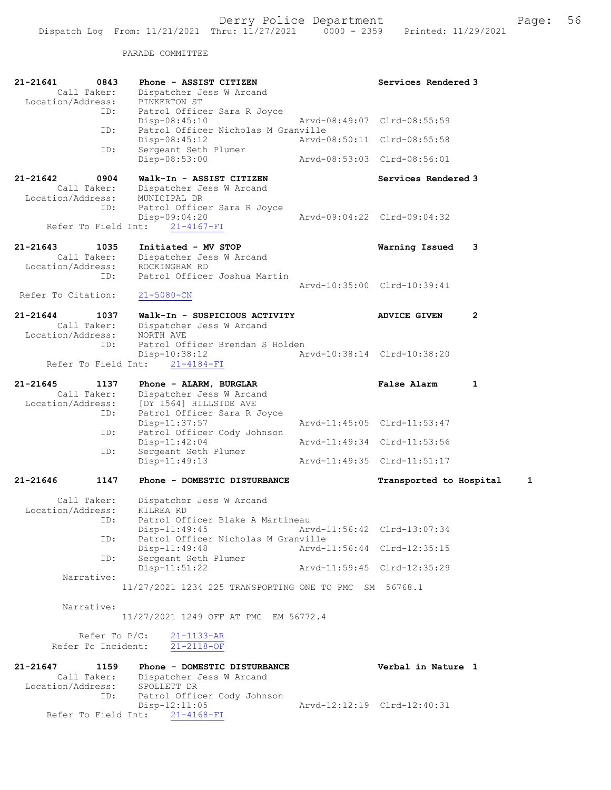PARADE COMMITTEE

| 21-21641<br>0843<br>Call Taker:<br>Location/Address:            | Phone - ASSIST CITIZEN<br>Dispatcher Jess W Arcand<br>PINKERTON ST                                                                                                      |                             | Services Rendered 3                               |                |
|-----------------------------------------------------------------|-------------------------------------------------------------------------------------------------------------------------------------------------------------------------|-----------------------------|---------------------------------------------------|----------------|
| ID:                                                             | Patrol Officer Sara R Joyce<br>Disp-08:45:10                                                                                                                            |                             | Arvd-08:49:07 Clrd-08:55:59                       |                |
| ID:                                                             | Patrol Officer Nicholas M Granville<br>$Disp-08:45:12$                                                                                                                  |                             | Arvd-08:50:11 Clrd-08:55:58                       |                |
| ID:                                                             | Sergeant Seth Plumer<br>Disp-08:53:00                                                                                                                                   |                             | Arvd-08:53:03 Clrd-08:56:01                       |                |
| 21-21642<br>0904<br>Call Taker:<br>Location/Address:            | Walk-In - ASSIST CITIZEN<br>Dispatcher Jess W Arcand<br>MUNICIPAL DR                                                                                                    |                             | Services Rendered 3                               |                |
| ID:<br>Refer To Field Int:                                      | Patrol Officer Sara R Joyce<br>Disp-09:04:20<br>$21 - 4167 - FI$                                                                                                        |                             | Arvd-09:04:22 Clrd-09:04:32                       |                |
| 21-21643<br>1035<br>Call Taker:<br>Location/Address:<br>ID:     | Initiated - MV STOP<br>Dispatcher Jess W Arcand<br>ROCKINGHAM RD<br>Patrol Officer Joshua Martin                                                                        |                             | Warning Issued                                    | 3              |
| Refer To Citation:                                              | $21 - 5080 - CN$                                                                                                                                                        |                             | Aryd-10:35:00 Clrd-10:39:41                       |                |
| $21 - 21644$<br>1037<br>Call Taker:<br>Location/Address:        | Walk-In - SUSPICIOUS ACTIVITY<br>Dispatcher Jess W Arcand<br>NORTH AVE                                                                                                  |                             | <b>ADVICE GIVEN</b>                               | $\overline{2}$ |
| ID:                                                             | Patrol Officer Brendan S Holden<br>Disp-10:38:12<br>Refer To Field Int: 21-4184-FI                                                                                      |                             | Arvd-10:38:14 Clrd-10:38:20                       |                |
| $21 - 21645$<br>1137<br>Call Taker:<br>Location/Address:<br>ID: | Phone - ALARM, BURGLAR<br>Dispatcher Jess W Arcand<br>[DY 1564] HILLSIDE AVE<br>Patrol Officer Sara R Joyce                                                             |                             | <b>False Alarm</b>                                | 1              |
| ID:                                                             | Disp-11:37:57<br>Patrol Officer Cody Johnson                                                                                                                            |                             | Arvd-11:45:05 Clrd-11:53:47                       |                |
| ID:                                                             | $Disp-11:42:04$<br>Sergeant Seth Plumer                                                                                                                                 |                             | Arvd-11:49:34 Clrd-11:53:56                       |                |
|                                                                 | $Disp-11:49:13$                                                                                                                                                         |                             | Arvd-11:49:35 Clrd-11:51:17                       |                |
| 21-21646<br>1147                                                | Phone - DOMESTIC DISTURBANCE                                                                                                                                            |                             | Transported to Hospital                           | 1              |
| Call Taker:<br>Location/Address:<br>ID:                         | Dispatcher Jess W Arcand<br>KILREA RD<br>Patrol Officer Blake A Martineau<br>$Disp-11:49:45$                                                                            |                             | Arvd-11:56:42 Clrd-13:07:34                       |                |
| ID:                                                             | Patrol Officer Nicholas M Granville<br>$Disp-11:49:48$                                                                                                                  | Arvd-11:56:44 Clrd-12:35:15 |                                                   |                |
| ID:                                                             | Sergeant Seth Plumer<br>Disp-11:51:22                                                                                                                                   | Arvd-11:59:45 Clrd-12:35:29 |                                                   |                |
| Narrative:                                                      | 11/27/2021 1234 225 TRANSPORTING ONE TO PMC SM 56768.1                                                                                                                  |                             |                                                   |                |
| Narrative:                                                      | 11/27/2021 1249 OFF AT PMC EM 56772.4                                                                                                                                   |                             |                                                   |                |
| Refer To $P/C$ :<br>Refer To Incident:                          | $21 - 1133 - AR$<br>$21 - 2118 - OF$                                                                                                                                    |                             |                                                   |                |
| 21-21647<br>1159<br>Location/Address:<br>ID:                    | Phone - DOMESTIC DISTURBANCE<br>Call Taker: Dispatcher Jess W Arcand<br>SPOLLETT DR<br>Patrol Officer Cody Johnson<br>$Disp-12:11:05$<br>Refer To Field Int: 21-4168-FI |                             | Verbal in Nature 1<br>Arvd-12:12:19 Clrd-12:40:31 |                |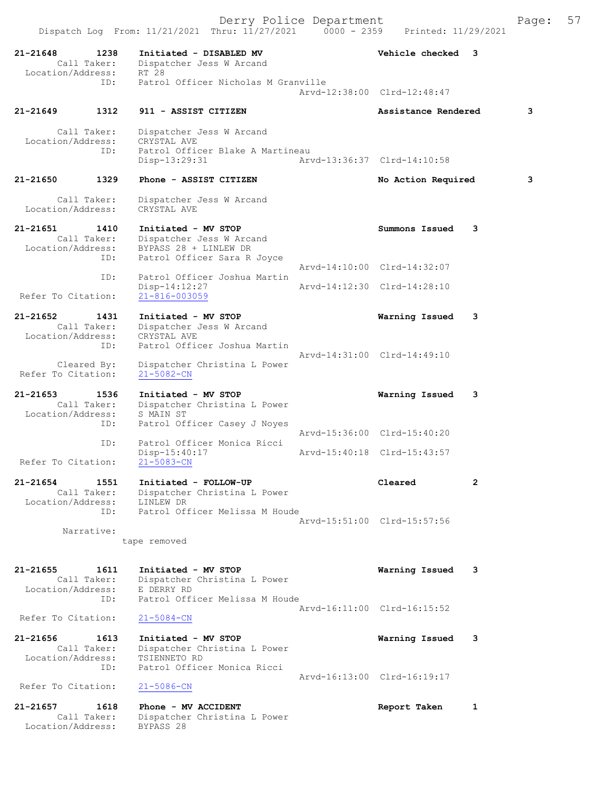|                                   |                            | Dispatch Log From: 11/21/2021 Thru: 11/27/2021 0000 - 2359                                              | Derry Police Department     | Printed: 11/29/2021         |                | Page: | 57 |
|-----------------------------------|----------------------------|---------------------------------------------------------------------------------------------------------|-----------------------------|-----------------------------|----------------|-------|----|
| 21-21648                          | 1238<br>Call Taker:        | Initiated - DISABLED MV<br>Dispatcher Jess W Arcand                                                     |                             | Vehicle checked 3           |                |       |    |
| Location/Address:                 | ID:                        | RT 28<br>Patrol Officer Nicholas M Granville                                                            |                             | Arvd-12:38:00 Clrd-12:48:47 |                |       |    |
| 21-21649                          | 1312                       | 911 - ASSIST CITIZEN                                                                                    |                             | Assistance Rendered         |                | 3     |    |
| Location/Address:                 | Call Taker:<br>ID:         | Dispatcher Jess W Arcand<br>CRYSTAL AVE<br>Patrol Officer Blake A Martineau<br>Disp-13:29:31            | Arvd-13:36:37 Clrd-14:10:58 |                             |                |       |    |
| 21-21650                          | 1329                       | Phone - ASSIST CITIZEN                                                                                  |                             | No Action Required          |                | 3     |    |
| Location/Address:                 | Call Taker:                | Dispatcher Jess W Arcand<br>CRYSTAL AVE                                                                 |                             |                             |                |       |    |
| 21-21651<br>Location/Address:     | 1410<br>Call Taker:<br>ID: | Initiated - MV STOP<br>Dispatcher Jess W Arcand<br>BYPASS 28 + LINLEW DR<br>Patrol Officer Sara R Joyce |                             | Summons Issued              | 3              |       |    |
|                                   | ID:                        | Patrol Officer Joshua Martin                                                                            |                             | Arvd-14:10:00 Clrd-14:32:07 |                |       |    |
| Refer To Citation:                |                            | Disp-14:12:27<br>$21 - 816 - 003059$                                                                    |                             | Arvd-14:12:30 Clrd-14:28:10 |                |       |    |
| 21-21652<br>Location/Address:     | 1431<br>Call Taker:<br>ID: | Initiated - MV STOP<br>Dispatcher Jess W Arcand<br>CRYSTAL AVE<br>Patrol Officer Joshua Martin          |                             | Warning Issued              | 3              |       |    |
| Refer To Citation:                | Cleared By:                | Dispatcher Christina L Power<br>$21 - 5082 - CN$                                                        |                             | Arvd-14:31:00 Clrd-14:49:10 |                |       |    |
| $21 - 21653$<br>Location/Address: | 1536<br>Call Taker:        | Initiated - MV STOP<br>Dispatcher Christina L Power<br>S MAIN ST                                        |                             | Warning Issued              | 3              |       |    |
|                                   | ID:<br>ID:                 | Patrol Officer Casey J Noyes<br>Patrol Officer Monica Ricci                                             |                             | Arvd-15:36:00 Clrd-15:40:20 |                |       |    |
| Refer To Citation:                |                            | Disp-15:40:17<br>$21 - 5083 - CN$                                                                       |                             | Arvd-15:40:18 Clrd-15:43:57 |                |       |    |
| 21-21654<br>Location/Address:     | 1551<br>Call Taker:        | Initiated - FOLLOW-UP<br>Dispatcher Christina L Power<br>LINLEW DR                                      |                             | Cleared                     | $\overline{2}$ |       |    |
|                                   | ID:<br>Narrative:          | Patrol Officer Melissa M Houde<br>tape removed                                                          |                             | Arvd-15:51:00 Clrd-15:57:56 |                |       |    |
| 21-21655<br>Location/Address:     | 1611<br>Call Taker:        | Initiated - MV STOP<br>Dispatcher Christina L Power<br>E DERRY RD                                       |                             | Warning Issued              | 3              |       |    |
| Refer To Citation:                | ID:                        | Patrol Officer Melissa M Houde<br>$21 - 5084 - CN$                                                      |                             | Arvd-16:11:00 Clrd-16:15:52 |                |       |    |
| 21-21656<br>Location/Address:     | 1613<br>Call Taker:        | Initiated - MV STOP<br>Dispatcher Christina L Power<br>TSIENNETO RD                                     |                             | Warning Issued              | 3              |       |    |
|                                   | ID:                        | Patrol Officer Monica Ricci                                                                             |                             | Arvd-16:13:00 Clrd-16:19:17 |                |       |    |
| Refer To Citation:<br>21-21657    | 1618                       | $21 - 5086 - CN$<br>Phone - MV ACCIDENT                                                                 |                             | Report Taken                | 1              |       |    |
| Location/Address:                 | Call Taker:                | Dispatcher Christina L Power<br>BYPASS 28                                                               |                             |                             |                |       |    |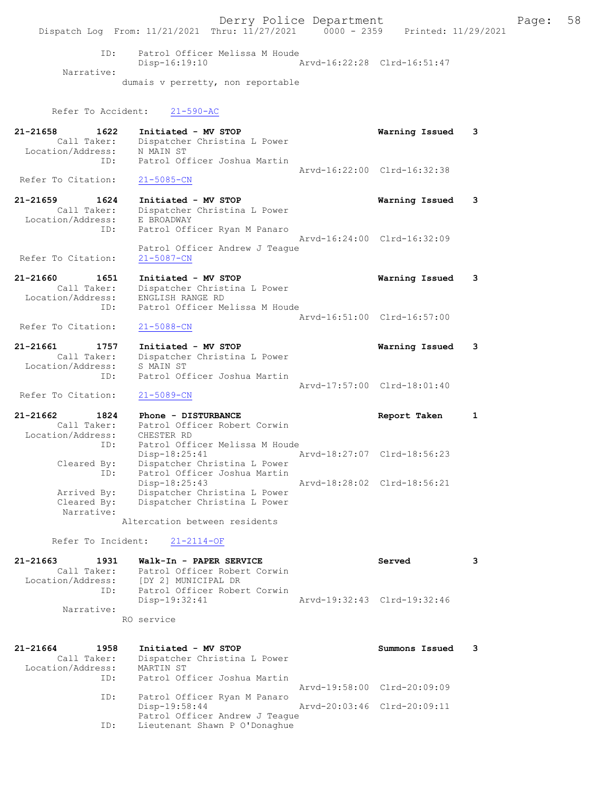Derry Police Department Fage: 58 Dispatch Log From: 11/21/2021 Thru: 11/27/2021 0000 - 2359 Printed: 11/29/2021 ID: Patrol Officer Melissa M Houde Disp-16:19:10 Arvd-16:22:28 Clrd-16:51:47 Narrative: dumais v perretty, non reportable Refer To Accident: 21-590-AC 21-21658 1622 Initiated - MV STOP Warning Issued 3 Call Taker: Dispatcher Christina L Power Location/Address: N MAIN ST ID: Patrol Officer Joshua Martin Arvd-16:22:00 Clrd-16:32:38<br>21-5085-CN Refer To Citation: 21-21659 1624 Initiated - MV STOP Warning Issued 3 Call Taker: Dispatcher Christina L Power Location/Address: E BROADWAY ID: Patrol Officer Ryan M Panaro Arvd-16:24:00 Clrd-16:32:09 Patrol Officer Andrew J Teague Refer To Citation: 21-5087-CN 21-21660 1651 Initiated - MV STOP Warning Issued 3 Call Taker: Dispatcher Christina L Power Location/Address: ENGLISH RANGE RD ID: Patrol Officer Melissa M Houde Arvd-16:51:00 Clrd-16:57:00<br>
21-5088-CN Refer To Citation: 21-21661 1757 Initiated - MV STOP Warning Issued 3 Call Taker: Dispatcher Christina L Power Location/Address: S MAIN ST ID: Patrol Officer Joshua Martin Arvd-17:57:00 Clrd-18:01:40 Refer To Citation: 21-5089-CN 21-21662 1824 Phone - DISTURBANCE Report Taken 1 Call Taker: Patrol Officer Robert Corwin Location/Address: CHESTER RD ID: Patrol Officer Melissa M Houde<br>Disp-18:25:41 7 Disp-18:25:41 Arvd-18:27:07 Clrd-18:56:23 Cleared By: Dispatcher Christina L Power ID: Patrol Officer Joshua Martin Disp-18:25:43 Arvd-18:28:02 Clrd-18:56:21 Arrived By: Dispatcher Christina L Power Cleared By: Dispatcher Christina L Power Narrative: Altercation between residents Refer To Incident: 21-2114-OF 21-21663 1931 Walk-In - PAPER SERVICE Served 3 Call Taker: Patrol Officer Robert Corwin Location/Address: [DY 2] MUNICIPAL DR ID: Patrol Officer Robert Corwin Disp-19:32:41 Arvd-19:32:43 Clrd-19:32:46 Narrative: RO service 21-21664 1958 Initiated - MV STOP Summons Issued 3 Call Taker: Dispatcher Christina L Power Location/Address: MARTIN ST ID: Patrol Officer Joshua Martin Arvd-19:58:00 Clrd-20:09:09 ID: Patrol Officer Ryan M Panaro Disp-19:58:44 Arvd-20:03:46 Clrd-20:09:11 Patrol Officer Andrew J Teague ID: Lieutenant Shawn P O'Donaghue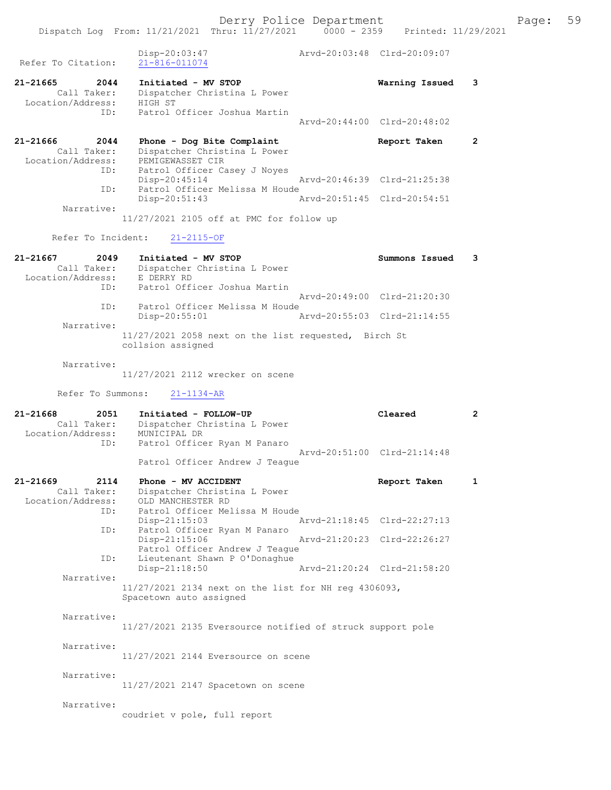Derry Police Department Fage: 59 Dispatch Log From: 11/21/2021 Thru: 11/27/2021 0000 - 2359 Printed: 11/29/2021 Disp-20:03:47 Arvd-20:03:48 Clrd-20:09:07 Refer To Citation: 21-816-011074 21-21665 2044 Initiated - MV STOP Warning Issued 3 Call Taker: Dispatcher Christina L Power Location/Address: HIGH ST ID: Patrol Officer Joshua Martin Arvd-20:44:00 Clrd-20:48:02 21-21666 2044 Phone - Dog Bite Complaint Report Taken 2 Call Taker: Dispatcher Christina L Power Location/Address: PEMIGEWASSET CIR ID: Patrol Officer Casey J Noyes<br>Disp-20:45:14 Disp-20:45:14 Arvd-20:46:39 Clrd-21:25:38<br>ID: Patrol Officer Melissa M Houde Patrol Officer Melissa M Houde Disp-20:51:43 Arvd-20:51:45 Clrd-20:54:51 Narrative: 11/27/2021 2105 off at PMC for follow up Refer To Incident: 21-2115-OF 21-21667 2049 Initiated - MV STOP Summons Issued 3 Call Taker: Dispatcher Christina L Power Location/Address: E DERRY RD ID: Patrol Officer Joshua Martin Arvd-20:49:00 Clrd-21:20:30 ID: Patrol Officer Melissa M Houde Disp-20:55:01 Arvd-20:55:03 Clrd-21:14:55 Narrative: 11/27/2021 2058 next on the list requested, Birch St collsion assigned Narrative: 11/27/2021 2112 wrecker on scene Refer To Summons: 21-1134-AR 21-21668 2051 Initiated - FOLLOW-UP Cleared 2 Call Taker: Dispatcher Christina L Power Location/Address: MUNICIPAL DR ID: Patrol Officer Ryan M Panaro Arvd-20:51:00 Clrd-21:14:48 Patrol Officer Andrew J Teague 21-21669 2114 Phone - MV ACCIDENT CHARGES Report Taken 1 Call Taker: Dispatcher Christina L Power Location/Address: OLD MANCHESTER RD ID: Patrol Officer Melissa M Houde Disp-21:15:03 Arvd-21:18:45 Clrd-22:27:13 ID: Patrol Officer Ryan M Panaro Arvd-21:20:23 Clrd-22:26:27 Patrol Officer Andrew J Teague<br>ID: Lieutenant Shawn P O'Donaghue Lieutenant Shawn P O'Donaghue<br>Disp-21:18:50 Disp-21:18:50 Arvd-21:20:24 Clrd-21:58:20 Narrative: 11/27/2021 2134 next on the list for NH reg 4306093, Spacetown auto assigned Narrative: 11/27/2021 2135 Eversource notified of struck support pole Narrative: 11/27/2021 2144 Eversource on scene Narrative: 11/27/2021 2147 Spacetown on scene Narrative: coudriet v pole, full report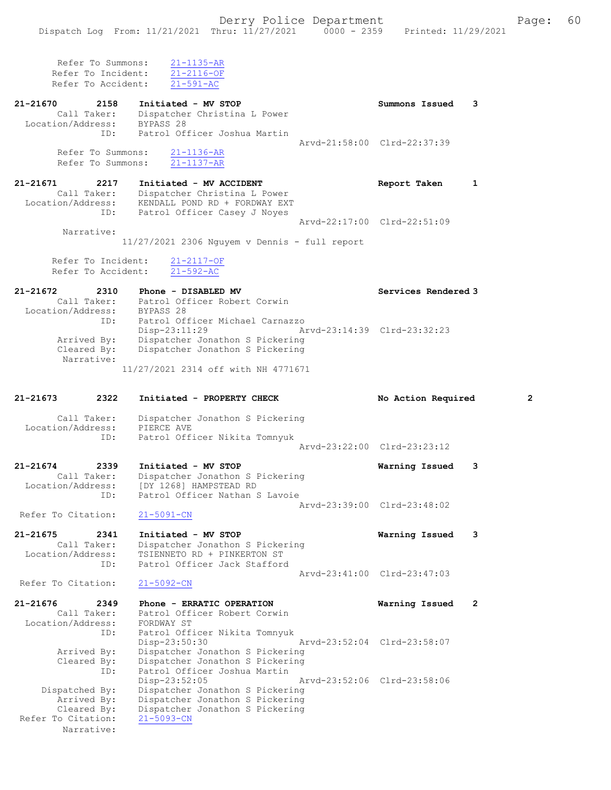| Refer To Summons:<br>Refer To Incident:<br>Refer To Accident:         | $21 - 1135 - AR$<br>$21 - 2116 - OF$<br>$21 - 591 - AC$                                                                                              |                                               |                |
|-----------------------------------------------------------------------|------------------------------------------------------------------------------------------------------------------------------------------------------|-----------------------------------------------|----------------|
| 21-21670<br>2158<br>Call Taker:<br>Location/Address: BYPASS 28<br>ID: | Initiated - MV STOP<br>Dispatcher Christina L Power<br>Patrol Officer Joshua Martin                                                                  | Summons Issued<br>Arvd-21:58:00 Clrd-22:37:39 | 3              |
| Refer To Summons:<br>Refer To Summons:                                | $21 - 1136 - AR$<br>$21 - 1137 - AR$                                                                                                                 |                                               |                |
| 21-21671<br>2217<br>Call Taker:<br>Location/Address:<br>ID:           | Initiated - MV ACCIDENT<br>Dispatcher Christina L Power<br>KENDALL POND RD + FORDWAY EXT<br>Patrol Officer Casey J Noyes                             | Report Taken                                  | 1              |
| Narrative:                                                            | $11/27/2021$ 2306 Nguyem v Dennis - full report                                                                                                      | Arvd-22:17:00 Clrd-22:51:09                   |                |
| Refer To Incident:<br>Refer To Accident:                              | $21 - 2117 - OF$<br>$21 - 592 - AC$                                                                                                                  |                                               |                |
| 21-21672<br>2310<br>Call Taker:<br>Location/Address:                  | Phone - DISABLED MV<br>Patrol Officer Robert Corwin<br>BYPASS 28                                                                                     | Services Rendered 3                           |                |
| ID:<br>Arrived By:<br>Cleared By:                                     | Patrol Officer Michael Carnazzo<br>Disp-23:11:29<br>Dispatcher Jonathon S Pickering<br>Dispatcher Jonathon S Pickering                               | Arvd-23:14:39 Clrd-23:32:23                   |                |
| Narrative:                                                            | 11/27/2021 2314 off with NH 4771671                                                                                                                  |                                               |                |
|                                                                       |                                                                                                                                                      |                                               |                |
| 21-21673<br>2322                                                      | Initiated - PROPERTY CHECK                                                                                                                           | No Action Required                            | 2              |
| Call Taker:<br>Location/Address:<br>ID:                               | Dispatcher Jonathon S Pickering<br>PIERCE AVE<br>Patrol Officer Nikita Tomnyuk                                                                       |                                               |                |
|                                                                       |                                                                                                                                                      | Arvd-23:22:00 Clrd-23:23:12                   |                |
| 21-21674<br>2339<br>Call Taker:<br>Location/Address:<br>ID:           | Initiated - MV STOP<br>Dispatcher Jonathon S Pickering<br>[DY 1268] HAMPSTEAD RD<br>Patrol Officer Nathan S Lavoie                                   | Warning Issued                                | 3              |
| Refer To Citation:                                                    | $21 - 5091 - CN$                                                                                                                                     | Arvd-23:39:00 Clrd-23:48:02                   |                |
| 21-21675<br>2341<br>Call Taker:<br>Location/Address:<br>ID:           | Initiated - MV STOP<br>Dispatcher Jonathon S Pickering<br>TSIENNETO RD + PINKERTON ST<br>Patrol Officer Jack Stafford                                | Warning Issued                                | 3              |
| Refer To Citation:                                                    | $21 - 5092 - CN$                                                                                                                                     | Arvd-23:41:00 Clrd-23:47:03                   |                |
| 21-21676<br>2349<br>Call Taker:<br>Location/Address:                  | Phone - ERRATIC OPERATION<br>Patrol Officer Robert Corwin<br>FORDWAY ST                                                                              | Warning Issued                                | $\overline{2}$ |
| ID:<br>Arrived By:<br>Cleared By:<br>ID:                              | Patrol Officer Nikita Tomnyuk<br>Disp-23:50:30<br>Dispatcher Jonathon S Pickering<br>Dispatcher Jonathon S Pickering<br>Patrol Officer Joshua Martin | Arvd-23:52:04 Clrd-23:58:07                   |                |